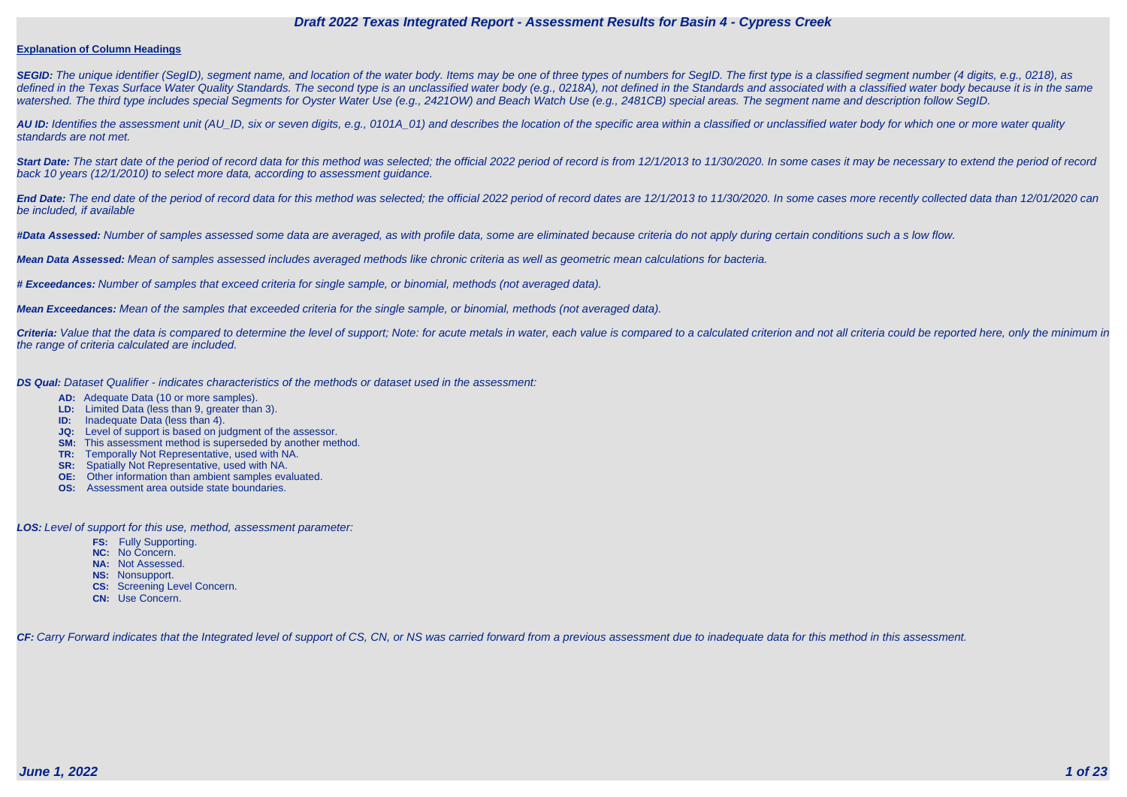#### **Explanation of Column Headings**

**SEGID:** The unique identifier (SegID), segment name, and location of the water body. Items may be one of three types of numbers for SegID. The first type is a classified segment number (4 digits, e.g., 0218), as defined in the Texas Surface Water Quality Standards. The second type is an unclassified water body (e.g., 0218A), not defined in the Standards and associated with a classified water body because it is in the same watershed. The third type includes special Segments for Oyster Water Use (e.g., 2421OW) and Beach Watch Use (e.g., 2481CB) special areas. The segment name and description follow SegID.

**AU ID:** Identifies the assessment unit (AU\_ID, six or seven digits, e.g., 0101A\_01) and describes the location of the specific area within a classified or unclassified water body for which one or more water quality standards are not met.

Start Date: The start date of the period of record data for this method was selected; the official 2022 period of record is from 12/1/2013 to 11/30/2020. In some cases it may be necessary to extend the period of record back 10 years (12/1/2010) to select more data, according to assessment guidance.

End Date: The end date of the period of record data for this method was selected; the official 2022 period of record dates are 12/1/2013 to 11/30/2020. In some cases more recently collected data than 12/01/2020 can be included, if available

Criteria: Value that the data is compared to determine the level of support; Note: for acute metals in water, each value is compared to a calculated criterion and not all criteria could be reported here, only the minimum i the range of criteria calculated are included.

**#Data Assessed:** Number of samples assessed some data are averaged, as with profile data, some are eliminated because criteria do not apply during certain conditions such a s low flow.

**Mean Data Assessed:** Mean of samples assessed includes averaged methods like chronic criteria as well as geometric mean calculations for bacteria.

**# Exceedances:** Number of samples that exceed criteria for single sample, or binomial, methods (not averaged data).

**Mean Exceedances:** Mean of the samples that exceeded criteria for the single sample, or binomial, methods (not averaged data).

**DS Qual:** Dataset Qualifier - indicates characteristics of the methods or dataset used in the assessment:

- **AD:** Adequate Data (10 or more samples).
- **LD:** Limited Data (less than 9, greater than 3).
- **ID:** Inadequate Data (less than 4).
- **JQ:** Level of support is based on judgment of the assessor.
- **SM:** This assessment method is superseded by another method.
- **TR:** Temporally Not Representative, used with NA.
- **SR:** Spatially Not Representative, used with NA.
- **OE:** Other information than ambient samples evaluated.
- **OS:** Assessment area outside state boundaries.

**LOS:** Level of support for this use, method, assessment parameter:

- **FS:** Fully Supporting.
- **NC:** No Concern.
- **NA:** Not Assessed.
- **NS:** Nonsupport.
- **CS:** Screening Level Concern.
- **CN:** Use Concern.

CF: Carry Forward indicates that the Integrated level of support of CS, CN, or NS was carried forward from a previous assessment due to inadequate data for this method in this assessment.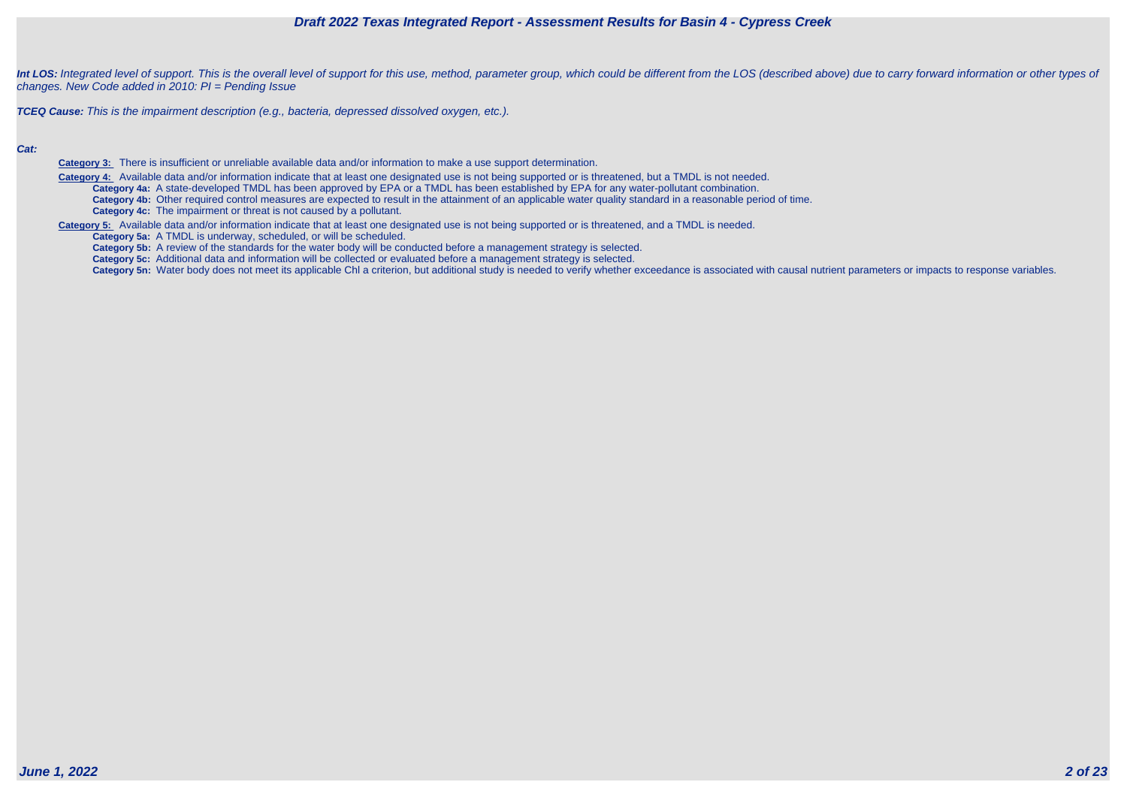

Int LOS: Integrated level of support. This is the overall level of support for this use, method, parameter group, which could be different from the LOS (described above) due to carry forward information or other types of changes. New Code added in 2010: PI = Pending Issue

**TCEQ Cause:** This is the impairment description (e.g., bacteria, depressed dissolved oxygen, etc.).

#### **Cat:**

**Category 3:** There is insufficient or unreliable available data and/or information to make a use support determination.

 **Category 4:** Available data and/or information indicate that at least one designated use is not being supported or is threatened, but a TMDL is not needed. **Category 4a:** A state-developed TMDL has been approved by EPA or a TMDL has been established by EPA for any water-pollutant combination. **Category 4b:** Other required control measures are expected to result in the attainment of an applicable water quality standard in a reasonable period of time. **Category 4c:** The impairment or threat is not caused by a pollutant.

**Category 5:** Available data and/or information indicate that at least one designated use is not being supported or is threatened, and a TMDL is needed.

**Category 5a:** A TMDL is underway, scheduled, or will be scheduled.

**Category 5b:** A review of the standards for the water body will be conducted before a management strategy is selected.

**Category 5c:** Additional data and information will be collected or evaluated before a management strategy is selected.

Category 5n: Water body does not meet its applicable Chl a criterion, but additional study is needed to verify whether exceedance is associated with causal nutrient parameters or impacts to response variables.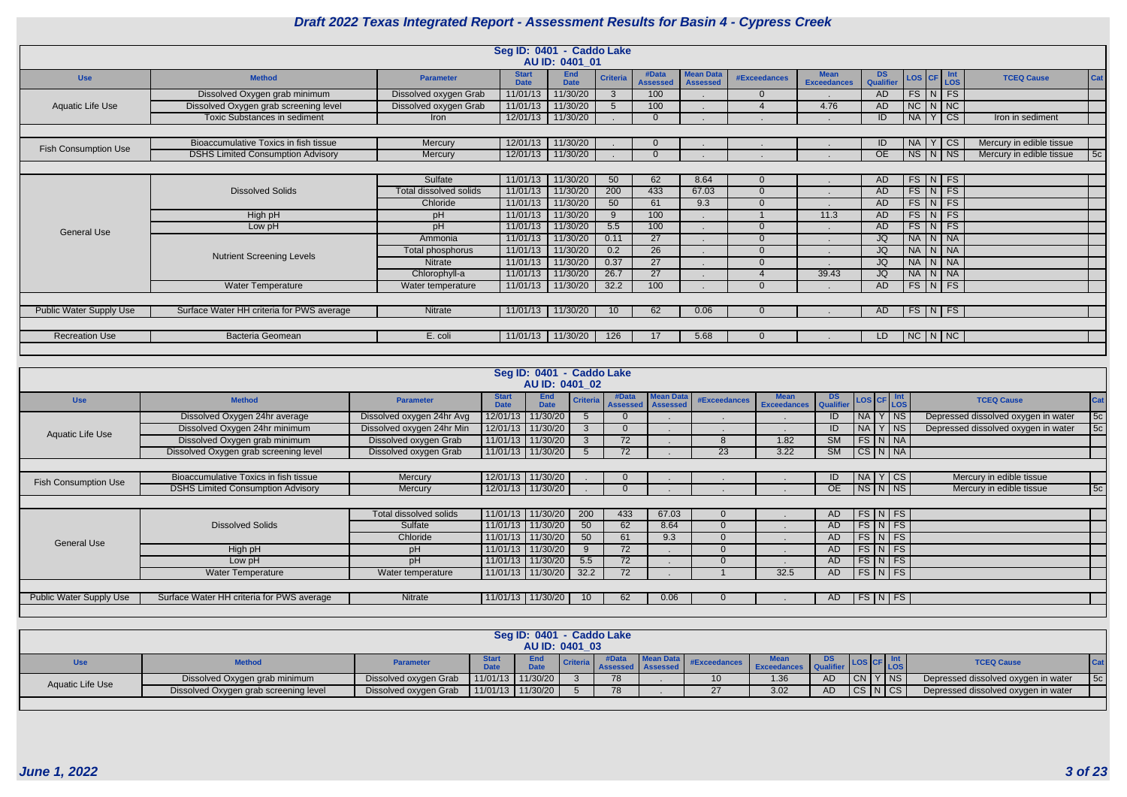|                             |                                           |                        | Seg ID: 0401 - Caddo Lake   |                           |                 |                          |                                     |                     |                                   |                 |                           |                          |     |
|-----------------------------|-------------------------------------------|------------------------|-----------------------------|---------------------------|-----------------|--------------------------|-------------------------------------|---------------------|-----------------------------------|-----------------|---------------------------|--------------------------|-----|
|                             |                                           |                        |                             | AU ID: 0401_01            |                 |                          |                                     |                     |                                   |                 |                           |                          |     |
| <b>Use</b>                  | <b>Method</b>                             | <b>Parameter</b>       | <b>Start</b><br><b>Date</b> | <b>End</b><br><b>Date</b> | <b>Criteria</b> | #Data<br><b>Assessed</b> | <b>Mean Data</b><br><b>Assessed</b> | <b>#Exceedances</b> | <b>Mean</b><br><b>Exceedances</b> | DS<br>Qualifier | LOS CF LOS                | <b>TCEQ Cause</b>        | Cat |
|                             | Dissolved Oxygen grab minimum             | Dissolved oxygen Grab  | 11/01/13                    | 11/30/20                  | $\mathcal{S}$   | 100                      |                                     | $\Omega$            |                                   | <b>AD</b>       | $FS$ $N$ $FS$             |                          |     |
| Aquatic Life Use            | Dissolved Oxygen grab screening level     | Dissolved oxygen Grab  | 11/01/13                    | 11/30/20                  |                 | 100                      |                                     |                     | 4.76                              | <b>AD</b>       | $NC \mid N \mid NC$       |                          |     |
|                             | <b>Toxic Substances in sediment</b>       | Iron                   | 12/01/13                    | 11/30/20                  |                 |                          |                                     |                     |                                   | ID              | CS<br><b>NA</b><br>$\vee$ | Iron in sediment         |     |
|                             |                                           |                        |                             |                           |                 |                          |                                     |                     |                                   |                 |                           |                          |     |
| <b>Fish Consumption Use</b> | Bioaccumulative Toxics in fish tissue     | Mercury                | 12/01/13                    | 11/30/20                  |                 | $\Omega$                 |                                     |                     | $\bullet$                         | ID              | <b>CS</b><br><b>NA</b>    | Mercury in edible tissue |     |
|                             | <b>DSHS Limited Consumption Advisory</b>  | Mercury                | 12/01/13                    | 11/30/20                  |                 |                          |                                     |                     |                                   | OE              | $NS$ $N$ $NS$             | Mercury in edible tissue | 5c  |
|                             |                                           |                        |                             |                           |                 |                          |                                     |                     |                                   |                 |                           |                          |     |
|                             |                                           | Sulfate                | 11/01/13                    | 11/30/20                  | 50              | 62                       | 8.64                                | $\Omega$            |                                   | AD              | $FS\vert N \vert FS$      |                          |     |
|                             | <b>Dissolved Solids</b>                   | Total dissolved solids | 11/01/13                    | 11/30/20                  | 200             | 433                      | 67.03                               | $\Omega$            |                                   | <b>AD</b>       | $FS\vert N \vert FS$      |                          |     |
|                             |                                           | Chloride               | 11/01/13                    | 11/30/20                  | 50              | 61                       | 9.3                                 | $\Omega$            |                                   | AD              | $FS\vert N \vert FS$      |                          |     |
|                             | High pH                                   | pH                     | 11/01/13                    | 11/30/20                  | 9               | 100                      |                                     |                     | 11.3                              | AD              | $FS\mid N \mid FS$        |                          |     |
| <b>General Use</b>          | Low pH                                    | pH                     | $11/01/\overline{13}$       | 11/30/20                  | 5.5             | 100                      |                                     | $\Omega$            |                                   | A <sub>D</sub>  | $FS$ $N$ $FS$             |                          |     |
|                             |                                           | Ammonia                | 11/01/13                    | 11/30/20                  | 0.11            | $\overline{27}$          |                                     | $\Omega$            |                                   | JQ              | NA N NA                   |                          |     |
|                             | <b>Nutrient Screening Levels</b>          | Total phosphorus       | 11/01/13                    | 11/30/20                  | 0.2             | 26                       |                                     | $\Omega$            |                                   | <b>JQ</b>       | NA N NA                   |                          |     |
|                             |                                           | Nitrate                | 11/01/13                    | 11/30/20                  | 0.37            | $\overline{27}$          |                                     | $\Omega$            |                                   | JQ              | NA N NA                   |                          |     |
|                             |                                           | Chlorophyll-a          | 11/01/13                    | 11/30/20                  | 26.7            | $\overline{27}$          |                                     |                     | 39.43                             | JQ              | NA N NA                   |                          |     |
|                             | <b>Water Temperature</b>                  | Water temperature      | 11/01/13                    | 11/30/20                  | 32.2            | 100                      |                                     | $\Omega$            |                                   | AD              | $FS\mid N \mid FS \mid$   |                          |     |
|                             |                                           |                        |                             |                           |                 |                          |                                     |                     |                                   |                 |                           |                          |     |
| Public Water Supply Use     | Surface Water HH criteria for PWS average | Nitrate                | 11/01/13                    | 11/30/20                  | 10 <sup>°</sup> | 62                       | 0.06                                | $\Omega$            |                                   | AD              | $FS\vert N \vert FS$      |                          |     |
|                             |                                           |                        |                             |                           |                 |                          |                                     |                     |                                   |                 |                           |                          |     |
| <b>Recreation Use</b>       | <b>Bacteria Geomean</b>                   | E. coli                | 11/01/13                    | 11/30/20                  | 126             | 17                       | 5.68                                | $\Omega$            |                                   | LD.             | $NC \mid N \mid NC$       |                          |     |
|                             |                                           |                        |                             |                           |                 |                          |                                     |                     |                                   |                 |                           |                          |     |

|                             |                                           |                           |                             | Seg ID: 0401 - Caddo Lake<br>AU ID: 0401 02 |                 |                                   |           |                     |                                                       |           |                      |        |                                     |            |
|-----------------------------|-------------------------------------------|---------------------------|-----------------------------|---------------------------------------------|-----------------|-----------------------------------|-----------|---------------------|-------------------------------------------------------|-----------|----------------------|--------|-------------------------------------|------------|
| <b>Use</b>                  | <b>Method</b>                             | <b>Parameter</b>          | <b>Start</b><br><b>Date</b> | <b>End</b><br><b>Date</b>                   | <b>Criteria</b> | #Data<br><b>Assessed</b> Assessed | Mean Data | <b>#Exceedances</b> | <b>Exceedances</b> DS<br><b>Exceedances</b> Qualifier |           | LOS CF Int           |        | <b>TCEQ Cause</b>                   | <b>Cat</b> |
|                             | Dissolved Oxygen 24hr average             | Dissolved oxygen 24hr Avg | 12/01/13                    | 1/30/20                                     |                 |                                   |           |                     |                                                       | ID        | $NA$   Y             | $ $ NS | Depressed dissolved oxygen in water | 5c         |
| <b>Aquatic Life Use</b>     | Dissolved Oxygen 24hr minimum             | Dissolved oxygen 24hr Min |                             | 12/01/13 11/30/20                           |                 |                                   |           |                     |                                                       | ID        | NA Y NS              |        | Depressed dissolved oxygen in water | 5c         |
|                             | Dissolved Oxygen grab minimum             | Dissolved oxygen Grab     | 11/01/13                    | 11/30/20                                    |                 | 72                                |           | 8                   | 1.82                                                  | <b>SM</b> | FS N NA              |        |                                     |            |
|                             | Dissolved Oxygen grab screening level     | Dissolved oxygen Grab     |                             | 11/01/13   11/30/20                         | $\overline{5}$  | 72                                |           | 23                  | 3.22                                                  | <b>SM</b> | $CS$ $N$ $NA$        |        |                                     |            |
|                             |                                           |                           |                             |                                             |                 |                                   |           |                     |                                                       |           |                      |        |                                     |            |
| <b>Fish Consumption Use</b> | Bioaccumulative Toxics in fish tissue     | Mercury                   |                             | 12/01/13 11/30/20                           |                 |                                   |           |                     |                                                       | ID        | $N_A Y CS$           |        | Mercury in edible tissue            |            |
|                             | <b>DSHS Limited Consumption Advisory</b>  | Mercury                   |                             | 12/01/13 11/30/20                           |                 |                                   |           |                     |                                                       | <b>OE</b> | NS N NS              |        | Mercury in edible tissue            | 5c         |
|                             |                                           |                           |                             |                                             |                 |                                   |           |                     |                                                       |           |                      |        |                                     |            |
|                             |                                           | Total dissolved solids    | 11/01/13                    | 11/30/20                                    | 200             | 433                               | 67.03     | $\overline{0}$      |                                                       | AD.       | $FS\vert N \vert FS$ |        |                                     |            |
|                             | <b>Dissolved Solids</b>                   | Sulfate                   | 11/01/13                    | 11/30/20                                    | 50              | 62                                | 8.64      | $\overline{0}$      |                                                       | AD.       | $FS\vert N \vert FS$ |        |                                     |            |
| <b>General Use</b>          |                                           | Chloride                  | 11/01/13                    | 1/30/20                                     | 50              | 61                                | 9.3       | $\Omega$            |                                                       | AD.       | $FS\vert N \vert FS$ |        |                                     |            |
|                             | High pH                                   | pH                        | 11/01/13                    | 11/30/20                                    |                 | 72                                |           | $\Omega$            |                                                       | AD        | $FS\vert N \vert FS$ |        |                                     |            |
|                             | Low pH                                    | рH                        | 11/01/13                    | 1/30/20                                     | 5.5             | 72                                |           | $\Omega$            |                                                       | AD.       | $FS\vert N \vert FS$ |        |                                     |            |
|                             | Water Temperature                         | Water temperature         |                             | 11/01/13 11/30/20                           | 32.2            | 72                                |           |                     | 32.5                                                  | AD        | $FS\vert N \vert FS$ |        |                                     |            |
|                             |                                           |                           |                             |                                             |                 |                                   |           |                     |                                                       |           |                      |        |                                     |            |
| Public Water Supply Use     | Surface Water HH criteria for PWS average | Nitrate                   |                             | 11/01/13 11/30/20                           | 10 <sup>°</sup> | 62                                | 0.06      |                     |                                                       | AD.       | FS N FS              |        |                                     |            |
|                             |                                           |                           |                             |                                             |                 |                                   |           |                     |                                                       |           |                      |        |                                     |            |

|                  |                                       |                       |                             | Seg ID: 0401 - Caddo Lake<br>AU ID: 0401 03 |                 |    |    |                                   |     |         |                       |                                     |            |
|------------------|---------------------------------------|-----------------------|-----------------------------|---------------------------------------------|-----------------|----|----|-----------------------------------|-----|---------|-----------------------|-------------------------------------|------------|
| <b>Use</b>       | <b>Method</b>                         | Parameter             | <b>Start</b><br><b>Date</b> | <b>End</b><br><b>Date</b>                   | <b>Criteria</b> |    |    | <b>Mean</b><br><b>Exceedances</b> |     |         | PI <sup>UF</sup> ILOS | <b>TCEQ Cause</b>                   | <b>Cat</b> |
| Aquatic Life Use | Dissolved Oxygen grab minimum         | Dissolved oxygen Grab | $11/01/13$ 11/30/20         |                                             |                 | 78 | 10 | 1.36                              | AD. | CN Y NS |                       | Depressed dissolved oxygen in water | 5c         |
|                  | Dissolved Oxygen grab screening level | Dissolved oxygen Grab | $11/01/13$ 11/30/20         |                                             |                 | 78 |    | 3.02                              |     | CS N CS |                       | Depressed dissolved oxygen in water |            |
|                  |                                       |                       |                             |                                             |                 |    |    |                                   |     |         |                       |                                     |            |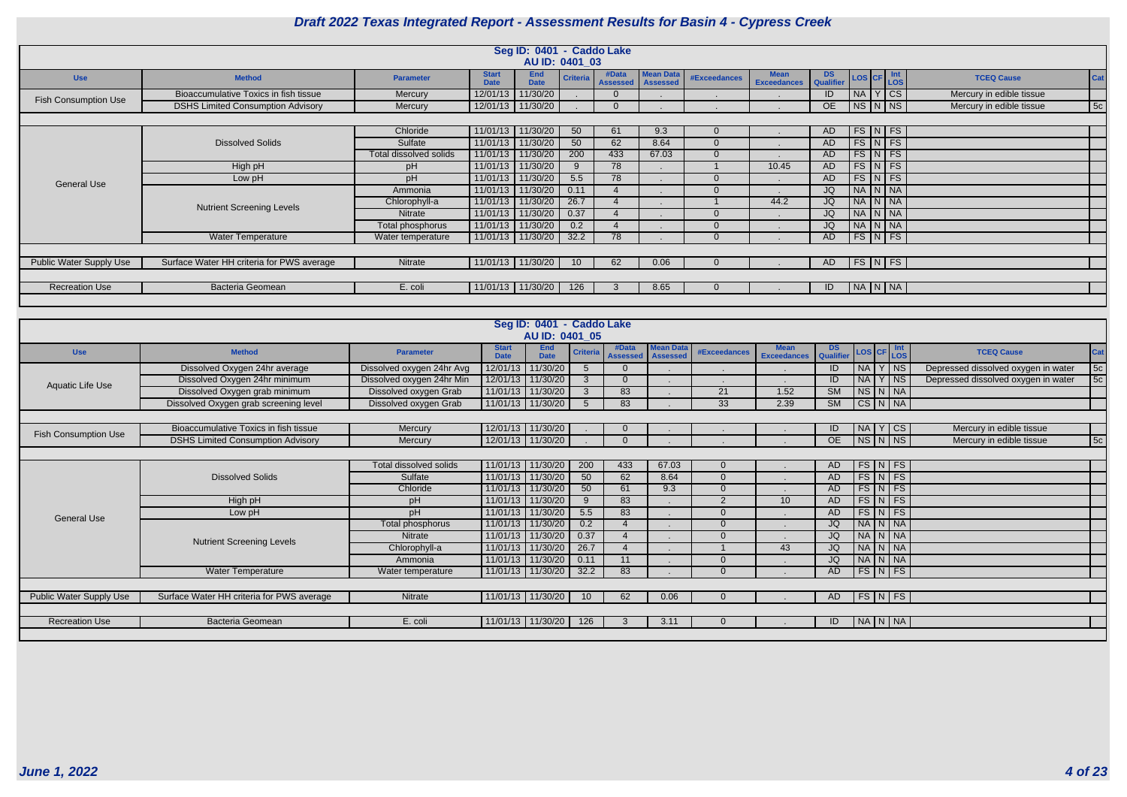|                                |                                           |                        |                             | Seg ID: 0401 - Caddo Lake<br>AU ID: 0401 03 |                 |                          |                                     |              |                                   |                        |                        |  |                          |     |
|--------------------------------|-------------------------------------------|------------------------|-----------------------------|---------------------------------------------|-----------------|--------------------------|-------------------------------------|--------------|-----------------------------------|------------------------|------------------------|--|--------------------------|-----|
| <b>Use</b>                     | <b>Method</b>                             | <b>Parameter</b>       | <b>Start</b><br><b>Date</b> | <b>End</b><br><b>Date</b>                   | <b>Criteria</b> | #Data<br><b>Assessed</b> | <b>Mean Data</b><br><b>Assessed</b> | #Exceedances | <b>Mean</b><br><b>Exceedances</b> | <b>DS</b><br>Qualifier | LOS CF Int             |  | <b>TCEQ Cause</b>        | Cat |
| <b>Fish Consumption Use</b>    | Bioaccumulative Toxics in fish tissue     | Mercury                | 12/01/13                    | 11/30/20                                    |                 |                          |                                     |              |                                   | ID                     | $N_A$ $Y$ $CS$         |  | Mercury in edible tissue |     |
|                                | <b>DSHS Limited Consumption Advisory</b>  | Mercury                |                             | 12/01/13 11/30/20                           |                 |                          |                                     |              |                                   | OE                     | $NS\mid N\mid NS \mid$ |  | Mercury in edible tissue | 5c  |
|                                |                                           |                        |                             |                                             |                 |                          |                                     |              |                                   |                        |                        |  |                          |     |
|                                |                                           | Chloride               |                             | 11/01/13 11/30/20                           | 50              | 61                       | 9.3                                 |              |                                   | AD                     | $FS\ NFS$              |  |                          |     |
|                                | <b>Dissolved Solids</b>                   | Sulfate                | 11/01/13                    | 11/30/20                                    | 50              | 62                       | 8.64                                |              |                                   | <b>AD</b>              | $FS\vert N \vert FS$   |  |                          |     |
|                                |                                           | Total dissolved solids |                             | 11/01/13 11/30/20                           | 200             | 433                      | 67.03                               |              |                                   | AD                     | $FS\overline{N}$ FS    |  |                          |     |
|                                | High pH                                   | pH                     |                             | 11/01/13 11/30/20                           | 9               | 78                       |                                     |              | 10.45                             | AD                     | $FS\vert N \vert FS$   |  |                          |     |
| <b>General Use</b>             | Low pH                                    | pH                     | 11/01/13                    | 11/30/20                                    | 5.5             | 78                       |                                     |              |                                   | AD                     | $FS\vert N \vert FS$   |  |                          |     |
|                                |                                           | Ammonia                |                             | 11/01/13 11/30/20                           | 0.11            |                          |                                     |              |                                   | JQ                     | NA N NA                |  |                          |     |
|                                | <b>Nutrient Screening Levels</b>          | Chlorophyll-a          | 11/01/13                    | 11/30/20                                    | 26.7            |                          |                                     |              | 44.2                              | JQ                     | NA N NA                |  |                          |     |
|                                |                                           | Nitrate                | 11/01/13                    | 11/30/20                                    | 0.37            |                          |                                     | 0            |                                   | <b>JQ</b>              | $N_A N_N$              |  |                          |     |
|                                |                                           | Total phosphorus       |                             | 11/01/13 11/30/20                           | 0.2             |                          |                                     |              |                                   | JQ                     | NA N NA                |  |                          |     |
|                                | Water Temperature                         | Water temperature      |                             | 11/01/13 11/30/20                           | 32.2            | 78                       |                                     |              |                                   | AD                     | $FS\vert N \vert FS$   |  |                          |     |
|                                |                                           |                        |                             |                                             |                 |                          |                                     |              |                                   |                        |                        |  |                          |     |
| <b>Public Water Supply Use</b> | Surface Water HH criteria for PWS average | Nitrate                |                             | 11/01/13 11/30/20                           | 10              | 62                       | 0.06                                |              |                                   | AD                     | FS N FS                |  |                          |     |
|                                |                                           |                        |                             |                                             |                 |                          |                                     |              |                                   |                        |                        |  |                          |     |
| <b>Recreation Use</b>          | <b>Bacteria Geomean</b>                   | E. coli                |                             | 11/01/13 11/30/20                           | 126             |                          | 8.65                                |              |                                   | ID                     | NA   N   NA            |  |                          |     |
|                                |                                           |                        |                             |                                             |                 |                          |                                     |              |                                   |                        |                        |  |                          |     |

|                             |                                           |                               |                             | Seg ID: 0401 - Caddo Lake<br>AU ID: 0401 05 |                 |                          |                                     |                     |                                   |                 |                      |                                     |             |
|-----------------------------|-------------------------------------------|-------------------------------|-----------------------------|---------------------------------------------|-----------------|--------------------------|-------------------------------------|---------------------|-----------------------------------|-----------------|----------------------|-------------------------------------|-------------|
| <b>Use</b>                  | <b>Method</b>                             | <b>Parameter</b>              | <b>Start</b><br><b>Date</b> | End<br><b>Date</b>                          | <b>Criteria</b> | #Data<br><b>Assessed</b> | <b>Mean Data</b><br><b>Assessed</b> | <b>#Exceedances</b> | <b>Mean</b><br><b>Exceedances</b> | DS<br>Qualifier | LOS CF Int           | <b>TCEQ Cause</b>                   | $\vert$ Cat |
|                             | Dissolved Oxygen 24hr average             | Dissolved oxygen 24hr Avg     | 12/01/13                    | 11/30/20                                    | 5               | $\Omega$                 |                                     |                     |                                   | ID              | NA Y NS              | Depressed dissolved oxygen in water | 5c          |
| Aquatic Life Use            | Dissolved Oxygen 24hr minimum             | Dissolved oxygen 24hr Min     |                             | 12/01/13 11/30/20                           | 3               | $\overline{0}$           |                                     |                     |                                   | ID              | $NA$ $Y$ $NS$        | Depressed dissolved oxygen in water | 5c          |
|                             | Dissolved Oxygen grab minimum             | Dissolved oxygen Grab         |                             | 11/01/13 11/30/20                           | 3               | 83                       |                                     | 21                  | 1.52                              | SM              | NS N NA              |                                     |             |
|                             | Dissolved Oxygen grab screening level     | Dissolved oxygen Grab         |                             | $11/01/13$ 11/30/20                         | 5               | 83                       |                                     | $\overline{33}$     | 2.39                              | SM              | $CS$ N $NA$          |                                     |             |
|                             |                                           |                               |                             |                                             |                 |                          |                                     |                     |                                   |                 |                      |                                     |             |
| <b>Fish Consumption Use</b> | Bioaccumulative Toxics in fish tissue     | Mercury                       |                             | 12/01/13 11/30/20                           |                 |                          |                                     |                     |                                   | ID              | NA Y CS              | Mercury in edible tissue            |             |
|                             | <b>DSHS Limited Consumption Advisory</b>  | Mercury                       |                             | 12/01/13 11/30/20                           |                 |                          |                                     |                     |                                   | OE              | $NS\ N\$ NS          | Mercury in edible tissue            | 5c          |
|                             |                                           |                               |                             |                                             |                 |                          |                                     |                     |                                   |                 |                      |                                     |             |
|                             |                                           | <b>Total dissolved solids</b> | 11/01/13                    | 11/30/20                                    | 200             | 433                      | 67.03                               | $\Omega$            |                                   | AD.             | $FS\vert N \vert FS$ |                                     |             |
|                             | <b>Dissolved Solids</b>                   | Sulfate                       |                             | 11/01/13 11/30/20                           | 50              | 62                       | 8.64                                | $\overline{0}$      |                                   | AD              | $FS$ $N$ $FS$        |                                     |             |
|                             |                                           | Chloride                      | 11/01/13                    | 11/30/20                                    | 50              | 61                       | 9.3                                 | $\Omega$            |                                   | AD              | $FS\vert N \vert FS$ |                                     |             |
|                             | High pH                                   | pH                            |                             | 11/01/13 11/30/20                           | 9               | 83                       |                                     | $\overline{2}$      | 10 <sup>°</sup>                   | AD              | FS N FS              |                                     |             |
| <b>General Use</b>          | Low pH                                    | pH                            |                             | 11/01/13 11/30/20                           | 5.5             | 83                       |                                     | $\Omega$            |                                   | AD              | $FS$ N FS            |                                     |             |
|                             |                                           | Total phosphorus              | 11/01/13                    | 11/30/20                                    | 0.2             | $\boldsymbol{\varDelta}$ |                                     | $\Omega$            |                                   | JQ              | NA N NA              |                                     |             |
|                             | <b>Nutrient Screening Levels</b>          | <b>Nitrate</b>                | 11/01/13                    | 11/30/20                                    | 0.37            |                          |                                     | $\Omega$            |                                   | JQ              | NA N NA              |                                     |             |
|                             |                                           | Chlorophyll-a                 |                             | 11/01/13 11/30/20                           | 26.7            |                          |                                     |                     | 43                                | JQ              | $NA$ $N$ $NA$        |                                     |             |
|                             |                                           | Ammonia                       | 11/01/13                    | 11/30/20                                    | 0.11            | 11                       |                                     | $\Omega$            |                                   | <b>JQ</b>       | NA N NA              |                                     |             |
|                             | <b>Water Temperature</b>                  | Water temperature             |                             | 11/01/13 11/30/20                           | 32.2            | 83                       |                                     | $\Omega$            |                                   | AD              | $FS\vert N \vert FS$ |                                     |             |
|                             |                                           |                               |                             |                                             |                 |                          |                                     |                     |                                   |                 |                      |                                     |             |
| Public Water Supply Use     | Surface Water HH criteria for PWS average | Nitrate                       |                             | 11/01/13   11/30/20                         |                 | 62                       | 0.06                                |                     |                                   | AD.             | FS N FS              |                                     |             |
|                             |                                           |                               |                             |                                             |                 |                          |                                     |                     |                                   |                 |                      |                                     |             |
| <b>Recreation Use</b>       | <b>Bacteria Geomean</b>                   | E. coli                       |                             | 11/01/13   11/30/20                         | 126             | 3                        | 3.11                                | $\Omega$            |                                   | ID              | NA N NA              |                                     |             |
|                             |                                           |                               |                             |                                             |                 |                          |                                     |                     |                                   |                 |                      |                                     |             |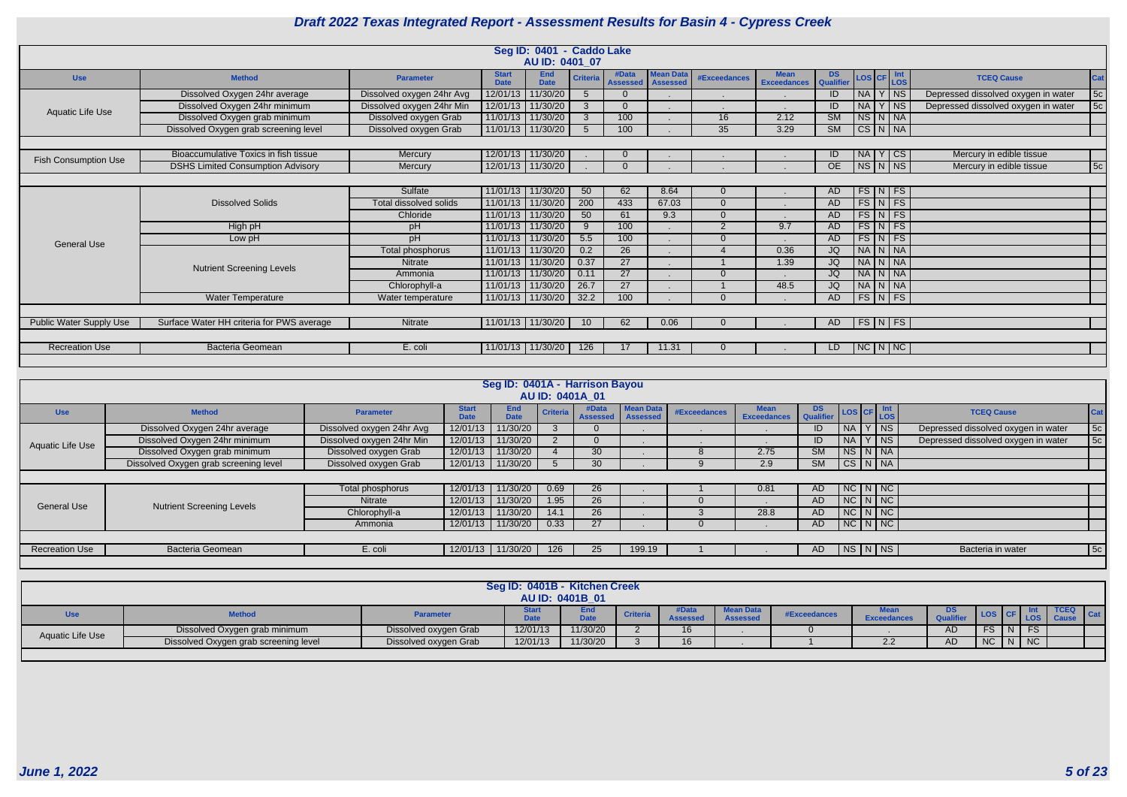|                                |                                           |                           |                             | Seg ID: 0401 - Caddo Lake |                 |                          |                              |                     |                                   |                        |                            |  |                                     |     |
|--------------------------------|-------------------------------------------|---------------------------|-----------------------------|---------------------------|-----------------|--------------------------|------------------------------|---------------------|-----------------------------------|------------------------|----------------------------|--|-------------------------------------|-----|
|                                |                                           |                           |                             | AU ID: 0401 07            |                 |                          |                              |                     |                                   |                        |                            |  |                                     |     |
| <b>Use</b>                     | <b>Method</b>                             | <b>Parameter</b>          | <b>Start</b><br><b>Date</b> | <b>End</b><br><b>Date</b> | <b>Criteria</b> | #Data<br><b>Assessed</b> | Mean Data<br><b>Assessed</b> | <b>#Exceedances</b> | <b>Mean</b><br><b>Exceedances</b> | <b>DS</b><br>Qualifie  | LOS CF Int                 |  | <b>TCEQ Cause</b>                   | Cat |
|                                | Dissolved Oxygen 24hr average             | Dissolved oxygen 24hr Avg |                             | 12/01/13 11/30/20         | 5               | $\Omega$                 |                              |                     |                                   | ID.                    | $NA$   Y   NS              |  | Depressed dissolved oxygen in water | 5c  |
| <b>Aquatic Life Use</b>        | Dissolved Oxygen 24hr minimum             | Dissolved oxygen 24hr Min |                             | 12/01/13 11/30/20         | $\mathbf{3}$    |                          |                              |                     |                                   | ID                     | $NA$ $Y$ $NS$              |  | Depressed dissolved oxygen in water | 5c  |
|                                | Dissolved Oxygen grab minimum             | Dissolved oxygen Grab     |                             | 11/01/13 11/30/20         | $\mathcal{S}$   | 100                      |                              | 16                  | 2.12                              | SM                     | NS N NA                    |  |                                     |     |
|                                | Dissolved Oxygen grab screening level     | Dissolved oxygen Grab     |                             | 11/01/13 11/30/20         | $5^{\circ}$     | 100                      |                              | $\overline{35}$     | 3.29                              | $\overline{\text{SM}}$ | $CS$ $N$ $NA$              |  |                                     |     |
|                                |                                           |                           |                             |                           |                 |                          |                              |                     |                                   |                        |                            |  |                                     |     |
|                                | Bioaccumulative Toxics in fish tissue     | Mercury                   |                             | 12/01/13 11/30/20         |                 |                          |                              |                     |                                   | ID                     | NA Y CS                    |  | Mercury in edible tissue            |     |
| <b>Fish Consumption Use</b>    | <b>DSHS Limited Consumption Advisory</b>  | Mercury                   |                             | 12/01/13 11/30/20         |                 | $\Omega$                 |                              |                     |                                   | OE                     | $NS\ N\$ NS                |  | Mercury in edible tissue            | 5c  |
|                                |                                           |                           |                             |                           |                 |                          |                              |                     |                                   |                        |                            |  |                                     |     |
|                                |                                           | Sulfate                   |                             | 11/01/13 11/30/20         | 50              | 62                       | 8.64                         |                     |                                   | AD                     | $FS\vert N \vert FS$       |  |                                     |     |
|                                | <b>Dissolved Solids</b>                   | Total dissolved solids    | 11/01/13                    | 11/30/20                  | 200             | 433                      | 67.03                        | $\Omega$            |                                   | <b>AD</b>              | $FS\vert N \vert FS$       |  |                                     |     |
|                                |                                           | Chloride                  |                             | 11/01/13 11/30/20         | 50              | 61                       | 9.3                          | $\Omega$            |                                   | AD                     | $FS\vert N \vert FS$       |  |                                     |     |
|                                | High pH                                   | pH                        |                             | 11/01/13 11/30/20         | 9               | 100                      |                              | $\overline{2}$      | 9.7                               | AD.                    | $FS\vert N \vert FS$       |  |                                     |     |
| <b>General Use</b>             | Low pH                                    | <b>Hd</b>                 |                             | 11/01/13 11/30/20         | 5.5             | 100                      |                              | $\Omega$            |                                   | <b>AD</b>              | $FS\overline{N}$ FS        |  |                                     |     |
|                                |                                           | Total phosphorus          |                             | 11/01/13 11/30/20         | 0.2             | 26                       |                              |                     | 0.36                              | JQ                     | NA N NA                    |  |                                     |     |
|                                | <b>Nutrient Screening Levels</b>          | <b>Nitrate</b>            |                             | 11/01/13 11/30/20         | 0.37            | $\overline{27}$          |                              |                     | 1.39                              | JQ                     | NA N NA                    |  |                                     |     |
|                                |                                           | Ammonia                   | 11/01/13 11/30/20           |                           | 0.11            | 27                       |                              | $\Omega$            |                                   | JQ                     | NA N NA                    |  |                                     |     |
|                                |                                           | Chlorophyll-a             | 11/01/13 11/30/20           |                           | 26.7            | $\overline{27}$          |                              |                     | 48.5                              | JQ                     | NA N NA                    |  |                                     |     |
|                                | Water Temperature                         | Water temperature         |                             | 11/01/13 11/30/20         | 32.2            | 100                      |                              | $\Omega$            |                                   | <b>AD</b>              | $FS\vert N \vert FS \vert$ |  |                                     |     |
|                                |                                           |                           |                             |                           |                 |                          |                              |                     |                                   |                        |                            |  |                                     |     |
| <b>Public Water Supply Use</b> | Surface Water HH criteria for PWS average | <b>Nitrate</b>            |                             | 11/01/13 11/30/20         | 10 <sup>°</sup> | 62                       | 0.06                         |                     |                                   | AD                     | FS N FS                    |  |                                     |     |
|                                |                                           |                           |                             |                           |                 |                          |                              |                     |                                   |                        |                            |  |                                     |     |
| <b>Recreation Use</b>          | <b>Bacteria Geomean</b>                   | E. coli                   |                             | 11/01/13   11/30/20       | 126             |                          | 11.31                        |                     |                                   | LD.                    | $NC\ N\ N$                 |  |                                     |     |
|                                |                                           |                           |                             |                           |                 |                          |                              |                     |                                   |                        |                            |  |                                     |     |

|                         |                                       |                           |                             | Seg ID: 0401A - Harrison Bayou |                 | <b>AU ID: 0401A 01</b>   |                                     |              |                            |                                   |           |               |                                     |            |
|-------------------------|---------------------------------------|---------------------------|-----------------------------|--------------------------------|-----------------|--------------------------|-------------------------------------|--------------|----------------------------|-----------------------------------|-----------|---------------|-------------------------------------|------------|
| <b>Use</b>              | <b>Method</b>                         | <b>Parameter</b>          | <b>Start</b><br><b>Date</b> | <b>End</b><br><b>Date</b>      | <b>Criteria</b> | #Data<br><b>Assessed</b> | <b>Mean Data</b><br><b>Assessed</b> | #Exceedances | <b>Mean</b><br>Exceedances | <b>DS</b><br>Qualifier LOS CF LOS |           |               | <b>TCEQ Cause</b>                   | <b>Cat</b> |
|                         | Dissolved Oxygen 24hr average         | Dissolved oxygen 24hr Avg | 12/01/13                    | 11/30/20                       |                 |                          |                                     |              |                            | ID                                | <b>NA</b> | <b>NS</b>     | Depressed dissolved oxygen in water | 5c         |
| <b>Aquatic Life Use</b> | Dissolved Oxygen 24hr minimum         | Dissolved oxygen 24hr Min | 12/01/13                    | 11/30/20                       |                 |                          |                                     |              |                            | ID                                | $NA$   Y  | ∣ NS          | Depressed dissolved oxygen in water | 5c         |
|                         | Dissolved Oxygen grab minimum         | Dissolved oxygen Grab     | 12/01/13                    | 11/30/20                       |                 | 30                       |                                     |              | 2.75                       | <b>SM</b>                         |           | NS N NA       |                                     |            |
|                         | Dissolved Oxygen grab screening level | Dissolved oxygen Grab     | 12/01/13                    | 11/30/20                       |                 | 30                       |                                     |              | 2.9                        | <b>SM</b>                         |           | $CS$ $N$ $NA$ |                                     |            |
|                         |                                       |                           |                             |                                |                 |                          |                                     |              |                            |                                   |           |               |                                     |            |
|                         |                                       | Total phosphorus          | 12/01/13                    | 11/30/20                       | 0.69            | 26                       |                                     |              | 0.81                       | AD                                |           | $NC$ $N$ $NC$ |                                     |            |
| <b>General Use</b>      | <b>Nutrient Screening Levels</b>      | Nitrate                   | 12/01/13                    | 11/30/20                       | 1.95            | 26                       |                                     |              |                            | AD                                |           | $NC$ $N$ $NC$ |                                     |            |
|                         |                                       | Chlorophyll-a             | 12/01/13                    | 11/30/20                       | 14.1            | 26                       |                                     |              | 28.8                       | AD                                |           | $NC$ $N$ $NC$ |                                     |            |
|                         |                                       | Ammonia                   | 12/01/13                    | 11/30/20                       | 0.33            | 27                       |                                     |              |                            | AD                                |           | NC N NC       |                                     |            |
|                         |                                       |                           |                             |                                |                 |                          |                                     |              |                            |                                   |           |               |                                     |            |
| <b>Recreation Use</b>   | <b>Bacteria Geomean</b>               | E. coli                   | 12/01/13                    | 11/30/20                       | 126             | 25                       | 199.19                              |              |                            | AD.                               |           | $NS$ $N$ $NS$ | Bacteria in water                   | 5c         |
|                         |                                       |                           |                             |                                |                 |                          |                                     |              |                            |                                   |           |               |                                     |            |

|                  |                                       |                       | Seg ID: 0401B - Kitchen Creek | <b>AU ID: 0401B 01</b> |                 |                         |                                     |              |                                  |              |                |                       |                      |
|------------------|---------------------------------------|-----------------------|-------------------------------|------------------------|-----------------|-------------------------|-------------------------------------|--------------|----------------------------------|--------------|----------------|-----------------------|----------------------|
|                  | <b>Method</b>                         | <b>Parameter</b>      |                               | $\lambda$              | <b>Criteria</b> | #Data<br><b>Assesse</b> | <b>Mean Data</b><br><b>Assessed</b> | #Exceedances | <b>Exceedance</b>                | <b>Ouali</b> |                |                       | <b>TCEQ</b><br>Cat . |
| Aquatic Life Use | Dissolved Oxygen grab minimum         | Dissolved oxygen Grab | 12/01/13                      | 11/30/20               |                 | 16                      |                                     |              |                                  | AD           |                |                       |                      |
|                  | Dissolved Oxygen grab screening level | Dissolved oxygen Grab | 12/01/13                      | 11/30/20               |                 | 16                      |                                     |              | ົດດ<br>$\mathcal{L}.\mathcal{L}$ | AD           | $\overline{N}$ | $\mid N \mid NC \mid$ |                      |
|                  |                                       |                       |                               |                        |                 |                         |                                     |              |                                  |              |                |                       |                      |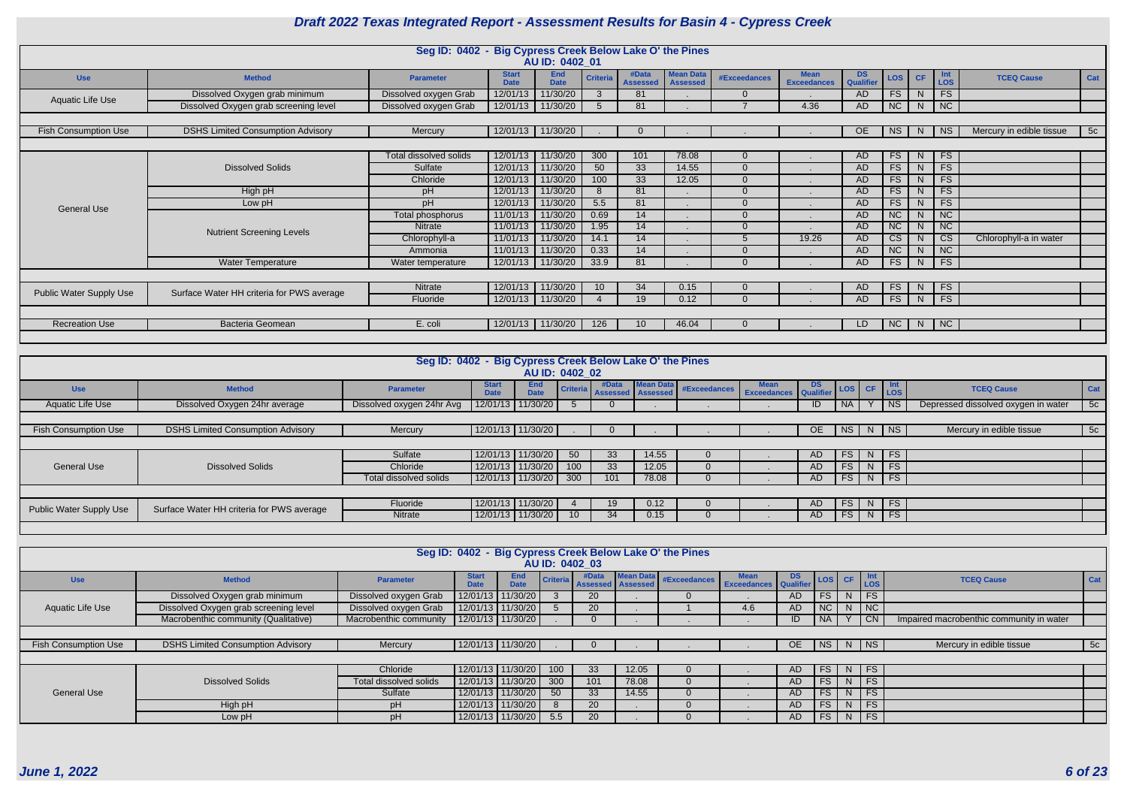|                                |                                           | Seg ID: 0402 - Big Cypress Creek Below Lake O' the Pines |                             | AU ID: 0402 01            |                 |                          |                                     |              |                                   |                        |                        |           |                       |                          |     |
|--------------------------------|-------------------------------------------|----------------------------------------------------------|-----------------------------|---------------------------|-----------------|--------------------------|-------------------------------------|--------------|-----------------------------------|------------------------|------------------------|-----------|-----------------------|--------------------------|-----|
| <b>Use</b>                     | <b>Method</b>                             | <b>Parameter</b>                                         | <b>Start</b><br><b>Date</b> | <b>End</b><br><b>Date</b> | <b>Criteria</b> | #Data<br><b>Assessed</b> | <b>Mean Data</b><br><b>Assessed</b> | #Exceedances | <b>Mean</b><br><b>Exceedances</b> | <b>DS</b><br>Qualifier | <b>LOS</b>             | <b>CF</b> | <b>Int</b><br>LOS     | <b>TCEQ Cause</b>        | Cat |
|                                | Dissolved Oxygen grab minimum             | Dissolved oxygen Grab                                    | 12/01/13                    | 11/30/20                  |                 | 81                       |                                     | $\Omega$     |                                   | AD                     | FS                     | N.        | FS                    |                          |     |
| Aquatic Life Use               | Dissolved Oxygen grab screening level     | Dissolved oxygen Grab                                    |                             | 12/01/13 11/30/20         | $5^{\circ}$     | 81                       |                                     |              | 4.36                              | AD                     | NC                     | N         | $\overline{\big }$ NC |                          |     |
|                                |                                           |                                                          |                             |                           |                 |                          |                                     |              |                                   |                        |                        |           |                       |                          |     |
| <b>Fish Consumption Use</b>    | <b>DSHS Limited Consumption Advisory</b>  | Mercury                                                  |                             | 12/01/13 11/30/20         |                 |                          |                                     |              |                                   | OE.                    | <b>NS</b>              | N.        | NS.                   | Mercury in edible tissue | 5c  |
|                                |                                           |                                                          |                             |                           |                 |                          |                                     |              |                                   |                        |                        |           |                       |                          |     |
|                                |                                           | Total dissolved solids                                   | 12/01/13                    | 11/30/20                  | 300             | 101                      | 78.08                               | $\Omega$     |                                   | AD                     | <b>FS</b>              | N.        | <b>FS</b>             |                          |     |
|                                | <b>Dissolved Solids</b>                   | Sulfate                                                  | 12/01/13                    | 11/30/20                  | 50              | 33                       | 14.55                               | $\Omega$     |                                   | AD                     | <b>FS</b>              | N         | <b>FS</b>             |                          |     |
|                                |                                           | Chloride                                                 | 12/01/13                    | 11/30/20                  | 100             | $\overline{33}$          | 12.05                               | $\Omega$     |                                   | AD                     | FS                     | N.        | FS                    |                          |     |
|                                | High pH                                   | pH                                                       | 12/01/13                    | 11/30/20                  | <b>8</b>        | 81                       |                                     | $\Omega$     |                                   | AD                     | FS                     | N         | <b>FS</b>             |                          |     |
| <b>General Use</b>             | Low pH                                    | pH                                                       | 12/01/13                    | 11/30/20                  | 5.5             | 81                       |                                     | $\Omega$     |                                   | AD                     | <b>FS</b>              | N.        | <b>FS</b>             |                          |     |
|                                |                                           | Total phosphorus                                         | 11/01/13                    | 11/30/20                  | 0.69            | 14                       |                                     | $\Omega$     |                                   | AD                     | NC                     |           | NC                    |                          |     |
|                                | <b>Nutrient Screening Levels</b>          | <b>Nitrate</b>                                           | 11/01/13                    | 11/30/20                  | 1.95            | 14                       |                                     | $\Omega$     |                                   | AD                     | NC                     |           | NC                    |                          |     |
|                                |                                           | Chlorophyll-a                                            | 11/01/13                    | 11/30/20                  | 14.1            | 14                       |                                     | 5.           | 19.26                             | AD                     | $\overline{\text{CS}}$ | N.        | <b>CS</b>             | Chlorophyll-a in water   |     |
|                                |                                           | Ammonia                                                  | 11/01/13                    | 11/30/20                  | 0.33            | 14                       |                                     | ∩            |                                   | AD                     | <b>NC</b>              |           | NC                    |                          |     |
|                                | <b>Water Temperature</b>                  | Water temperature                                        |                             | 12/01/13 11/30/20         | 33.9            | 81                       |                                     | $\Omega$     |                                   | AD                     | <b>FS</b>              | N         | FS                    |                          |     |
|                                |                                           |                                                          |                             |                           |                 |                          |                                     |              |                                   |                        |                        |           |                       |                          |     |
| <b>Public Water Supply Use</b> | Surface Water HH criteria for PWS average | Nitrate                                                  | 12/01/13                    | 11/30/20                  | 10 <sup>°</sup> | 34                       | 0.15                                | $\Omega$     |                                   | AD                     | <b>FS</b>              | N.        | <b>FS</b>             |                          |     |
|                                |                                           | Fluoride                                                 | 12/01/13                    | 11/30/20                  |                 | 19                       | 0.12                                | $\Omega$     |                                   | AD                     | FS                     | N         | FS                    |                          |     |
|                                |                                           |                                                          |                             |                           |                 |                          |                                     |              |                                   |                        |                        |           |                       |                          |     |
| <b>Recreation Use</b>          | Bacteria Geomean                          | E. coli                                                  | 12/01/13                    | 11/30/20                  | 126             | 10 <sup>°</sup>          | 46.04                               |              |                                   | LD.                    | <b>NC</b>              | N.        | $\overline{\big }$ NC |                          |     |
|                                |                                           |                                                          |                             |                           |                 |                          |                                     |              |                                   |                        |                        |           |                       |                          |     |

|                                |                                           | Seg ID: 0402 - Big Cypress Creek Below Lake O' the Pines |                             |                           |                 |                                     |           |                                               |     |        |                |                             |                                     |     |
|--------------------------------|-------------------------------------------|----------------------------------------------------------|-----------------------------|---------------------------|-----------------|-------------------------------------|-----------|-----------------------------------------------|-----|--------|----------------|-----------------------------|-------------------------------------|-----|
|                                |                                           |                                                          |                             | AU ID: 0402 02            |                 |                                     |           |                                               |     |        |                |                             |                                     |     |
| <b>Use</b>                     | <b>Method</b>                             | <b>Parameter</b>                                         | <b>Start</b><br><b>Date</b> | <b>End</b><br><b>Date</b> |                 | #Data<br>Criteria Assessed Assessed | Mean Data | #Exceedances Mean DS<br>Exceedances Qualifier |     | LOS CF |                | Int<br>LOS                  | <b>TCEQ Cause</b>                   | Cat |
| Aquatic Life Use               | Dissolved Oxygen 24hr average             | Dissolved oxygen 24hr Avg                                |                             | 12/01/13 11/30/20         | $\overline{5}$  |                                     |           |                                               | ID. | NA I   |                | N                           | Depressed dissolved oxygen in water | 5c  |
|                                |                                           |                                                          |                             |                           |                 |                                     |           |                                               |     |        |                |                             |                                     |     |
| Fish Consumption Use           | <b>DSHS Limited Consumption Advisory</b>  | Mercury                                                  |                             | 12/01/13 11/30/20         |                 |                                     |           |                                               | OE. | NS     |                | N   NS                      | Mercury in edible tissue            | 5c  |
|                                |                                           |                                                          |                             |                           |                 |                                     |           |                                               |     |        |                |                             |                                     |     |
|                                |                                           | Sulfate                                                  |                             | 12/01/13 11/30/20         | 50              | 33                                  | 14.55     |                                               | AD. | FS     | N <sub>1</sub> | FS                          |                                     |     |
| General Use                    | <b>Dissolved Solids</b>                   | Chloride                                                 | 12/01/13                    | 11/30/20                  | 100             | 33                                  | 12.05     |                                               | AD. | FS     | N.             | FS                          |                                     |     |
|                                |                                           | Total dissolved solids                                   |                             | 12/01/13 11/30/20         | 300             | 101                                 | 78.08     |                                               | AD. | FS     | N              | FS                          |                                     |     |
|                                |                                           |                                                          |                             |                           |                 |                                     |           |                                               |     |        |                |                             |                                     |     |
| <b>Public Water Supply Use</b> | Surface Water HH criteria for PWS average | Fluoride                                                 |                             | 12/01/13   11/30/20       |                 | 19                                  | 0.12      |                                               | AD. | FS     |                | N FS                        |                                     |     |
|                                |                                           | Nitrate                                                  |                             | 12/01/13 11/30/20         | 10 <sup>°</sup> | 34                                  | 0.15      |                                               | AD. | FS     | N              | $\overline{\phantom{a}}$ FS |                                     |     |
|                                |                                           |                                                          |                             |                           |                 |                                     |           |                                               |     |        |                |                             |                                     |     |

|                             |                                          |                        |                             |                           |     |                                     |                  | Seg ID: 0402 - Big Cypress Creek Below Lake O' the Pines |     |     |           |        |                             |                                          |     |
|-----------------------------|------------------------------------------|------------------------|-----------------------------|---------------------------|-----|-------------------------------------|------------------|----------------------------------------------------------|-----|-----|-----------|--------|-----------------------------|------------------------------------------|-----|
|                             |                                          |                        |                             |                           |     | AU ID: 0402 03                      |                  |                                                          |     |     |           |        |                             |                                          |     |
| <b>Use</b>                  | <b>Method</b>                            | <b>Parameter</b>       | <b>Start</b><br><b>Date</b> | <b>End</b><br><b>Date</b> |     | #Data<br>Criteria Assessed Assessed | <b>Mean Data</b> | #Exceedances Mean DS LOS CF Int                          |     |     |           |        |                             | <b>TCEQ Cause</b>                        | Cat |
|                             | Dissolved Oxygen grab minimum            | Dissolved oxygen Grab  |                             | 12/01/13 11/30/20         |     | 20                                  |                  |                                                          |     | AD. | FS        | $N$ FS |                             |                                          |     |
| Aquatic Life Use            | Dissolved Oxygen grab screening level    | Dissolved oxygen Grab  |                             | 12/01/13 11/30/20         |     | 20                                  |                  |                                                          | 4.6 | AD  | NC        |        | $N$ $NC$                    |                                          |     |
|                             | Macrobenthic community (Qualitative)     | Macrobenthic community |                             | 12/01/13 11/30/20         |     |                                     |                  |                                                          |     | ID. | <b>NA</b> |        | $\overline{\phantom{a}}$ CN | Impaired macrobenthic community in water |     |
|                             |                                          |                        |                             |                           |     |                                     |                  |                                                          |     |     |           |        |                             |                                          |     |
| <b>Fish Consumption Use</b> | <b>DSHS Limited Consumption Advisory</b> | Mercury                |                             | 12/01/13 11/30/20         |     |                                     |                  |                                                          |     | OE  | NS N NS   |        |                             | Mercury in edible tissue                 | 5c  |
|                             |                                          |                        |                             |                           |     |                                     |                  |                                                          |     |     |           |        |                             |                                          |     |
|                             |                                          | Chloride               |                             | 12/01/13 11/30/20         | 100 | 33                                  | 12.05            |                                                          |     | AD. | <b>FS</b> |        | $N$ FS                      |                                          |     |
|                             | <b>Dissolved Solids</b>                  | Total dissolved solids |                             | 12/01/13   11/30/20       | 300 | 101                                 | 78.08            |                                                          |     | AD. | FS        |        | N FS                        |                                          |     |
| <b>General Use</b>          |                                          | Sulfate                | 12/01/13                    | 11/30/20                  | 50  | 33                                  | 14.55            |                                                          |     | AD. | FS        | $N$ FS |                             |                                          |     |
|                             | High pH                                  | pH                     |                             | 12/01/13 11/30/20         |     | 20                                  |                  |                                                          |     | AD. | FS        |        | $N$ FS                      |                                          |     |
|                             | Low pH                                   | <b>DH</b>              |                             | 12/01/13 11/30/20         | 5.5 | 20                                  |                  |                                                          |     | AD  | <b>FS</b> | $N$ FS |                             |                                          |     |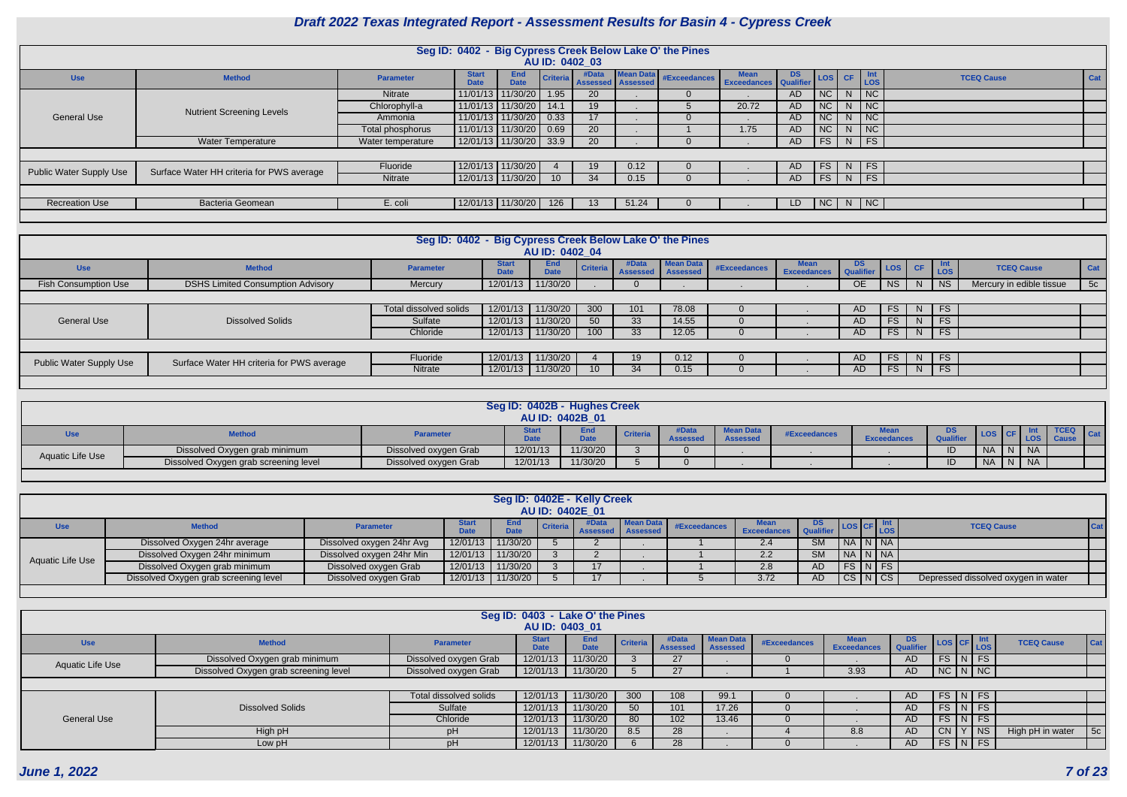| Ë | Int<br><b>LOS</b>      | <b>TCEQ Cause</b> | <b>Cat</b> |
|---|------------------------|-------------------|------------|
|   | NC                     |                   |            |
|   | NC                     |                   |            |
|   | NC                     |                   |            |
|   | $\overline{\text{NC}}$ |                   |            |
|   | FS                     |                   |            |
|   |                        |                   |            |
|   | FS                     |                   |            |
|   | FS                     |                   |            |
|   |                        |                   |            |
|   | NC                     |                   |            |
|   |                        |                   |            |

|                         |                                           |                   |                             |                           |                 | AU ID: 0402_03    |                                     | Seg ID: 0402 - Big Cypress Creek Below Lake O' the Pines |                                  |           |                  |           |                             |
|-------------------------|-------------------------------------------|-------------------|-----------------------------|---------------------------|-----------------|-------------------|-------------------------------------|----------------------------------------------------------|----------------------------------|-----------|------------------|-----------|-----------------------------|
| <b>Use</b>              | <b>Method</b>                             | <b>Parameter</b>  | <b>Start</b><br><b>Date</b> | <b>End</b><br><b>Date</b> | <b>Criteria</b> | #Data<br>Assessed | <b>Mean Data</b><br><b>Assessed</b> | #Exceedances                                             | Mean DS<br>Exceedances Qualifier |           | LOS <sup>1</sup> | <b>CF</b> | Int<br>LOS                  |
|                         |                                           | <b>Nitrate</b>    |                             | 11/01/13 11/30/20         | 1.95            | 20                |                                     | $\Omega$                                                 |                                  | <b>AD</b> | NC               | N         | NC                          |
|                         | <b>Nutrient Screening Levels</b>          | Chlorophyll-a     |                             | 11/01/13 11/30/20         | 14.1            | 19 <sup>°</sup>   |                                     | $\mathcal{D}$                                            | 20.72                            | <b>AD</b> | <b>NC</b>        | N.        | <b>NC</b>                   |
| General Use             |                                           | Ammonia           |                             | 11/01/13 11/30/20         | 0.33            | 17                |                                     |                                                          |                                  | <b>AD</b> | NC               | N         | NC                          |
|                         |                                           | Total phosphorus  |                             | 11/01/13 11/30/20         | 0.69            | 20                |                                     |                                                          | 1.75                             | <b>AD</b> | <b>NC</b>        | N.        | $\overline{\mathsf{NC}}$    |
|                         | <b>Water Temperature</b>                  | Water temperature |                             | 12/01/13 11/30/20         | 33.9            | 20                |                                     | $\Omega$                                                 |                                  | AD        | <b>FS</b>        | N         | FS                          |
|                         |                                           |                   |                             |                           |                 |                   |                                     |                                                          |                                  |           |                  |           |                             |
| Public Water Supply Use | Surface Water HH criteria for PWS average | Fluoride          |                             | 12/01/13 11/30/20         |                 | 19                | 0.12                                |                                                          |                                  | <b>AD</b> | <b>FS</b>        | N         | FS                          |
|                         |                                           | Nitrate           |                             | 12/01/13 11/30/20         | 10 <sup>°</sup> | 34                | 0.15                                | $\overline{0}$                                           |                                  | AD        | <b>FS</b>        | $N$ FS    |                             |
|                         |                                           |                   |                             |                           |                 |                   |                                     |                                                          |                                  |           |                  |           |                             |
| <b>Recreation Use</b>   | <b>Bacteria Geomean</b>                   | E. coli           |                             | 12/01/13 11/30/20         | 126             | 13                | 51.24                               | $\Omega$                                                 |                                  | LD        | <b>NC</b>        | N         | $\overline{\phantom{a}}$ NC |
|                         |                                           |                   |                             |                           |                 |                   |                                     |                                                          |                                  |           |                  |           |                             |

|                                |                                           | Seg ID: 0402 - Big Cypress Creek Below Lake O' the Pines |                             |                           |          |                          |                              |              |                                   |                 |            |           |                          |     |
|--------------------------------|-------------------------------------------|----------------------------------------------------------|-----------------------------|---------------------------|----------|--------------------------|------------------------------|--------------|-----------------------------------|-----------------|------------|-----------|--------------------------|-----|
|                                |                                           |                                                          |                             | AU ID: 0402 04            |          |                          |                              |              |                                   |                 |            |           |                          |     |
| <b>Use</b>                     | <b>Method</b>                             | <b>Parameter</b>                                         | <b>Start</b><br><b>Date</b> | <b>End</b><br><b>Date</b> | Criteria | #Data<br><b>Assessed</b> | Mean Data<br><b>Assessed</b> | #Exceedances | <b>Mean</b><br><b>Exceedances</b> | DS<br>Qualifier | LOS CF Int |           | <b>TCEQ Cause</b>        | Cat |
| <b>Fish Consumption Use</b>    | <b>DSHS Limited Consumption Advisory</b>  | Mercury                                                  | 12/01/13                    | 11/30/20                  |          |                          |                              |              |                                   | OE              | <b>NS</b>  | $ $ NS    | Mercury in edible tissue | 5c  |
|                                |                                           |                                                          |                             |                           |          |                          |                              |              |                                   |                 |            |           |                          |     |
|                                |                                           | Total dissolved solids                                   | 12/01/13                    | 11/30/20                  | 300      | 101                      | 78.08                        |              |                                   | AD.             | FS.        | <b>FS</b> |                          |     |
| <b>General Use</b>             | <b>Dissolved Solids</b>                   | Sulfate                                                  | 12/01/13                    | 11/30/20                  | 50       | 33                       | 14.55                        |              |                                   | AD.             | FS.        | <b>FS</b> |                          |     |
|                                |                                           | Chloride                                                 | 12/01/13                    | 11/30/20                  | 100      | 33                       | 12.05                        |              |                                   | AD              | <b>FS</b>  | FS        |                          |     |
|                                |                                           |                                                          |                             |                           |          |                          |                              |              |                                   |                 |            |           |                          |     |
| <b>Public Water Supply Use</b> | Surface Water HH criteria for PWS average | Fluoride                                                 | 12/01/13                    | 11/30/20                  |          | 19                       | 0.12                         |              |                                   | AD.             | FS.        | FS        |                          |     |
|                                |                                           | Nitrate                                                  | 12/01/13                    | 11/30/20                  |          | 34                       | 0.15                         |              |                                   | AD.             | FS         | <b>FS</b> |                          |     |
|                                |                                           |                                                          |                             |                           |          |                          |                              |              |                                   |                 |            |           |                          |     |

|                  |                                       |                       | Seg ID: 0402B - Hughes Creek | AU ID: 0402B 01 |                 |                |                            |              |                    |    |                   |     |
|------------------|---------------------------------------|-----------------------|------------------------------|-----------------|-----------------|----------------|----------------------------|--------------|--------------------|----|-------------------|-----|
| Use              | <b>Method</b>                         | <b>Parameter</b>      | 7.4.                         |                 | <b>Criteria</b> | <b>Assesse</b> | an Data<br><b>Assessed</b> | #Exceedances | <b>Exceedances</b> | DS |                   | Cat |
| Aquatic Life Use | Dissolved Oxygen grab minimum         | Dissolved oxygen Grab | 12/01/13                     | 11/30/20        |                 |                |                            |              |                    |    | <b>NA</b><br>- 14 |     |
|                  | Dissolved Oxygen grab screening level | Dissolved oxygen Grab | 12/01/13                     | 11/30/20        |                 |                |                            |              |                    |    | <b>NA</b><br>-N   |     |

|                  |                                       |                           |                                  |                           |                 | Seg ID: 0402E - Kelly Creek |                            |                        |                       |           |                       |                                     |         |
|------------------|---------------------------------------|---------------------------|----------------------------------|---------------------------|-----------------|-----------------------------|----------------------------|------------------------|-----------------------|-----------|-----------------------|-------------------------------------|---------|
|                  |                                       |                           |                                  |                           | AU ID: 0402E 01 |                             |                            |                        |                       |           |                       |                                     |         |
| <b>Use</b>       | <b>Method</b>                         | <b>Parameter</b>          | Star <sup>*</sup><br><b>Date</b> | <b>End</b><br><b>Date</b> |                 |                             | criteria Assessed Assessed | Mean Data #Exceedances | Exceedances Qualifier |           | $ cos $ $C = $ $ cos$ | <b>TCEQ Cause</b>                   | $ $ Cat |
|                  | Dissolved Oxygen 24hr average         | Dissolved oxygen 24hr Avg | 12/01/13                         | 11/30/20                  |                 |                             |                            |                        | 2.4                   | <b>SM</b> | NA N NA               |                                     |         |
| Aquatic Life Use | Dissolved Oxygen 24hr minimum         | Dissolved oxygen 24hr Min | 12/01/13                         | 11/30/20                  |                 |                             |                            |                        | 2.2                   | <b>SM</b> | NA   N   NA           |                                     |         |
|                  | Dissolved Oxygen grab minimum         | Dissolved oxygen Grab     | 12/01/13                         | 11/30/20                  |                 |                             |                            |                        | 2.8                   | AD.       | $FS$ $N$ $FS$         |                                     |         |
|                  | Dissolved Oxygen grab screening level | Dissolved oxygen Grab     | 12/01/13                         | 11/30/20                  |                 |                             |                            |                        | 3.72                  | AD.       | $CS$ $N$ $CS$         | Depressed dissolved oxygen in water |         |
|                  |                                       |                           |                                  |                           |                 |                             |                            |                        |                       |           |                       |                                     |         |

|                         |                                       |                        | Seg ID: 0403 - Lake O' the Pines |                           |                 |                          |                                     |              |                                   |                 |                    |        |                   |     |
|-------------------------|---------------------------------------|------------------------|----------------------------------|---------------------------|-----------------|--------------------------|-------------------------------------|--------------|-----------------------------------|-----------------|--------------------|--------|-------------------|-----|
|                         |                                       |                        | AU ID: 0403_01                   |                           |                 |                          |                                     |              |                                   |                 |                    |        |                   |     |
| <b>Use</b>              | <b>Method</b>                         | <b>Parameter</b>       | <b>Start</b>                     | <b>End</b><br><b>Date</b> | <b>Criteria</b> | #Data<br><b>Assessed</b> | <b>Mean Data</b><br><b>Assessed</b> | #Exceedances | <b>Mean</b><br><b>Exceedances</b> | DS<br>Qualifier | LOS CF LOS         |        | <b>TCEQ Cause</b> | Cat |
| <b>Aquatic Life Use</b> | Dissolved Oxygen grab minimum         | Dissolved oxygen Grab  | 12/01/13                         | 11/30/20                  |                 | 27                       |                                     |              |                                   | AD.             | <b>FS</b>          | $N$ FS |                   |     |
|                         | Dissolved Oxygen grab screening level | Dissolved oxygen Grab  | 12/01/13                         | 11/30/20                  |                 | 27                       |                                     |              | 3.93                              | AD.             | $NC$ $N$ $NC$      |        |                   |     |
|                         |                                       |                        |                                  |                           |                 |                          |                                     |              |                                   |                 |                    |        |                   |     |
|                         |                                       | Total dissolved solids | 12/01/13                         | 11/30/20                  | 300             | 108                      | 99.1                                |              |                                   | AD.             | $FS\mid N \mid FS$ |        |                   |     |
|                         | <b>Dissolved Solids</b>               | Sulfate                | 12/01/13                         | 11/30/20                  | 50 <sup>°</sup> | 101                      | 17.26                               |              |                                   | AD              | $FS$ $N$ $FS$      |        |                   |     |
| <b>General Use</b>      |                                       | Chloride               | 12/01/13                         | 11/30/20                  | 80              | 102                      | 13.46                               |              |                                   | AD              | $FS$ $N$ $FS$      |        |                   |     |
|                         | High pH                               | pH                     | 12/01/13                         | 11/30/20                  | 8.5             | 28                       |                                     |              | 8.8                               | AD.             | <b>CN</b>          | $ $ NS | High pH in water  | 5c  |
|                         | Low pH                                | pH                     | 12/01/13                         | 11/30/20                  |                 | 28                       |                                     |              |                                   | AD              | $FS$ $N$ $FS$      |        |                   |     |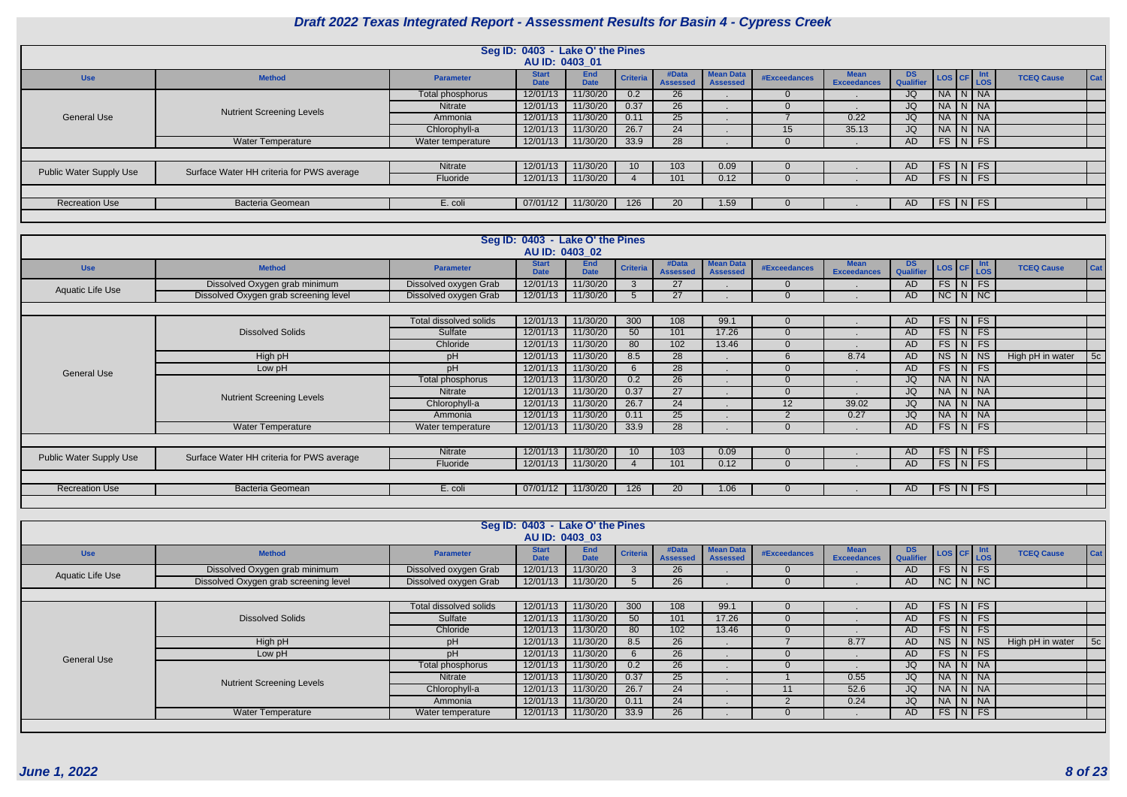| <b>Use</b>                                                                                                                                                                                                                                                                                                                                                                                                                                                                                                   | <b>Method</b> | <b>Parameter</b> | <b>Start</b><br><b>Date</b> | <b>End</b><br><b>Date</b> |      | #Data<br><b>Assessed</b> | <b>Mean Data</b><br><b>Assessed</b> | #Exceedances    | <b>Mean</b><br><b>Exceedances</b> | DS.<br><b>Qualifier</b> | LOS CF Int    |  |
|--------------------------------------------------------------------------------------------------------------------------------------------------------------------------------------------------------------------------------------------------------------------------------------------------------------------------------------------------------------------------------------------------------------------------------------------------------------------------------------------------------------|---------------|------------------|-----------------------------|---------------------------|------|--------------------------|-------------------------------------|-----------------|-----------------------------------|-------------------------|---------------|--|
|                                                                                                                                                                                                                                                                                                                                                                                                                                                                                                              |               | Total phosphorus | 12/01/13                    | 11/30/20                  | 0.2  | 26                       |                                     |                 |                                   | JQ                      | NA N NA       |  |
|                                                                                                                                                                                                                                                                                                                                                                                                                                                                                                              |               | Nitrate          | 12/01/13                    | 11/30/20                  | 0.37 | 26                       |                                     |                 |                                   | JQ                      | NA N NA       |  |
| <b>General Use</b>                                                                                                                                                                                                                                                                                                                                                                                                                                                                                           |               | Ammonia          | 12/01/13                    | 11/30/20                  | 0.11 | 25                       |                                     |                 | 0.22                              | JQ                      | NA N NA       |  |
|                                                                                                                                                                                                                                                                                                                                                                                                                                                                                                              |               | Chlorophyll-a    | 12/01/13                    | 11/30/20                  | 26.7 | 24                       |                                     | 15 <sup>°</sup> | 35.13                             | JQ                      | NA N NA       |  |
| Seg ID: 0403 - Lake O' the Pines<br>AU ID: 0403 01<br>Criteria<br><b>Nutrient Screening Levels</b><br><b>Water Temperature</b><br>11/30/20<br>12/01/13<br>33.9<br>28<br>Water temperature<br>11/30/20<br>12/01/13<br>103<br>Nitrate<br>0.09<br>10 <sup>°</sup><br>Surface Water HH criteria for PWS average<br>Public Water Supply Use<br>11/30/20<br>Fluoride<br>12/01/13<br>101<br>0.12<br><b>Bacteria Geomean</b><br>11/30/20<br><b>Recreation Use</b><br>E. coli<br>07/01/12<br>126<br><b>20</b><br>1.59 |               |                  | AD                          | $FS$ N FS                 |      |                          |                                     |                 |                                   |                         |               |  |
|                                                                                                                                                                                                                                                                                                                                                                                                                                                                                                              |               |                  |                             |                           |      |                          |                                     |                 |                                   |                         |               |  |
|                                                                                                                                                                                                                                                                                                                                                                                                                                                                                                              |               |                  |                             |                           |      |                          |                                     |                 |                                   | AD.                     | $FS$ $N$ $FS$ |  |
|                                                                                                                                                                                                                                                                                                                                                                                                                                                                                                              |               |                  |                             |                           |      |                          |                                     |                 |                                   | AD                      | FS N FS       |  |
|                                                                                                                                                                                                                                                                                                                                                                                                                                                                                                              |               |                  |                             |                           |      |                          |                                     |                 |                                   |                         |               |  |
|                                                                                                                                                                                                                                                                                                                                                                                                                                                                                                              |               |                  |                             |                           |      |                          |                                     |                 |                                   | AD                      | $FS$ N FS     |  |
|                                                                                                                                                                                                                                                                                                                                                                                                                                                                                                              |               |                  |                             |                           |      |                          |                                     |                 |                                   |                         |               |  |

| <b>Mean</b><br><b>Exceedances</b> | <b>DS</b><br><b>Qualifier</b> | <b>LOS</b> | <b>CF</b> | Int<br><b>LOS</b> | <b>TCEQ Cause</b> | Cat |
|-----------------------------------|-------------------------------|------------|-----------|-------------------|-------------------|-----|
| ٠                                 | <b>JQ</b>                     | <b>NA</b>  | N         | <b>NA</b>         |                   |     |
| ٠                                 | JQ                            | <b>NA</b>  | N         | <b>NA</b>         |                   |     |
| 0.22                              | JQ                            | <b>NA</b>  | N         | <b>NA</b>         |                   |     |
| 35.13                             | JQ                            | <b>NA</b>  | N         | <b>NA</b>         |                   |     |
| ٠                                 | <b>AD</b>                     | <b>FS</b>  | N         | <b>FS</b>         |                   |     |
|                                   |                               |            |           |                   |                   |     |
| ٠                                 | <b>AD</b>                     | <b>FS</b>  | N         | <b>FS</b>         |                   |     |
| ٠                                 | <b>AD</b>                     | <b>FS</b>  | N         | <b>FS</b>         |                   |     |
|                                   |                               |            |           |                   |                   |     |
| ٠                                 | <b>AD</b>                     | <b>FS</b>  | N         | <b>FS</b>         |                   |     |
|                                   |                               |            |           |                   |                   |     |

|                         |                                           |                               | Seg ID: 0403 - Lake O' the Pines |             |                 |                 |                  |              |                    |           |                    |                    |                   |                |
|-------------------------|-------------------------------------------|-------------------------------|----------------------------------|-------------|-----------------|-----------------|------------------|--------------|--------------------|-----------|--------------------|--------------------|-------------------|----------------|
|                         |                                           |                               | AU ID: 0403 02<br><b>Start</b>   | <b>End</b>  |                 | #Data           | <b>Mean Data</b> |              | Mean               | DS        |                    |                    |                   |                |
| <b>Use</b>              | <b>Method</b>                             | Parameter                     | <b>Date</b>                      | <b>Date</b> | <b>Criteria</b> | <b>Assessed</b> | <b>Assessed</b>  | #Exceedances | <b>Exceedances</b> | Qualifier | LOS CF             | $\vert$ Int<br>LOS | <b>TCEQ Cause</b> | Cat            |
| Aquatic Life Use        | Dissolved Oxygen grab minimum             | Dissolved oxygen Grab         | 12/01/13                         | 11/30/20    | $\mathbf{3}$    | 27              |                  | $\Omega$     |                    | AD        | $FS\mid N \mid FS$ |                    |                   |                |
|                         | Dissolved Oxygen grab screening level     | Dissolved oxygen Grab         | 12/01/13                         | 11/30/20    | $5^{\circ}$     | 27              |                  | $\Omega$     |                    | AD        | $NC$ $N$ $NC$      |                    |                   |                |
|                         |                                           |                               |                                  |             |                 |                 |                  |              |                    |           |                    |                    |                   |                |
|                         |                                           | <b>Total dissolved solids</b> | 12/01/13                         | 11/30/20    | 300             | 108             | 99.1             | $\Omega$     |                    | AD        | $FS$ $N$ $FS$      |                    |                   |                |
|                         | <b>Dissolved Solids</b>                   | Sulfate                       | 12/01/13                         | 11/30/20    | 50              | 101             | 17.26            | $\Omega$     |                    | AD        | $FS\mid N \mid FS$ |                    |                   |                |
|                         |                                           | Chloride                      | 12/01/13                         | 11/30/20    | 80              | 102             | 13.46            | $\Omega$     |                    | AD        | $FS$ $N$ $FS$      |                    |                   |                |
|                         | High pH                                   | pH                            | 12/01/13                         | 11/30/20    | 8.5             | 28              |                  |              | 8.74               | AD        | $NS$ $N$ $NS$      |                    | High pH in water  | 5 <sub>c</sub> |
| <b>General Use</b>      | Low pH                                    | pH                            | 12/01/13                         | 11/30/20    | 6               | 28              |                  | $\Omega$     |                    | AD        | $FS$ $N$ $FS$      |                    |                   |                |
|                         |                                           | Total phosphorus              | 12/01/13                         | 11/30/20    | 0.2             | 26              |                  | $\Omega$     |                    | JQ        | NA N NA            |                    |                   |                |
|                         | <b>Nutrient Screening Levels</b>          | <b>Nitrate</b>                | 12/01/13                         | 11/30/20    | 0.37            | 27              |                  | $\Omega$     |                    | JQ        | NA N NA            |                    |                   |                |
|                         |                                           | Chlorophyll-a                 | 12/01/13                         | 11/30/20    | 26.7            | 24              |                  | 12           | 39.02              | JQ        | NA N NA            |                    |                   |                |
|                         |                                           | Ammonia                       | 12/01/13                         | 11/30/20    | 0.11            | $\overline{25}$ |                  | റ            | 0.27               | <b>JQ</b> | NA N NA            |                    |                   |                |
|                         | Water Temperature                         | Water temperature             | 12/01/13                         | 11/30/20    | 33.9            | 28              |                  | $\Omega$     |                    | AD        | $FS$ N FS          |                    |                   |                |
|                         |                                           |                               |                                  |             |                 |                 |                  |              |                    |           |                    |                    |                   |                |
| Public Water Supply Use | Surface Water HH criteria for PWS average | Nitrate                       | 12/01/13                         | 11/30/20    | 10 <sup>°</sup> | 103             | 0.09             | $\Omega$     |                    | AD.       | $FS\mid N \mid FS$ |                    |                   |                |
|                         |                                           | Fluoride                      | 12/01/13                         | 11/30/20    |                 | 101             | 0.12             | $\Omega$     |                    | AD        | $FS\mid N \mid FS$ |                    |                   |                |
|                         |                                           |                               |                                  |             |                 |                 |                  |              |                    |           |                    |                    |                   |                |
| <b>Recreation Use</b>   | <b>Bacteria Geomean</b>                   | E. coli                       | 07/01/12                         | 11/30/20    | 126             | 20              | 1.06             |              |                    | AD.       | $FS\mid N \mid FS$ |                    |                   |                |
|                         |                                           |                               |                                  |             |                 |                 |                  |              |                    |           |                    |                    |                   |                |

| <b>Mean Data</b><br><b>Mean</b><br><b>Start</b><br><b>End</b><br>#Data<br>DS.<br>$\overline{C}$ LOS CF $\frac{Int}{LOS}$<br><b>Criteria</b><br><b>TCEQ Cause</b><br><b>Use</b><br><b>Method</b><br>#Exceedances<br><b>Parameter</b><br>Qualifier<br><b>Date</b><br><b>Exceedances</b><br><b>Date</b><br><b>Assessed</b><br><b>Assessed</b><br>$\sqrt{N}$ FS<br>FS<br>12/01/13<br>11/30/20<br>Dissolved Oxygen grab minimum<br>26<br>AD<br>Dissolved oxygen Grab<br><b>Aquatic Life Use</b><br>$NC \mid N \mid NC \mid$<br>Dissolved Oxygen grab screening level<br>12/01/13<br>11/30/20<br>Dissolved oxygen Grab<br><b>26</b><br>AD<br>$FS$ $N$ $FS$<br>12/01/13<br>300<br>Total dissolved solids<br>11/30/20<br>108<br>99.1<br>AD.<br>$FS$ $N$ $FS$<br><b>Dissolved Solids</b><br>12/01/13<br>11/30/20<br>50<br>101<br>17.26<br>Sulfate<br>AD.<br>FS.<br>$\lfloor N \rfloor$ FS<br>12/01/13<br>11/30/20<br>Chloride<br>80<br>102<br>13.46<br>AD.<br><b>NS</b><br>I NS<br>12/01/13<br>11/30/20<br>26<br>8.77<br>$\vert N \vert$<br>High pH<br>8.5<br><b>AD</b><br>High pH in water<br>pΗ<br>FS<br>$\vert N \vert$ FS<br>12/01/13<br>11/30/20<br>26<br>pH<br>AD.<br>Low pH<br><b>General Use</b><br>$\overline{N}$ $\overline{NA}$<br>11/30/20<br>26<br><b>NA</b><br>12/01/13<br>0.2<br>Total phosphorus<br>JQ<br>NA N NA<br>12/01/13<br>11/30/20<br>0.37<br>25<br>0.55<br>JQ<br>Nitrate<br><b>Nutrient Screening Levels</b> |  |               | Seg ID: 0403 - Lake O' the Pines<br>AU ID: 0403 03 |          |      |    |  |      |    |  |  |                |
|-----------------------------------------------------------------------------------------------------------------------------------------------------------------------------------------------------------------------------------------------------------------------------------------------------------------------------------------------------------------------------------------------------------------------------------------------------------------------------------------------------------------------------------------------------------------------------------------------------------------------------------------------------------------------------------------------------------------------------------------------------------------------------------------------------------------------------------------------------------------------------------------------------------------------------------------------------------------------------------------------------------------------------------------------------------------------------------------------------------------------------------------------------------------------------------------------------------------------------------------------------------------------------------------------------------------------------------------------------------------------------------------------------------------------------|--|---------------|----------------------------------------------------|----------|------|----|--|------|----|--|--|----------------|
|                                                                                                                                                                                                                                                                                                                                                                                                                                                                                                                                                                                                                                                                                                                                                                                                                                                                                                                                                                                                                                                                                                                                                                                                                                                                                                                                                                                                                             |  |               |                                                    |          |      |    |  |      |    |  |  | Cat            |
|                                                                                                                                                                                                                                                                                                                                                                                                                                                                                                                                                                                                                                                                                                                                                                                                                                                                                                                                                                                                                                                                                                                                                                                                                                                                                                                                                                                                                             |  |               |                                                    |          |      |    |  |      |    |  |  |                |
|                                                                                                                                                                                                                                                                                                                                                                                                                                                                                                                                                                                                                                                                                                                                                                                                                                                                                                                                                                                                                                                                                                                                                                                                                                                                                                                                                                                                                             |  |               |                                                    |          |      |    |  |      |    |  |  |                |
|                                                                                                                                                                                                                                                                                                                                                                                                                                                                                                                                                                                                                                                                                                                                                                                                                                                                                                                                                                                                                                                                                                                                                                                                                                                                                                                                                                                                                             |  |               |                                                    |          |      |    |  |      |    |  |  |                |
|                                                                                                                                                                                                                                                                                                                                                                                                                                                                                                                                                                                                                                                                                                                                                                                                                                                                                                                                                                                                                                                                                                                                                                                                                                                                                                                                                                                                                             |  |               |                                                    |          |      |    |  |      |    |  |  |                |
|                                                                                                                                                                                                                                                                                                                                                                                                                                                                                                                                                                                                                                                                                                                                                                                                                                                                                                                                                                                                                                                                                                                                                                                                                                                                                                                                                                                                                             |  |               |                                                    |          |      |    |  |      |    |  |  |                |
|                                                                                                                                                                                                                                                                                                                                                                                                                                                                                                                                                                                                                                                                                                                                                                                                                                                                                                                                                                                                                                                                                                                                                                                                                                                                                                                                                                                                                             |  |               |                                                    |          |      |    |  |      |    |  |  |                |
|                                                                                                                                                                                                                                                                                                                                                                                                                                                                                                                                                                                                                                                                                                                                                                                                                                                                                                                                                                                                                                                                                                                                                                                                                                                                                                                                                                                                                             |  |               |                                                    |          |      |    |  |      |    |  |  | 5 <sub>c</sub> |
|                                                                                                                                                                                                                                                                                                                                                                                                                                                                                                                                                                                                                                                                                                                                                                                                                                                                                                                                                                                                                                                                                                                                                                                                                                                                                                                                                                                                                             |  |               |                                                    |          |      |    |  |      |    |  |  |                |
|                                                                                                                                                                                                                                                                                                                                                                                                                                                                                                                                                                                                                                                                                                                                                                                                                                                                                                                                                                                                                                                                                                                                                                                                                                                                                                                                                                                                                             |  |               |                                                    |          |      |    |  |      |    |  |  |                |
|                                                                                                                                                                                                                                                                                                                                                                                                                                                                                                                                                                                                                                                                                                                                                                                                                                                                                                                                                                                                                                                                                                                                                                                                                                                                                                                                                                                                                             |  |               |                                                    |          |      |    |  |      |    |  |  |                |
| NA N NA                                                                                                                                                                                                                                                                                                                                                                                                                                                                                                                                                                                                                                                                                                                                                                                                                                                                                                                                                                                                                                                                                                                                                                                                                                                                                                                                                                                                                     |  | Chlorophyll-a | 12/01/13                                           | 11/30/20 | 26.7 | 24 |  | 52.6 | JQ |  |  |                |
| NA N NA<br>11/30/20<br>12/01/13<br>24<br>0.24<br>JQ<br>0.11<br>Ammonia                                                                                                                                                                                                                                                                                                                                                                                                                                                                                                                                                                                                                                                                                                                                                                                                                                                                                                                                                                                                                                                                                                                                                                                                                                                                                                                                                      |  |               |                                                    |          |      |    |  |      |    |  |  |                |
| $FS$ $N$ $FS$<br><b>Water Temperature</b><br>11/30/20<br>33.9<br>26<br>12/01/13<br><b>AD</b><br>Water temperature                                                                                                                                                                                                                                                                                                                                                                                                                                                                                                                                                                                                                                                                                                                                                                                                                                                                                                                                                                                                                                                                                                                                                                                                                                                                                                           |  |               |                                                    |          |      |    |  |      |    |  |  |                |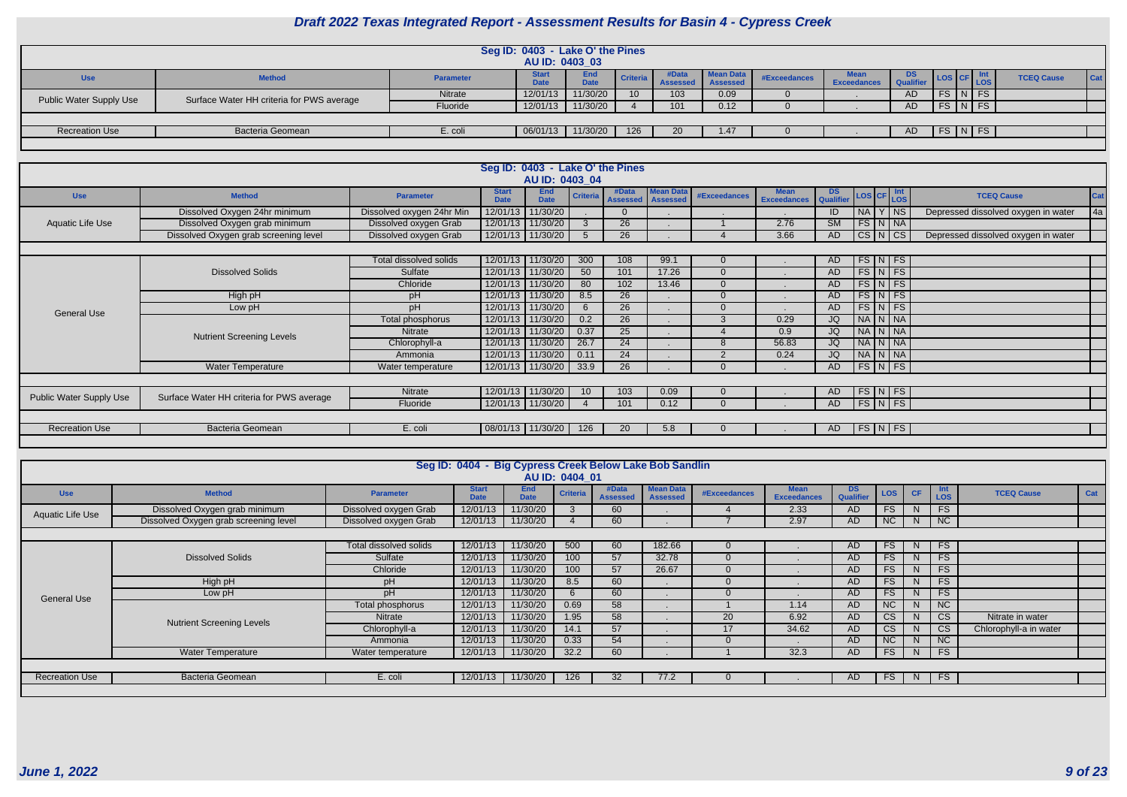|                         |                                           |                  | Seg ID: 0403 - Lake O' the Pines<br>AU ID: 0403 03 |                           |                 |                   |                                     |              |                            |               |                    |  |                   |            |
|-------------------------|-------------------------------------------|------------------|----------------------------------------------------|---------------------------|-----------------|-------------------|-------------------------------------|--------------|----------------------------|---------------|--------------------|--|-------------------|------------|
| <b>Use</b>              | <b>Method</b>                             | <b>Parameter</b> | <b>Start</b><br>Data                               | <b>End</b><br><b>Date</b> | Criteria        | #Data<br>Assessed | <b>Mean Data</b><br><b>Assessed</b> | #Exceedances | <b>Mean</b><br>Exceedances | DS.<br>Qualit | LOS CF LOS         |  | <b>TCEQ Cause</b> | <b>Cat</b> |
| Public Water Supply Use | Surface Water HH criteria for PWS average | Nitrate          | 12/01/13                                           | 11/30/20                  | 10 <sup>°</sup> | 103               | 0.09                                |              |                            | AD            | $FS$ $N$ $FS$      |  |                   |            |
|                         |                                           | Fluoride         | 12/01/13                                           | 11/30/20                  |                 | 101               | 0.12                                |              |                            | <b>AD</b>     | $FS\mid N \mid FS$ |  |                   |            |
|                         |                                           |                  |                                                    |                           |                 |                   |                                     |              |                            |               |                    |  |                   |            |
| <b>Recreation Use</b>   | <b>Bacteria Geomean</b>                   | E. coli          | 06/01/13                                           | 11/30/20                  | 126             | 20                | 1.47                                |              |                            | AD.           | FS N FS            |  |                   |            |
|                         |                                           |                  |                                                    |                           |                 |                   |                                     |              |                            |               |                    |  |                   |            |

| <b>Use</b>                                                                                                                                                                                                                                                                                                                                                                                                                                                                                                                                                                                                                                                                                                                                                                                                                                                                                                                                                                                                                                                                                                                                                                                                                                                                                                                                                                                                                                                                                                                                                                                                                                              | <b>Method</b> | <b>Parameter</b> | <b>Start</b><br><b>Date</b> | <b>End</b><br><b>Date</b> | <b>Criteria</b> | #Data<br><b>Assessed</b> | <b>Mean Data</b><br><b>Assessed</b> | <b>#Exceedances</b> | <b>Mean</b><br><b>Exceedances</b> | <b>DS</b><br>Qualifier |  |  | <b>TCEQ Cause</b>                   | <b>Cat</b> |  |
|---------------------------------------------------------------------------------------------------------------------------------------------------------------------------------------------------------------------------------------------------------------------------------------------------------------------------------------------------------------------------------------------------------------------------------------------------------------------------------------------------------------------------------------------------------------------------------------------------------------------------------------------------------------------------------------------------------------------------------------------------------------------------------------------------------------------------------------------------------------------------------------------------------------------------------------------------------------------------------------------------------------------------------------------------------------------------------------------------------------------------------------------------------------------------------------------------------------------------------------------------------------------------------------------------------------------------------------------------------------------------------------------------------------------------------------------------------------------------------------------------------------------------------------------------------------------------------------------------------------------------------------------------------|---------------|------------------|-----------------------------|---------------------------|-----------------|--------------------------|-------------------------------------|---------------------|-----------------------------------|------------------------|--|--|-------------------------------------|------------|--|
| Seg ID: 0403 - Lake O' the Pines<br>AU ID: 0403 04<br>$\textsf{LOS}\left \textsf{CF}\right \frac{\textsf{Int}}{\textsf{LOS}}$<br>NA Y NS<br>Dissolved Oxygen 24hr minimum<br>12/01/13<br>11/30/20<br>Dissolved oxygen 24hr Min<br>ID<br>$\Omega$<br>FS N NA<br>12/01/13 11/30/20<br>$\overline{26}$<br>$\overline{\text{SM}}$<br>Dissolved Oxygen grab minimum<br>2.76<br>Aquatic Life Use<br>Dissolved oxygen Grab<br>3<br>Dissolved Oxygen grab screening level<br>Dissolved oxygen Grab<br>$CS\vert N\vert CS$<br>12/01/13 11/30/20<br>26<br>3.66<br>AD<br>5<br>$FS\vert N \vert FS$<br>12/01/13 11/30/20<br>Total dissolved solids<br>300<br>108<br>99.1<br>$\Omega$<br>AD.<br>$FS\vert N \vert FS$<br>12/01/13 11/30/20<br>101<br>17.26<br><b>Dissolved Solids</b><br>50<br>Sulfate<br>$\Omega$<br>AD<br>$FS\vert N \vert FS$<br>Chloride<br>12/01/13 11/30/20<br>102<br>80<br>13.46<br>$\Omega$<br>AD<br>$FS\vert N \vert FS$<br>26<br>12/01/13 11/30/20<br>8.5<br>High pH<br>$\Omega$<br>pH<br>AD.<br>$FS\vert N \vert FS$<br>pH<br>12/01/13 11/30/20<br>26<br>Low pH<br>$\Omega$<br>AD<br><b>General Use</b><br>$\overline{26}$<br>NA N NA<br>12/01/13 11/30/20<br>0.2<br>0.29<br>JQ<br>Total phosphorus<br>$\mathcal{S}$<br>25<br>NA N NA<br>12/01/13 11/30/20<br>0.37<br>JQ<br>Nitrate<br>0.9<br><b>Nutrient Screening Levels</b><br>NA N NA<br>12/01/13 11/30/20<br>26.7<br>24<br>56.83<br>Chlorophyll-a<br>JQ<br>8<br>NA N NA<br>12/01/13   11/30/20  <br>24<br>0.11<br>$\Omega$<br>0.24<br>JQ<br>Ammonia<br>26<br>$FS\vert N \vert FS$<br><b>Water Temperature</b><br>12/01/13   11/30/20  <br>33.9<br>Water temperature<br>$\Omega$<br>AD |               |                  |                             |                           |                 |                          |                                     |                     |                                   |                        |  |  |                                     |            |  |
| 12/01/13 11/30/20<br>$FS\vert N \vert FS$<br>Nitrate<br>103<br>0.09<br>10 <sup>°</sup><br>$\Omega$<br>AD.<br><b>Public Water Supply Use</b><br>Surface Water HH criteria for PWS average<br>$FS\vert N \vert FS$<br>12/01/13 11/30/20<br>Fluoride<br>101<br>0.12<br>$\Omega$<br>AD                                                                                                                                                                                                                                                                                                                                                                                                                                                                                                                                                                                                                                                                                                                                                                                                                                                                                                                                                                                                                                                                                                                                                                                                                                                                                                                                                                      |               |                  |                             |                           |                 |                          |                                     |                     |                                   |                        |  |  |                                     |            |  |
|                                                                                                                                                                                                                                                                                                                                                                                                                                                                                                                                                                                                                                                                                                                                                                                                                                                                                                                                                                                                                                                                                                                                                                                                                                                                                                                                                                                                                                                                                                                                                                                                                                                         |               |                  |                             |                           |                 |                          |                                     |                     |                                   |                        |  |  | Depressed dissolved oxygen in water |            |  |
|                                                                                                                                                                                                                                                                                                                                                                                                                                                                                                                                                                                                                                                                                                                                                                                                                                                                                                                                                                                                                                                                                                                                                                                                                                                                                                                                                                                                                                                                                                                                                                                                                                                         |               |                  |                             |                           |                 |                          |                                     |                     |                                   |                        |  |  |                                     |            |  |
|                                                                                                                                                                                                                                                                                                                                                                                                                                                                                                                                                                                                                                                                                                                                                                                                                                                                                                                                                                                                                                                                                                                                                                                                                                                                                                                                                                                                                                                                                                                                                                                                                                                         |               |                  |                             |                           |                 |                          |                                     |                     |                                   |                        |  |  |                                     |            |  |
|                                                                                                                                                                                                                                                                                                                                                                                                                                                                                                                                                                                                                                                                                                                                                                                                                                                                                                                                                                                                                                                                                                                                                                                                                                                                                                                                                                                                                                                                                                                                                                                                                                                         |               |                  |                             |                           |                 |                          |                                     |                     |                                   |                        |  |  |                                     |            |  |
|                                                                                                                                                                                                                                                                                                                                                                                                                                                                                                                                                                                                                                                                                                                                                                                                                                                                                                                                                                                                                                                                                                                                                                                                                                                                                                                                                                                                                                                                                                                                                                                                                                                         |               |                  |                             |                           |                 |                          |                                     |                     |                                   |                        |  |  |                                     |            |  |
|                                                                                                                                                                                                                                                                                                                                                                                                                                                                                                                                                                                                                                                                                                                                                                                                                                                                                                                                                                                                                                                                                                                                                                                                                                                                                                                                                                                                                                                                                                                                                                                                                                                         |               |                  |                             |                           |                 |                          |                                     |                     |                                   |                        |  |  |                                     |            |  |
|                                                                                                                                                                                                                                                                                                                                                                                                                                                                                                                                                                                                                                                                                                                                                                                                                                                                                                                                                                                                                                                                                                                                                                                                                                                                                                                                                                                                                                                                                                                                                                                                                                                         |               |                  |                             |                           |                 |                          |                                     |                     |                                   |                        |  |  |                                     |            |  |
|                                                                                                                                                                                                                                                                                                                                                                                                                                                                                                                                                                                                                                                                                                                                                                                                                                                                                                                                                                                                                                                                                                                                                                                                                                                                                                                                                                                                                                                                                                                                                                                                                                                         |               |                  |                             |                           |                 |                          |                                     |                     |                                   |                        |  |  |                                     |            |  |
| Depressed dissolved oxygen in water<br>$FS\vert N \vert FS$<br><b>Bacteria Geomean</b><br>  08/01/13   11/30/20  <br><b>Recreation Use</b><br>E. coli<br>126<br>20<br>5.8<br>AD.                                                                                                                                                                                                                                                                                                                                                                                                                                                                                                                                                                                                                                                                                                                                                                                                                                                                                                                                                                                                                                                                                                                                                                                                                                                                                                                                                                                                                                                                        |               |                  |                             |                           |                 |                          |                                     |                     |                                   |                        |  |  |                                     |            |  |
|                                                                                                                                                                                                                                                                                                                                                                                                                                                                                                                                                                                                                                                                                                                                                                                                                                                                                                                                                                                                                                                                                                                                                                                                                                                                                                                                                                                                                                                                                                                                                                                                                                                         |               |                  |                             |                           |                 |                          |                                     |                     |                                   |                        |  |  |                                     |            |  |
|                                                                                                                                                                                                                                                                                                                                                                                                                                                                                                                                                                                                                                                                                                                                                                                                                                                                                                                                                                                                                                                                                                                                                                                                                                                                                                                                                                                                                                                                                                                                                                                                                                                         |               |                  |                             |                           |                 |                          |                                     |                     |                                   |                        |  |  |                                     |            |  |
|                                                                                                                                                                                                                                                                                                                                                                                                                                                                                                                                                                                                                                                                                                                                                                                                                                                                                                                                                                                                                                                                                                                                                                                                                                                                                                                                                                                                                                                                                                                                                                                                                                                         |               |                  |                             |                           |                 |                          |                                     |                     |                                   |                        |  |  |                                     |            |  |
|                                                                                                                                                                                                                                                                                                                                                                                                                                                                                                                                                                                                                                                                                                                                                                                                                                                                                                                                                                                                                                                                                                                                                                                                                                                                                                                                                                                                                                                                                                                                                                                                                                                         |               |                  |                             |                           |                 |                          |                                     |                     |                                   |                        |  |  |                                     |            |  |
|                                                                                                                                                                                                                                                                                                                                                                                                                                                                                                                                                                                                                                                                                                                                                                                                                                                                                                                                                                                                                                                                                                                                                                                                                                                                                                                                                                                                                                                                                                                                                                                                                                                         |               |                  |                             |                           |                 |                          |                                     |                     |                                   |                        |  |  |                                     |            |  |
|                                                                                                                                                                                                                                                                                                                                                                                                                                                                                                                                                                                                                                                                                                                                                                                                                                                                                                                                                                                                                                                                                                                                                                                                                                                                                                                                                                                                                                                                                                                                                                                                                                                         |               |                  |                             |                           |                 |                          |                                     |                     |                                   |                        |  |  |                                     |            |  |
|                                                                                                                                                                                                                                                                                                                                                                                                                                                                                                                                                                                                                                                                                                                                                                                                                                                                                                                                                                                                                                                                                                                                                                                                                                                                                                                                                                                                                                                                                                                                                                                                                                                         |               |                  |                             |                           |                 |                          |                                     |                     |                                   |                        |  |  |                                     |            |  |
|                                                                                                                                                                                                                                                                                                                                                                                                                                                                                                                                                                                                                                                                                                                                                                                                                                                                                                                                                                                                                                                                                                                                                                                                                                                                                                                                                                                                                                                                                                                                                                                                                                                         |               |                  |                             |                           |                 |                          |                                     |                     |                                   |                        |  |  |                                     |            |  |
|                                                                                                                                                                                                                                                                                                                                                                                                                                                                                                                                                                                                                                                                                                                                                                                                                                                                                                                                                                                                                                                                                                                                                                                                                                                                                                                                                                                                                                                                                                                                                                                                                                                         |               |                  |                             |                           |                 |                          |                                     |                     |                                   |                        |  |  |                                     |            |  |

|                         |                                       |                        | Seg ID: 0404 - Big Cypress Creek Below Lake Bob Sandlin |                           | AU ID: 0404 01  |                          |                                     |                     |                                   |                  |            |              |                   |                        |     |
|-------------------------|---------------------------------------|------------------------|---------------------------------------------------------|---------------------------|-----------------|--------------------------|-------------------------------------|---------------------|-----------------------------------|------------------|------------|--------------|-------------------|------------------------|-----|
| <b>Use</b>              | <b>Method</b>                         | <b>Parameter</b>       | <b>Start</b><br><b>Date</b>                             | <b>End</b><br><b>Date</b> | <b>Criteria</b> | #Data<br><b>Assessed</b> | <b>Mean Data</b><br><b>Assessed</b> | <b>#Exceedances</b> | <b>Mean</b><br><b>Exceedances</b> | DS.<br>Qualifier | <b>LOS</b> | <b>CF</b>    | Int<br><b>LOS</b> | <b>TCEQ Cause</b>      | Cat |
| <b>Aquatic Life Use</b> | Dissolved Oxygen grab minimum         | Dissolved oxygen Grab  | 12/01/13                                                | 11/30/20                  |                 | 60                       |                                     |                     | 2.33                              | AD.              | FS.        | <sup>N</sup> | <b>FS</b>         |                        |     |
|                         | Dissolved Oxygen grab screening level | Dissolved oxygen Grab  | 12/01/13                                                | 11/30/20                  |                 | 60                       |                                     |                     | 2.97                              | <b>AD</b>        | NC         | N            | NC                |                        |     |
|                         |                                       |                        |                                                         |                           |                 |                          |                                     |                     |                                   |                  |            |              |                   |                        |     |
|                         |                                       | Total dissolved solids | 12/01/13                                                | 11/30/20                  | 500             | 60                       | 182.66                              |                     |                                   | AD.              | FS         | N.           | FS                |                        |     |
|                         | <b>Dissolved Solids</b>               | Sulfate                | 12/01/13                                                | 11/30/20                  | 100             | 57                       | 32.78                               |                     |                                   | AD               | <b>FS</b>  | N.           | FS                |                        |     |
|                         |                                       | Chloride               | 12/01/13                                                | 11/30/20                  | 100             | 57                       | 26.67                               |                     |                                   | <b>AD</b>        | FS.        | N            | FS                |                        |     |
|                         | High pH                               | pH                     | 12/01/13                                                | 11/30/20                  | 8.5             | 60                       |                                     |                     |                                   | AD.              | <b>FS</b>  | <sup>N</sup> | FS                |                        |     |
| <b>General Use</b>      | Low pH                                | pH                     | 12/01/13                                                | 11/30/20                  |                 | 60                       |                                     |                     |                                   | <b>AD</b>        | <b>FS</b>  | N.           | FS                |                        |     |
|                         |                                       | Total phosphorus       | 12/01/13                                                | 11/30/20                  | 0.69            | 58                       |                                     |                     | 1.14                              | <b>AD</b>        | NC         | <sup>N</sup> | <b>NC</b>         |                        |     |
|                         | <b>Nutrient Screening Levels</b>      | Nitrate                | 12/01/13                                                | 11/30/20                  | .95             | 58                       |                                     | 20                  | 6.92                              | AD.              | CS.        | <sup>N</sup> | <b>CS</b>         | Nitrate in water       |     |
|                         |                                       | Chlorophyll-a          | 12/01/13                                                | 11/30/20                  | 14.1            | 57                       |                                     | 17                  | 34.62                             | AD.              | <b>CS</b>  | <sup>N</sup> | <b>CS</b>         | Chlorophyll-a in water |     |
|                         |                                       | Ammonia                | 12/01/13                                                | 11/30/20                  | 0.33            | 54                       |                                     |                     |                                   | <b>AD</b>        | NC         | N.           | <b>NC</b>         |                        |     |
|                         | <b>Water Temperature</b>              | Water temperature      | 12/01/13                                                | 11/30/20                  | 32.2            | 60                       |                                     |                     | 32.3                              | <b>AD</b>        | FS         | N            | FS                |                        |     |
|                         |                                       |                        |                                                         |                           |                 |                          |                                     |                     |                                   |                  |            |              |                   |                        |     |
| <b>Recreation Use</b>   | Bacteria Geomean                      | E. coli                | 12/01/13                                                | 11/30/20                  | 126             | 32                       | 77.2                                |                     |                                   | <b>AD</b>        | <b>FS</b>  | N            | FS                |                        |     |
|                         |                                       |                        |                                                         |                           |                 |                          |                                     |                     |                                   |                  |            |              |                   |                        |     |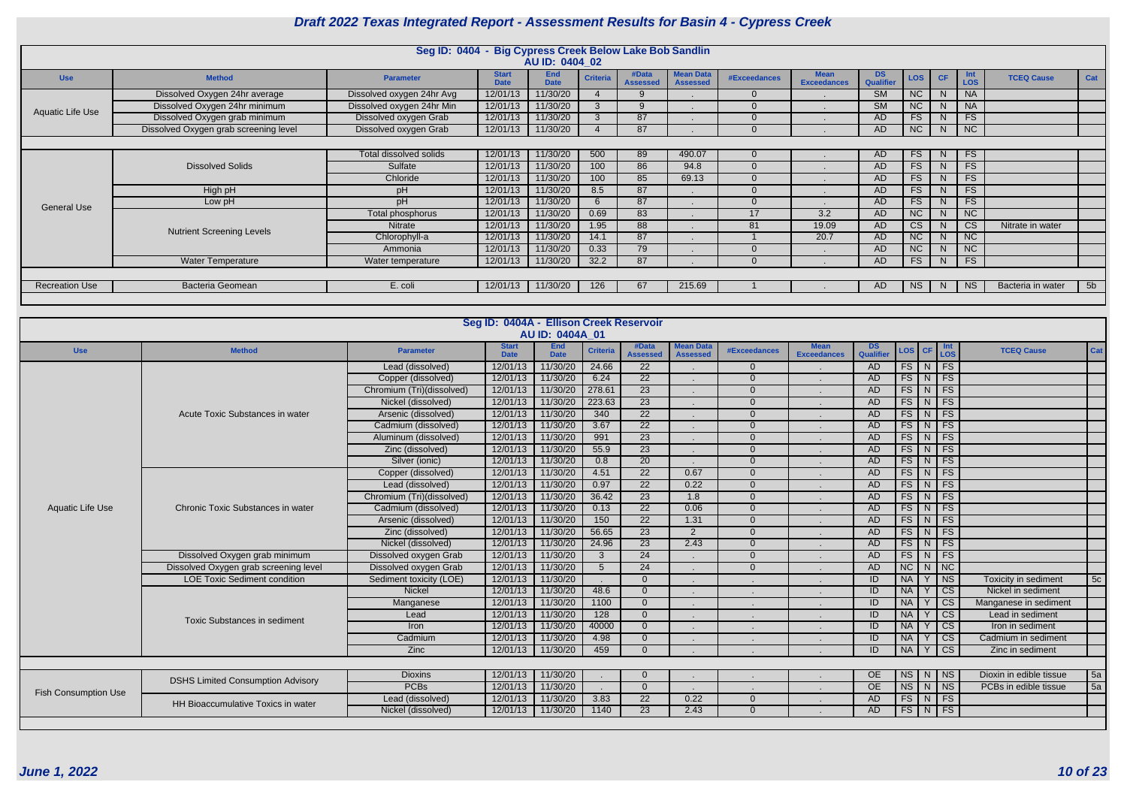|                       |                                       | Seg ID: 0404 - Big Cypress Creek Below Lake Bob Sandlin |                             |                           |                 |                          |                                     |              |                                   |                        |            |              |            |                   |                |
|-----------------------|---------------------------------------|---------------------------------------------------------|-----------------------------|---------------------------|-----------------|--------------------------|-------------------------------------|--------------|-----------------------------------|------------------------|------------|--------------|------------|-------------------|----------------|
|                       |                                       |                                                         |                             | AU ID: 0404 02            |                 |                          |                                     |              |                                   |                        |            |              |            |                   |                |
| <b>Use</b>            | <b>Method</b>                         | <b>Parameter</b>                                        | <b>Start</b><br><b>Date</b> | <b>End</b><br><b>Date</b> | <b>Criteria</b> | #Data<br><b>Assessed</b> | <b>Mean Data</b><br><b>Assessed</b> | #Exceedances | <b>Mean</b><br><b>Exceedances</b> | <b>DS</b><br>Qualifier | <b>LOS</b> | CF.          | Int<br>LOS | <b>TCEQ Cause</b> | Cat            |
|                       | Dissolved Oxygen 24hr average         | Dissolved oxygen 24hr Avg                               | 12/01/13                    | 11/30/20                  |                 |                          |                                     |              |                                   | <b>SM</b>              | <b>NC</b>  | N.           | <b>NA</b>  |                   |                |
| Aquatic Life Use      | Dissolved Oxygen 24hr minimum         | Dissolved oxygen 24hr Min                               | 12/01/13                    | 11/30/20                  |                 |                          |                                     |              |                                   | <b>SM</b>              | <b>NC</b>  | N            | <b>NA</b>  |                   |                |
|                       | Dissolved Oxygen grab minimum         | Dissolved oxygen Grab                                   | 12/01/13                    | 11/30/20                  |                 | 87                       |                                     |              |                                   | <b>AD</b>              | <b>FS</b>  | N            | FS         |                   |                |
|                       | Dissolved Oxygen grab screening level | Dissolved oxygen Grab                                   | 12/01/13                    | 11/30/20                  |                 | 87                       |                                     |              |                                   | AD                     | NC         | N            | NC         |                   |                |
|                       |                                       |                                                         |                             |                           |                 |                          |                                     |              |                                   |                        |            |              |            |                   |                |
|                       |                                       | Total dissolved solids                                  | 12/01/13                    | 11/30/20                  | 500             | 89                       | 490.07                              |              |                                   | <b>AD</b>              | <b>FS</b>  | N            | <b>FS</b>  |                   |                |
|                       | <b>Dissolved Solids</b>               | Sulfate                                                 | 12/01/13                    | 11/30/20                  | 100             | 86                       | 94.8                                |              |                                   | <b>AD</b>              | FS         | N            | FS         |                   |                |
|                       |                                       | Chloride                                                | 12/01/13                    | 11/30/20                  | 100             | 85                       | 69.13                               |              |                                   | <b>AD</b>              | <b>FS</b>  | N            | <b>FS</b>  |                   |                |
|                       | High pH                               | рH                                                      | 12/01/13                    | 11/30/20                  | 8.5             | 87                       |                                     |              |                                   | <b>AD</b>              | <b>FS</b>  | N.           | FS         |                   |                |
| <b>General Use</b>    | Low pH                                | pH                                                      | 12/01/13                    | 11/30/20                  | $\epsilon$      | 87                       |                                     |              |                                   | <b>AD</b>              | <b>FS</b>  | N            | FS         |                   |                |
|                       |                                       | Total phosphorus                                        | 12/01/13                    | 11/30/20                  | 0.69            | 83                       |                                     | 17           | $\overline{3.2}$                  | <b>AD</b>              | NC         | N            | NC         |                   |                |
|                       | <b>Nutrient Screening Levels</b>      | <b>Nitrate</b>                                          | 12/01/13                    | 11/30/20                  | 1.95            | 88                       |                                     | 81           | 19.09                             | <b>AD</b>              | <b>CS</b>  | <sup>N</sup> | <b>CS</b>  | Nitrate in water  |                |
|                       |                                       | Chlorophyll-a                                           | 12/01/13                    | 11/30/20                  | 14.1            | 87                       |                                     |              | 20.7                              | AD.                    | <b>NC</b>  | N            | <b>NC</b>  |                   |                |
|                       |                                       | Ammonia                                                 | 12/01/13                    | 11/30/20                  | 0.33            | 79                       |                                     |              |                                   | <b>AD</b>              | NC         | N            | NC         |                   |                |
|                       | Water Temperature                     | Water temperature                                       | 12/01/13                    | 11/30/20                  | 32.2            | 87                       |                                     |              |                                   | AD                     | <b>FS</b>  | N            | FS         |                   |                |
|                       |                                       |                                                         |                             |                           |                 |                          |                                     |              |                                   |                        |            |              |            |                   |                |
| <b>Recreation Use</b> | Bacteria Geomean                      | E. coli                                                 | 12/01/13                    | 11/30/20                  | 126             | 67                       | 215.69                              |              |                                   | AD.                    | <b>NS</b>  | N            | <b>NS</b>  | Bacteria in water | 5 <sub>b</sub> |
|                       |                                       |                                                         |                             |                           |                 |                          |                                     |              |                                   |                        |            |              |            |                   |                |

|                             |                                          |                           | Seg ID: 0404A - Ellison Creek Reservoir | AU ID: 0404A 01           |                  |                          |                                     |                |                                   |                        |                              |   |                        |                         |     |
|-----------------------------|------------------------------------------|---------------------------|-----------------------------------------|---------------------------|------------------|--------------------------|-------------------------------------|----------------|-----------------------------------|------------------------|------------------------------|---|------------------------|-------------------------|-----|
| <b>Use</b>                  | <b>Method</b>                            | <b>Parameter</b>          | <b>Start</b><br><b>Date</b>             | <b>End</b><br><b>Date</b> | <b>Criteria</b>  | #Data<br><b>Assessed</b> | <b>Mean Data</b><br><b>Assessed</b> | #Exceedances   | <b>Mean</b><br><b>Exceedances</b> | <b>DS</b><br>Qualifier | $\textsf{LOS}$ $\textsf{CF}$ |   | Int<br>LOS             | <b>TCEQ Cause</b>       | Cat |
|                             |                                          | Lead (dissolved)          | 12/01/13                                | 11/30/20                  | 24.66            | $\overline{22}$          |                                     | $\overline{0}$ |                                   | AD                     |                              |   | $FS$ N FS              |                         |     |
|                             |                                          | Copper (dissolved)        | 12/01/13                                | 11/30/20                  | 6.24             | $\overline{22}$          |                                     | $\Omega$       |                                   | AD                     | $FS\mid N \mid$              |   | $F_S$                  |                         |     |
|                             |                                          | Chromium (Tri)(dissolved) | 12/01/13                                | 11/30/20                  | 278.61           | $\overline{23}$          |                                     | $\overline{0}$ |                                   | AD                     | FS N                         |   | $\overline{FS}$        |                         |     |
|                             |                                          | Nickel (dissolved)        | 12/01/13                                | 11/30/20                  | 223.63           | $\overline{23}$          |                                     | $\overline{0}$ |                                   | <b>AD</b>              | $FS$ $N$                     |   | FS                     |                         |     |
|                             | Acute Toxic Substances in water          | Arsenic (dissolved)       | 12/01/13                                | 11/30/20                  | 340              | $\overline{22}$          |                                     | $\Omega$       |                                   | AD                     | $FS$ N                       |   | $\overline{FS}$        |                         |     |
|                             |                                          | Cadmium (dissolved)       | 12/01/13                                | 11/30/20                  | 3.67             | $\overline{22}$          |                                     | $\overline{0}$ |                                   | <b>AD</b>              | $FS$ N                       |   | $\overline{FS}$        |                         |     |
|                             |                                          | Aluminum (dissolved)      | 12/01/13                                | 11/30/20                  | 991              | $\overline{23}$          |                                     | $\Omega$       |                                   | AD                     | $FS$ N                       |   | F <sub>S</sub>         |                         |     |
|                             |                                          | Zinc (dissolved)          | 12/01/13                                | 11/30/20                  | 55.9             | 23                       |                                     | $\Omega$       |                                   | AD                     | FS N FS                      |   |                        |                         |     |
|                             |                                          | Silver (ionic)            | 12/01/13                                | 11/30/20                  | 0.8              | $\overline{20}$          |                                     | $\Omega$       |                                   | AD                     | $FS\mid N$                   |   | $\overline{FS}$        |                         |     |
|                             |                                          | Copper (dissolved)        | 12/01/13                                | 11/30/20                  | 4.51             | $\overline{22}$          | 0.67                                | $\Omega$       |                                   | AD                     | $FS$ N                       |   | FS                     |                         |     |
|                             |                                          | Lead (dissolved)          | 12/01/13                                | 11/30/20                  | 0.97             | $\overline{22}$          | 0.22                                | $\overline{0}$ |                                   | <b>AD</b>              | FS N                         |   | FS                     |                         |     |
|                             |                                          | Chromium (Tri)(dissolved) | 12/01/13                                | 11/30/20                  | 36.42            | 23                       | 1.8                                 | $\Omega$       |                                   | AD                     | FS N                         |   | FS                     |                         |     |
| <b>Aquatic Life Use</b>     | Chronic Toxic Substances in water        | Cadmium (dissolved)       | 12/01/13                                | 11/30/20                  | 0.13             | $\overline{22}$          | 0.06                                | $\overline{0}$ |                                   | AD                     | FS N                         |   | $\overline{FS}$        |                         |     |
|                             |                                          | Arsenic (dissolved)       | 12/01/13                                | 11/30/20                  | 150              | $\overline{22}$          | 1.31                                | $\Omega$       |                                   | <b>AD</b>              | $FS$ N                       |   | $\overline{FS}$        |                         |     |
|                             |                                          | Zinc (dissolved)          | 12/01/13                                | 11/30/20                  | 56.65            | 23                       | 2                                   | $\Omega$       |                                   | AD                     | FS N                         |   | FS                     |                         |     |
|                             |                                          | Nickel (dissolved)        | 12/01/13                                | 11/30/20                  | 24.96            | $\overline{23}$          | 2.43                                | $\Omega$       |                                   | <b>AD</b>              | $FS$ $N$ $FS$                |   |                        |                         |     |
|                             | Dissolved Oxygen grab minimum            | Dissolved oxygen Grab     | 12/01/13                                | 11/30/20                  | $\mathbf{3}$     | $\overline{24}$          |                                     | $\overline{0}$ |                                   | AD                     | $FS$ N                       |   | F <sub>S</sub>         |                         |     |
|                             | Dissolved Oxygen grab screening level    | Dissolved oxygen Grab     | 12/01/13                                | 11/30/20                  | $5\overline{)}$  | $\overline{24}$          |                                     | $\Omega$       |                                   | <b>AD</b>              | NC                           | N | $\overline{\text{NC}}$ |                         |     |
|                             | <b>LOE Toxic Sediment condition</b>      | Sediment toxicity (LOE)   | 12/01/13                                | 11/30/20                  |                  | $\Omega$                 |                                     |                |                                   | ID                     | <b>NA</b>                    | Y | N <sub>S</sub>         | Toxicity in sediment    | 5c  |
|                             |                                          | <b>Nickel</b>             | 12/01/13                                | 11/30/20                  | 48.6             | $\Omega$                 |                                     |                |                                   | ID                     | <b>NA</b>                    |   | $\overline{\text{cs}}$ | Nickel in sediment      |     |
|                             |                                          | Manganese                 | 12/01/13                                | 11/30/20                  | 1100             | $\Omega$                 |                                     |                |                                   | ID                     | <b>NA</b>                    |   | $\overline{\text{cs}}$ | Manganese in sediment   |     |
|                             |                                          | Lead                      | 12/01/13                                | 11/30/20                  | $\overline{128}$ | $\Omega$                 |                                     |                |                                   | ID                     | <b>NA</b>                    |   | $\overline{\text{cs}}$ | Lead in sediment        |     |
|                             | <b>Toxic Substances in sediment</b>      | Iron                      | 12/01/13                                | 11/30/20                  | 40000            | $\Omega$                 |                                     |                |                                   | ID                     | <b>NA</b>                    |   | $\overline{\text{cs}}$ | Iron in sediment        |     |
|                             |                                          | Cadmium                   | 12/01/13                                | 11/30/20                  | 4.98             | $\Omega$                 |                                     |                |                                   | ID                     | <b>NA</b>                    |   | $\overline{\text{CS}}$ | Cadmium in sediment     |     |
|                             |                                          | <b>Zinc</b>               | 12/01/13                                | 11/30/20                  | 459              | $\Omega$                 |                                     |                |                                   | ID                     | NA                           | Y | $\overline{\text{cs}}$ | Zinc in sediment        |     |
|                             |                                          |                           |                                         |                           |                  |                          |                                     |                |                                   |                        |                              |   |                        |                         |     |
|                             |                                          | <b>Dioxins</b>            | 12/01/13                                | 11/30/20                  |                  |                          |                                     |                |                                   | OE                     | NS N NS                      |   |                        | Dioxin in edible tissue | 5a  |
|                             | <b>DSHS Limited Consumption Advisory</b> | <b>PCBs</b>               | 12/01/13                                | 11/30/20                  |                  | $\Omega$                 |                                     |                |                                   | <b>OE</b>              | $NS$ $N$ $N$                 |   |                        | PCBs in edible tissue   | 5a  |
| <b>Fish Consumption Use</b> |                                          | Lead (dissolved)          | 12/01/13                                | 11/30/20                  | 3.83             | $\overline{22}$          | 0.22                                | $\overline{0}$ |                                   | AD                     | $FS$ N FS                    |   |                        |                         |     |
|                             | HH Bioaccumulative Toxics in water       | Nickel (dissolved)        | 12/01/13                                | 11/30/20                  | 1140             | 23                       | 2.43                                | $\Omega$       |                                   | AD.                    |                              |   | $FS$ $N$ $FS$          |                         |     |
|                             |                                          |                           |                                         |                           |                  |                          |                                     |                |                                   |                        |                              |   |                        |                         |     |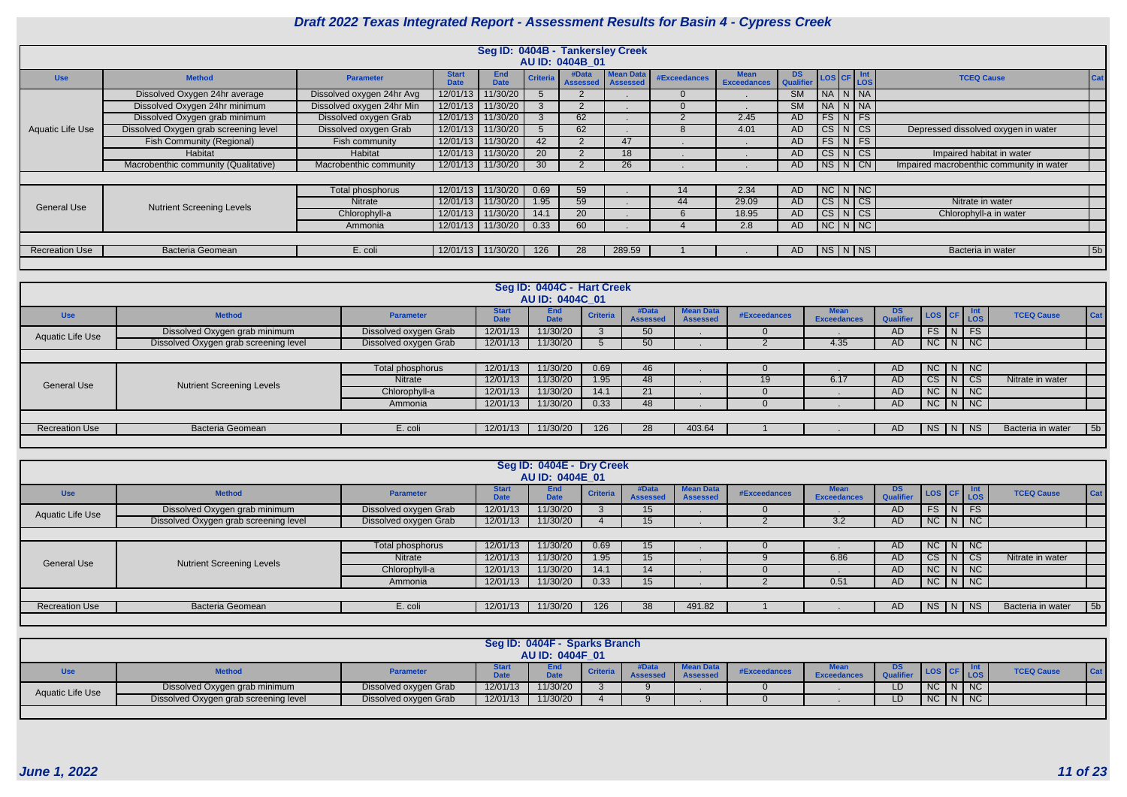|                       |                                       |                           |                             |                           |                 | Seg ID: 0404B - Tankersley Creek |                  |                     |                                   |                 |                        |                                                       |                                          |            |
|-----------------------|---------------------------------------|---------------------------|-----------------------------|---------------------------|-----------------|----------------------------------|------------------|---------------------|-----------------------------------|-----------------|------------------------|-------------------------------------------------------|------------------------------------------|------------|
|                       |                                       |                           |                             |                           |                 | AU ID: 0404B 01                  |                  |                     |                                   |                 |                        |                                                       |                                          |            |
| <b>Use</b>            | <b>Method</b>                         | <b>Parameter</b>          | <b>Start</b><br><b>Date</b> | <b>End</b><br><b>Date</b> | <b>Criteria</b> | #Data<br>Assessed   Assessed     | <b>Mean Data</b> | <b>#Exceedances</b> | <b>Mean</b><br><b>Exceedances</b> | DS<br>Qualifier |                        | $\textsf{LoS}$ CF $\frac{\textsf{Int}}{\textsf{LoS}}$ | <b>TCEQ Cause</b>                        | <b>Cat</b> |
|                       | Dissolved Oxygen 24hr average         | Dissolved oxygen 24hr Avg | 12/01/13                    | 11/30/20                  |                 |                                  |                  | $\Omega$            |                                   | <b>SM</b>       |                        | NA N NA                                               |                                          |            |
|                       | Dissolved Oxygen 24hr minimum         | Dissolved oxygen 24hr Min | 12/01/13 11/30/20           |                           |                 |                                  |                  |                     |                                   | <b>SM</b>       |                        | NA N NA                                               |                                          |            |
|                       | Dissolved Oxygen grab minimum         | Dissolved oxygen Grab     |                             | 12/01/13 11/30/20         |                 | 62                               |                  |                     | 2.45                              | <b>AD</b>       |                        | $FS\vert N \vert FS$                                  |                                          |            |
| Aquatic Life Use      | Dissolved Oxygen grab screening level | Dissolved oxygen Grab     | 12/01/13 11/30/20           |                           |                 | 62                               |                  |                     | 4.01                              | AD              | $\overline{\text{CS}}$ | NCS                                                   | Depressed dissolved oxygen in water      |            |
|                       | <b>Fish Community (Regional)</b>      | Fish community            | 12/01/13                    | 11/30/20                  | 42              |                                  | 47               |                     |                                   | <b>AD</b>       |                        | $FS\vert N \vert FS$                                  |                                          |            |
|                       | Habitat                               | Habitat                   | 12/01/13 11/30/20           |                           | <b>20</b>       |                                  | 18               |                     |                                   | <b>AD</b>       |                        | $CS\vert N\vert CS$                                   | Impaired habitat in water                |            |
|                       | Macrobenthic community (Qualitative)  | Macrobenthic community    |                             | 12/01/13 11/30/20         | 30 <sup>°</sup> |                                  | 26               |                     |                                   | <b>AD</b>       |                        | $NS/N$ CN                                             | Impaired macrobenthic community in water |            |
|                       |                                       |                           |                             |                           |                 |                                  |                  |                     |                                   |                 |                        |                                                       |                                          |            |
|                       |                                       | Total phosphorus          |                             | 12/01/13 11/30/20         | 0.69            | 59                               |                  | 14                  | 2.34                              | <b>AD</b>       |                        | $NC$ $N$ $NC$                                         |                                          |            |
| <b>General Use</b>    | <b>Nutrient Screening Levels</b>      | <b>Nitrate</b>            |                             | 12/01/13 11/30/20         | 1.95            | 59                               |                  | 44                  | 29.09                             | <b>AD</b>       |                        | CS N CS                                               | Nitrate in water                         |            |
|                       |                                       | Chlorophyll-a             |                             | 12/01/13 11/30/20         | 14.1            | 20                               |                  | 6                   | 18.95                             | <b>AD</b>       |                        | CS N CS                                               | Chlorophyll-a in water                   |            |
|                       |                                       | Ammonia                   |                             | 12/01/13 11/30/20         | 0.33            | 60                               |                  |                     | 2.8                               | <b>AD</b>       |                        | NCNNC                                                 |                                          |            |
|                       |                                       |                           |                             |                           |                 |                                  |                  |                     |                                   |                 |                        |                                                       |                                          |            |
| <b>Recreation Use</b> | <b>Bacteria Geomean</b>               | E. coli                   |                             | 12/01/13 11/30/20         | 126             | 28                               | 289.59           |                     |                                   | AD              |                        | NS N NS                                               | Bacteria in water                        | 5b         |
|                       |                                       |                           |                             |                           |                 |                                  |                  |                     |                                   |                 |                        |                                                       |                                          |            |

|                       | Seg ID: 0404C - Hart Creek            |                       |                             |                           |                 |                          |                                     |                 |                                   |                               |               |   |               |                   |     |
|-----------------------|---------------------------------------|-----------------------|-----------------------------|---------------------------|-----------------|--------------------------|-------------------------------------|-----------------|-----------------------------------|-------------------------------|---------------|---|---------------|-------------------|-----|
|                       |                                       |                       |                             |                           |                 |                          |                                     |                 |                                   |                               |               |   |               |                   |     |
|                       |                                       |                       |                             | AU ID: 0404C_01           |                 |                          |                                     |                 |                                   |                               |               |   |               |                   |     |
| <b>Use</b>            | <b>Method</b>                         | <b>Parameter</b>      | <b>Start</b><br><b>Date</b> | <b>End</b><br><b>Date</b> | <b>Criteria</b> | #Data<br><b>Assessed</b> | <b>Mean Data</b><br><b>Assessed</b> | #Exceedances    | <b>Mean</b><br><b>Exceedances</b> | <b>DS</b><br><b>Qualifier</b> | LOS CF Int    |   |               | <b>TCEQ Cause</b> | Cat |
| Aquatic Life Use      | Dissolved Oxygen grab minimum         | Dissolved oxygen Grab | 12/01/13                    | 11/30/20                  |                 | 50                       |                                     |                 |                                   | AD                            | FS NFS        |   |               |                   |     |
|                       | Dissolved Oxygen grab screening level | Dissolved oxygen Grab | 12/01/13                    | 11/30/20                  |                 | 50                       |                                     |                 | 4.35                              | AD                            | $N$ C $N$ $N$ |   |               |                   |     |
|                       |                                       |                       |                             |                           |                 |                          |                                     |                 |                                   |                               |               |   |               |                   |     |
|                       |                                       | Total phosphorus      | 12/01/13                    | 11/30/20                  | 0.69            | 46                       |                                     |                 |                                   | <b>AD</b>                     |               |   | $NC$ $N$ $NC$ |                   |     |
| <b>General Use</b>    | <b>Nutrient Screening Levels</b>      | Nitrate               | 12/01/13                    | 11/30/20                  | 1.95            | 48                       |                                     | 19 <sup>°</sup> | 6.17                              | <b>AD</b>                     | <b>CS</b>     | N | CS            | Nitrate in water  |     |
|                       |                                       | Chlorophyll-a         | 12/01/13                    | 11/30/20                  | 14.1            | 21                       |                                     |                 |                                   | <b>AD</b>                     |               |   | $NC$ $N$ $NC$ |                   |     |
|                       |                                       | Ammonia               | 12/01/13                    | 11/30/20                  | 0.33            | 48                       |                                     |                 |                                   | <b>AD</b>                     | $N$ C $N$ $N$ |   |               |                   |     |
|                       |                                       |                       |                             |                           |                 |                          |                                     |                 |                                   |                               |               |   |               |                   |     |
| <b>Recreation Use</b> | <b>Bacteria Geomean</b>               | E. coli               | 12/01/13                    | 11/30/20                  | 126             | 28                       | 403.64                              |                 |                                   | AD                            | NS N          |   | NS            | Bacteria in water | 5b  |
|                       |                                       |                       |                             |                           |                 |                          |                                     |                 |                                   |                               |               |   |               |                   |     |

|                       |                                       |                       |                             | Seg ID: 0404E - Dry Creek<br>AU ID: 0404E 01 |                 |                          |                                     |              |                                   |                               |               |                    |                                     |  |
|-----------------------|---------------------------------------|-----------------------|-----------------------------|----------------------------------------------|-----------------|--------------------------|-------------------------------------|--------------|-----------------------------------|-------------------------------|---------------|--------------------|-------------------------------------|--|
| <b>Use</b>            | <b>Method</b>                         | <b>Parameter</b>      | <b>Start</b><br><b>Date</b> | End<br><b>Date</b>                           | <b>Criteria</b> | #Data<br><b>Assessed</b> | <b>Mean Data</b><br><b>Assessed</b> | #Exceedances | <b>Mean</b><br><b>Exceedances</b> | <b>DS</b><br><b>Qualifier</b> | LOS CF Int    |                    | <b>TCEQ Cause</b><br>Cat            |  |
| Aquatic Life Use      | Dissolved Oxygen grab minimum         | Dissolved oxygen Grab | 12/01/13                    | 11/30/20                                     |                 | 15                       |                                     |              |                                   | <b>AD</b>                     | <b>FS</b>     | $N$ FS             |                                     |  |
|                       | Dissolved Oxygen grab screening level | Dissolved oxygen Grab | 12/01/13                    | 11/30/20                                     |                 | 15 <sup>15</sup>         |                                     |              | 3.2                               | AD                            | NC N NC       |                    |                                     |  |
|                       |                                       |                       |                             |                                              |                 |                          |                                     |              |                                   |                               |               |                    |                                     |  |
|                       |                                       | Total phosphorus      | 12/01/13                    | 11/30/20                                     | 0.69            | 15                       |                                     |              |                                   | <b>AD</b>                     | $NC$ $N$ $NC$ |                    |                                     |  |
| <b>General Use</b>    | <b>Nutrient Screening Levels</b>      | <b>Nitrate</b>        | 12/01/13                    | 11/30/20                                     | 1.95            | 15                       |                                     |              | 6.86                              | <b>AD</b>                     | CS            | $N \cos$           | Nitrate in water                    |  |
|                       |                                       | Chlorophyll-a         | 12/01/13                    | 11/30/20                                     | 14.1            | 14                       |                                     |              |                                   | <b>AD</b>                     | $NC$ $N$ $NC$ |                    |                                     |  |
|                       |                                       | Ammonia               | 12/01/13                    | 11/30/20                                     | 0.33            | 15 <sup>15</sup>         |                                     |              | 0.51                              | AD                            | NC N NC       |                    |                                     |  |
|                       |                                       |                       |                             |                                              |                 |                          |                                     |              |                                   |                               |               |                    |                                     |  |
| <b>Recreation Use</b> | <b>Bacteria Geomean</b>               | E. coli               | 12/01/13                    | 11/30/20                                     | 126             | 38                       | 491.82                              |              |                                   | AD                            | NS            | $\vert N \vert$ NS | Bacteria in water<br>5 <sub>b</sub> |  |
|                       |                                       |                       |                             |                                              |                 |                          |                                     |              |                                   |                               |               |                    |                                     |  |

|                  |                                       |                       |          | Seg ID: 0404F - Sparks Branch<br>AU ID: 0404F 01 |                 |      |                  |              |                            |     |           |                    |                         |
|------------------|---------------------------------------|-----------------------|----------|--------------------------------------------------|-----------------|------|------------------|--------------|----------------------------|-----|-----------|--------------------|-------------------------|
| <b>Use</b>       | <b>Method</b>                         | <b>Parameter</b>      | $-4-$    | <b>End</b><br><b>DAL-</b>                        | <b>Criteria</b> | Data | <b>Mean Data</b> | #Exceedances | Mean<br><b>Exceedances</b> | DS. |           | <b>LOS</b>         | <b>TCEQ Caus</b><br>Cat |
| Aquatic Life Use | Dissolved Oxygen grab minimum         | Dissolved oxygen Grab | 12/01/13 | 11/30/20                                         |                 |      |                  |              |                            | LD  | NC        | $\vert N \vert NC$ |                         |
|                  | Dissolved Oxygen grab screening level | Dissolved oxygen Grab | 12/01/13 | 11/30/20                                         |                 |      |                  |              |                            | LD  | <b>NC</b> | $\vert N \vert NC$ |                         |
|                  |                                       |                       |          |                                                  |                 |      |                  |              |                            |     |           |                    |                         |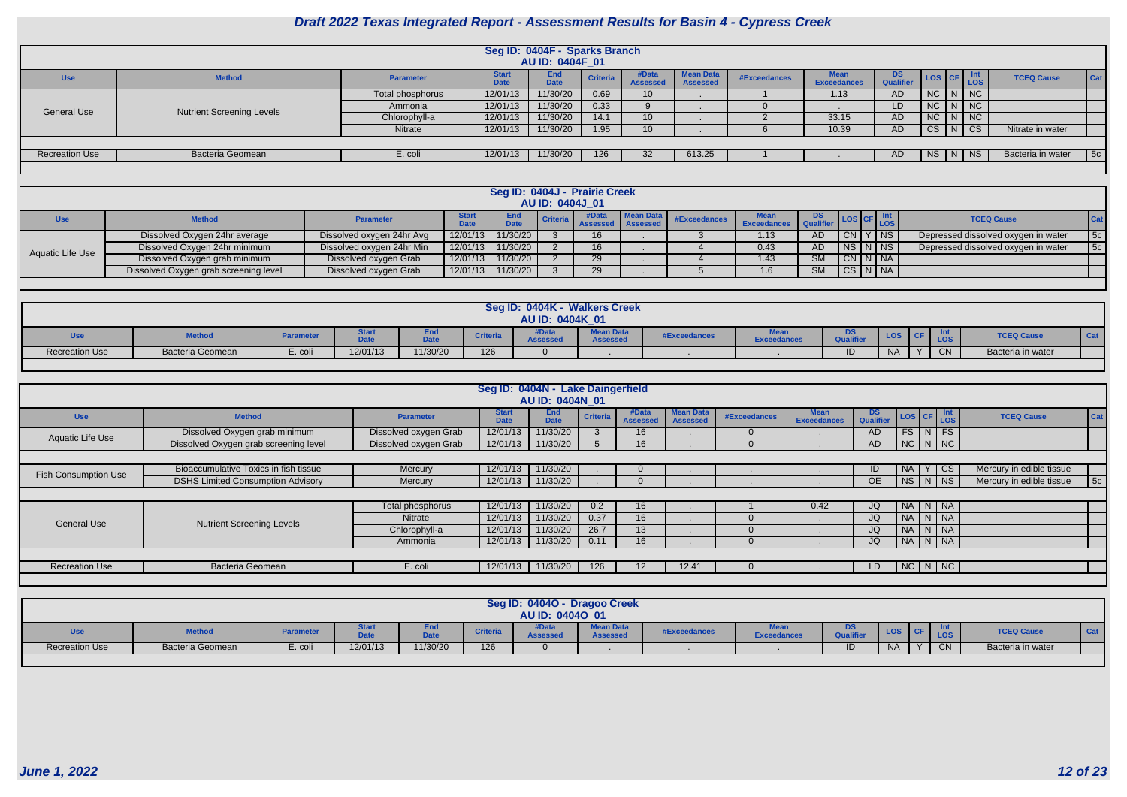|                       |                                  |                  |                      | Seg ID: 0404F - Sparks Branch<br>AU ID: 0404F_01 |                 |                          |                                     |              |                                   |                        |                                                    |                    |                   |     |
|-----------------------|----------------------------------|------------------|----------------------|--------------------------------------------------|-----------------|--------------------------|-------------------------------------|--------------|-----------------------------------|------------------------|----------------------------------------------------|--------------------|-------------------|-----|
| <b>Use</b>            | <b>Method</b>                    | <b>Parameter</b> | Start<br><b>Jate</b> | <b>End</b><br><b>Date</b>                        | <b>Criteria</b> | #Data<br><b>Assessed</b> | <b>Mean Data</b><br><b>Assessed</b> | #Exceedances | <b>Mean</b><br><b>Exceedances</b> | <b>DS</b><br>Qualifier | $\left  \cos \left  \text{CF} \right  \right.$ Int | <b>LOS</b>         | <b>TCEQ Cause</b> | Cat |
|                       |                                  | Total phosphorus | 12/01/13             | 11/30/20                                         | 0.69            | 10 <sup>°</sup>          |                                     |              | 1.13                              | <b>AD</b>              | $NC$ $N$ $NC$                                      |                    |                   |     |
| <b>General Use</b>    | <b>Nutrient Screening Levels</b> | Ammonia          | 12/01/13             | 11/30/20                                         | 0.33            |                          |                                     |              |                                   | LD                     | <b>NC</b>                                          | $\vert N \vert NC$ |                   |     |
|                       |                                  | Chlorophyll-a    | 12/01/13             | 11/30/20                                         | 14.1            | 10 <sup>°</sup>          |                                     |              | 33.15                             | AD                     | $NC$ $N$ $NC$                                      |                    |                   |     |
|                       |                                  | Nitrate          | 12/01/13             | 11/30/20                                         | 1.95            | 10 <sup>°</sup>          |                                     |              | 10.39                             | <b>AD</b>              | <b>CS</b>                                          | $ N $ CS           | Nitrate in water  |     |
|                       |                                  |                  |                      |                                                  |                 |                          |                                     |              |                                   |                        |                                                    |                    |                   |     |
| <b>Recreation Use</b> | <b>Bacteria Geomean</b>          | E. coli          | 12/01/13             | 11/30/20                                         | 126             |                          | 613.25                              |              |                                   | AD                     | NS   N   NS                                        |                    | Bacteria in water | 5c  |
|                       |                                  |                  |                      |                                                  |                 |                          |                                     |              |                                   |                        |                                                    |                    |                   |     |

|                  |                                       |                           |             |             | AU ID: 0404J 01 | Seg ID: 0404J - Prairie Creek |                                            |                                   |                       |     |                          |                                     |            |
|------------------|---------------------------------------|---------------------------|-------------|-------------|-----------------|-------------------------------|--------------------------------------------|-----------------------------------|-----------------------|-----|--------------------------|-------------------------------------|------------|
| <b>Use</b>       | <b>Method</b>                         | <b>Parameter</b>          | <b>Date</b> | <b>Data</b> |                 |                               | <b>Extra de Criteria Assessed Assessed</b> | <b>And Mean Data</b> #Exceedances | Exceedances Qualifier |     | $\mathsf{LOS}$           | <b>TCEQ Cause</b>                   | <b>Cat</b> |
|                  | Dissolved Oxygen 24hr average         | Dissolved oxygen 24hr Avg | 12/01/13    | 11/30/20    |                 | 16.                           |                                            |                                   | 1.13                  | AD. | CN Y NS                  | Depressed dissolved oxygen in water | 5c         |
| Aquatic Life Use | Dissolved Oxygen 24hr minimum         | Dissolved oxygen 24hr Min | 12/01/13    | 11/30/20    |                 | 16 <sup>1</sup>               |                                            |                                   | 0.43                  | AD. | $NS\vert N\vert NS\vert$ | Depressed dissolved oxygen in water | 5c         |
|                  | Dissolved Oxygen grab minimum         | Dissolved oxygen Grab     | 12/01/13    | 11/30/20    |                 | 29                            |                                            |                                   | 1.43                  | SM  | $CN$ $N$ $NA$            |                                     |            |
|                  | Dissolved Oxygen grab screening level | Dissolved oxygen Grab     | 12/01/13    | 11/30/20    |                 | 29                            |                                            |                                   |                       | SM  | CS N NA                  |                                     |            |
|                  |                                       |                           |             |             |                 |                               |                                            |                                   |                       |     |                          |                                     |            |

|                       |                  |                  |                               |                     |                 | AU ID: 0404K_01          | Seg ID: 0404K - Walkers Creek |                     |                    |            |            |     |                   |     |
|-----------------------|------------------|------------------|-------------------------------|---------------------|-----------------|--------------------------|-------------------------------|---------------------|--------------------|------------|------------|-----|-------------------|-----|
| <b>UJU</b>            | <b>Method</b>    | <b>Parameter</b> | <b>Barbara</b><br><u>mari</u> | спо<br>Date<br>salv | <b>Criteria</b> | <b>/Data</b><br>Assessec | <b>Mean Data</b><br>Assessed  | <b>#Exceedances</b> | <b>Exceedances</b> | Ouglifier. | <b>LOS</b> | LOS | <b>TCEQ Cause</b> | Cat |
| <b>Recreation Use</b> | Bacteria Geomean | E. coli          | 12/01/13                      | 11/30/20            | 126             |                          |                               |                     |                    | ID         | <b>NA</b>  | CN  | Bacteria in water |     |

|                             |                                          |                       | Seg ID: 0404N - Lake Daingerfield |                           |                 |                          |                                     |                |                                   |                         |         |                   |                          |     |
|-----------------------------|------------------------------------------|-----------------------|-----------------------------------|---------------------------|-----------------|--------------------------|-------------------------------------|----------------|-----------------------------------|-------------------------|---------|-------------------|--------------------------|-----|
|                             |                                          |                       |                                   | AU ID: 0404N 01           |                 |                          |                                     |                |                                   |                         |         |                   |                          |     |
| <b>Use</b>                  | <b>Method</b>                            | <b>Parameter</b>      | <b>Start</b><br><b>Date</b>       | <b>End</b><br><b>Date</b> | <b>Criteria</b> | #Data<br><b>Assessed</b> | <b>Mean Data</b><br><b>Assessed</b> | #Exceedances   | <b>Mean</b><br><b>Exceedances</b> | DS.<br><b>Qualifier</b> |         | LOS CF LOS        | <b>TCEQ Cause</b>        | Cat |
| Aquatic Life Use            | Dissolved Oxygen grab minimum            | Dissolved oxygen Grab | 12/01/13                          | 11/30/20                  |                 | 16 <sup>1</sup>          |                                     | $\overline{0}$ |                                   | AD.                     |         | $FS$ $N$ $FS$     |                          |     |
|                             | Dissolved Oxygen grab screening level    | Dissolved oxygen Grab | 12/01/13                          | 11/30/20                  |                 | 16                       |                                     | $\Omega$       |                                   | AD.                     |         | NCI N/NC          |                          |     |
|                             |                                          |                       |                                   |                           |                 |                          |                                     |                |                                   |                         |         |                   |                          |     |
| <b>Fish Consumption Use</b> | Bioaccumulative Toxics in fish tissue    | Mercury               | 12/01/13                          | 11/30/20                  |                 |                          |                                     |                |                                   | ID                      | NA      | CS.               | Mercury in edible tissue |     |
|                             | <b>DSHS Limited Consumption Advisory</b> | Mercury               | 12/01/13                          | 11/30/20                  |                 |                          |                                     |                |                                   | <b>OE</b>               |         | NS   N   NS       | Mercury in edible tissue | 5c  |
|                             |                                          |                       |                                   |                           |                 |                          |                                     |                |                                   |                         |         |                   |                          |     |
|                             |                                          | Total phosphorus      | 12/01/13                          | 11/30/20                  | 0.2             | 16                       |                                     |                | 0.42                              | JQ                      |         | NA N NA           |                          |     |
| <b>General Use</b>          | <b>Nutrient Screening Levels</b>         | Nitrate               | 12/01/13                          | 11/30/20                  | 0.37            | 16                       |                                     | $\Omega$       |                                   | JQ                      | NA N NA |                   |                          |     |
|                             |                                          | Chlorophyll-a         | 12/01/13                          | 11/30/20                  | 26.7            | 13                       |                                     | $\Omega$       |                                   | JQ                      | NA N NA |                   |                          |     |
|                             |                                          | Ammonia               | 12/01/13                          | 11/30/20                  | 0.11            | 16 <sup>1</sup>          |                                     | $\Omega$       |                                   | JQ                      |         | NA   N   NA       |                          |     |
|                             |                                          |                       |                                   |                           |                 |                          |                                     |                |                                   |                         |         |                   |                          |     |
| <b>Recreation Use</b>       | <b>Bacteria Geomean</b>                  | E. coli               | 12/01/13                          | 11/30/20                  | 126             | 12 <sup>2</sup>          | 12.41                               | $\Omega$       |                                   | LD.                     |         | $N$ C $N$ $N$ $C$ |                          |     |
|                             |                                          |                       |                                   |                           |                 |                          |                                     |                |                                   |                         |         |                   |                          |     |

|                       |                  |                |                               |                    |                 | AU ID: 04040_01          | Seg ID: 04040 - Dragoo Creek        |              |                    |                 |            |     |                   |            |
|-----------------------|------------------|----------------|-------------------------------|--------------------|-----------------|--------------------------|-------------------------------------|--------------|--------------------|-----------------|------------|-----|-------------------|------------|
| uou                   | <b>Method</b>    | <b>Paramet</b> | <b>Barbara</b><br><u>mara</u> | спо<br>Nata<br>puw | <b>Criteria</b> | <b>AData</b><br>Assessec | <b>Mean Data</b><br><b>Assessed</b> | #Exceedances | <b>Exceedances</b> | DΘ<br>Qualifier | <b>LOS</b> | LOS | <b>TCEQ Cause</b> | <b>Cat</b> |
| <b>Recreation Use</b> | Bacteria Geomean | E. coli        | 12/01/13                      | 11/30/20           | 126             |                          |                                     |              |                    | ID              | <b>NA</b>  | CN. | Bacteria in water |            |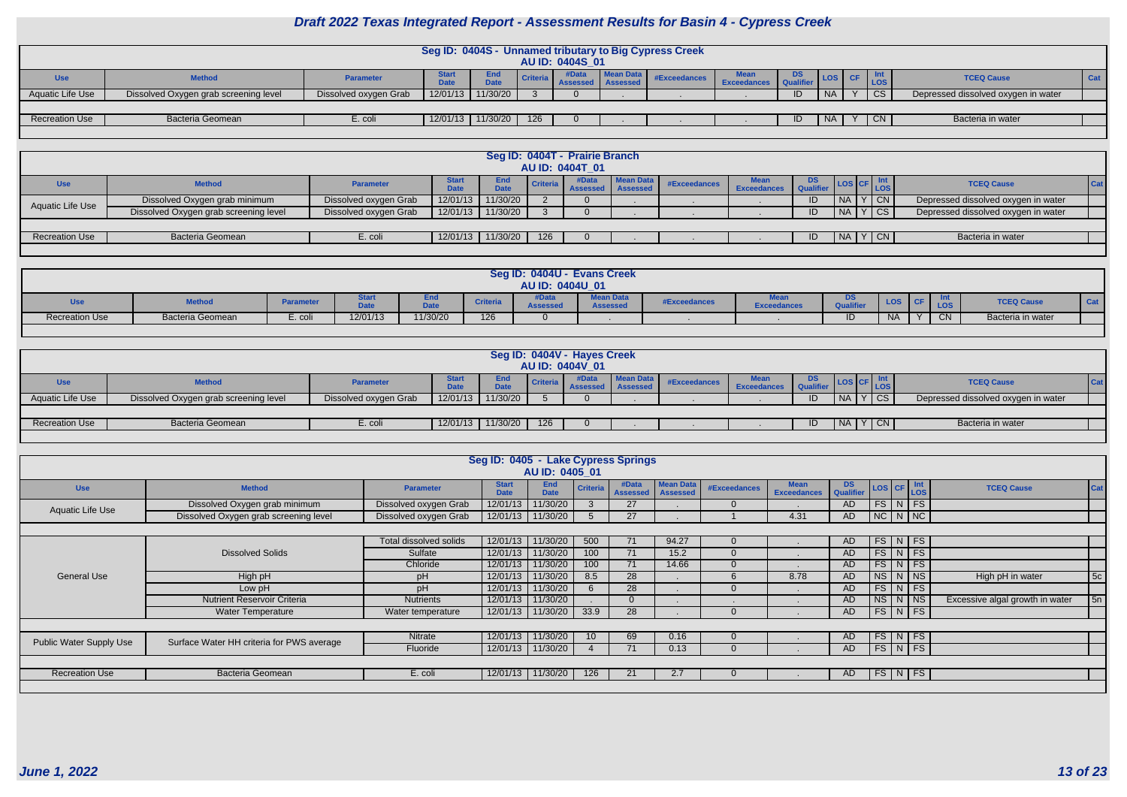|                       |                                       |                       |                             |                      |                 |                 |           | Seg ID: 0404S - Unnamed tributary to Big Cypress Creek |                            |    |           |           |                        |                                     |            |
|-----------------------|---------------------------------------|-----------------------|-----------------------------|----------------------|-----------------|-----------------|-----------|--------------------------------------------------------|----------------------------|----|-----------|-----------|------------------------|-------------------------------------|------------|
|                       |                                       |                       |                             |                      |                 | AU ID: 0404S 01 |           |                                                        |                            |    |           |           |                        |                                     |            |
| <b>Use</b>            | <b>Method</b>                         | <b>Parameter</b>      | <b>Start</b><br><b>Data</b> | - End<br><b>Date</b> | <b>Criteria</b> | #Data           | Mean Data | #Exceedances                                           | <b>Mean</b><br>Exceedances | DS |           |           | <b>LOS</b>             | <b>TCEQ Cause</b>                   | <b>Cat</b> |
| Aquatic Life Use      | Dissolved Oxygen grab screening level | Dissolved oxygen Grab | 12/01/13                    | 11/30/20             |                 |                 |           |                                                        |                            | ID | <b>NA</b> | $\lambda$ | $\overline{\text{CS}}$ | Depressed dissolved oxygen in water |            |
|                       |                                       |                       |                             |                      |                 |                 |           |                                                        |                            |    |           |           |                        |                                     |            |
| <b>Recreation Use</b> | Bacteria Geomean                      | E. coli               | 12/01/13                    | 11/30/20             | 126             |                 |           |                                                        |                            | ID | <b>NA</b> |           | $'$ CN $'$             | Bacteria in water                   |            |
|                       |                                       |                       |                             |                      |                 |                 |           |                                                        |                            |    |           |           |                        |                                     |            |

|                         |                                       |                       |                   |                    |          | Seg ID: 0404T - Prairie Branch<br><b>AU ID: 0404T_01</b> |           |              |                    |                                       |                |        |                                     |            |
|-------------------------|---------------------------------------|-----------------------|-------------------|--------------------|----------|----------------------------------------------------------|-----------|--------------|--------------------|---------------------------------------|----------------|--------|-------------------------------------|------------|
| <b>Use</b>              | <b>Method</b>                         | <b>Parameter</b>      | itart             | End<br><b>DALL</b> | Criteria | Assessed   Assessed                                      | Mean Data | #Exceedances | <b>Exceedances</b> | DS<br>$\sim$ $\blacksquare$ Qualifier |                | LOS    | <b>TCEQ Cause</b>                   | <b>Cat</b> |
| <b>Aquatic Life Use</b> | Dissolved Oxygen grab minimum         | Dissolved oxygen Grab | 12/01/13          | 11/30/20           |          |                                                          |           |              |                    | שו                                    | I NA           | l CN i | Depressed dissolved oxygen in water |            |
|                         | Dissolved Oxygen grab screening level | Dissolved oxygen Grab | 12/01/13 11/30/20 |                    |          |                                                          |           |              |                    |                                       | $N_A$ $Y$ $CS$ |        | Depressed dissolved oxygen in water |            |
|                         |                                       |                       |                   |                    |          |                                                          |           |              |                    |                                       |                |        |                                     |            |
| <b>Recreation Use</b>   | <b>Bacteria Geomean</b>               | E. coli               | 12/01/13          | 11/30/20           | 126      |                                                          |           |              |                    |                                       | $N_A$ $Y$ $CN$ |        | Bacteria in water                   |            |
|                         |                                       |                       |                   |                    |          |                                                          |           |              |                    |                                       |                |        |                                     |            |

|                       |                  |                 |              |                     |                 | Seg ID: 0404U - Evans Creek<br>AU ID: 0404U 01 |                              |              |                    |                             |            |            |                   |     |
|-----------------------|------------------|-----------------|--------------|---------------------|-----------------|------------------------------------------------|------------------------------|--------------|--------------------|-----------------------------|------------|------------|-------------------|-----|
| <b>USE</b>            | <b>Method</b>    | <b>Paramete</b> | $-1$<br>---- | <b>Data</b><br>Date | <b>Criteria</b> | <b>Data</b><br><b>Assessed</b>                 | <b>Mean Data</b><br>Assessed | #Exceedances | <b>Exceedances</b> | D <sub>2</sub><br>Qualifier | <b>LOS</b> | Int<br>LOS | <b>TCEQ Cause</b> | Cat |
| <b>Recreation Use</b> | Bacteria Geomean | E. coli         | 12/01/13     | 11/30/20            | 126             |                                                |                              |              |                    | ID                          | <b>NA</b>  | CN.        | Bacteria in water |     |

|                       |                                                                                                                                                                                                      |                       |          |          |     | Seg ID: 0404V - Hayes Creek |  |  |  |     |                 |      |                                     |  |
|-----------------------|------------------------------------------------------------------------------------------------------------------------------------------------------------------------------------------------------|-----------------------|----------|----------|-----|-----------------------------|--|--|--|-----|-----------------|------|-------------------------------------|--|
| <b>Use</b>            | AU ID: 0404V 01<br><b>Mean Data</b><br>DS<br>End<br><b>TCEQ Cause</b><br>#Exceedances<br><b>Method</b><br><b>Criteria</b><br>Parameter<br>Dota<br><b>Exceedances</b><br><b>Assesse</b><br><b>LOS</b> |                       |          |          |     |                             |  |  |  |     |                 |      |                                     |  |
| Aquatic Life Use      | Dissolved Oxygen grab screening level                                                                                                                                                                | Dissolved oxygen Grab | 12/01/13 | 11/30/20 |     |                             |  |  |  | -ID | <b>NA</b>       | Y CS | Depressed dissolved oxygen in water |  |
|                       |                                                                                                                                                                                                      |                       |          |          |     |                             |  |  |  |     |                 |      |                                     |  |
| <b>Recreation Use</b> | Bacteria Geomean                                                                                                                                                                                     | E. coli               | 12/01/13 | 11/30/20 | 126 |                             |  |  |  | -ID | $N_A$ $Y$ $C_N$ |      | Bacteria in water                   |  |
|                       |                                                                                                                                                                                                      |                       |          |          |     |                             |  |  |  |     |                 |      |                                     |  |

|                         |                                           |                        | Seg ID: 0405 - Lake Cypress Springs | AU ID: 0405 01            |                 |                          |                                     |                     |                                   |               |  |                         |                                 |                 |
|-------------------------|-------------------------------------------|------------------------|-------------------------------------|---------------------------|-----------------|--------------------------|-------------------------------------|---------------------|-----------------------------------|---------------|--|-------------------------|---------------------------------|-----------------|
| <b>Use</b>              | <b>Method</b>                             | <b>Parameter</b>       | <b>Start</b><br><b>Date</b>         | <b>End</b><br><b>Date</b> | <b>Criteria</b> | #Data<br><b>Assessed</b> | <b>Mean Data</b><br><b>Assessed</b> | <b>#Exceedances</b> | <b>Mean</b><br><b>Exceedances</b> | DS LOS CF Int |  |                         | <b>TCEQ Cause</b>               | Cat             |
| <b>Aquatic Life Use</b> | Dissolved Oxygen grab minimum             | Dissolved oxygen Grab  | 12/01/13                            | 11/30/20                  |                 | 27                       |                                     |                     |                                   | AD.           |  | $FS\mid N \mid FS \mid$ |                                 |                 |
|                         | Dissolved Oxygen grab screening level     | Dissolved oxygen Grab  |                                     | 12/01/13 11/30/20         | $\overline{5}$  | 27                       |                                     |                     | 4.31                              | AD            |  | $N$ C $N$ $N$           |                                 |                 |
|                         |                                           |                        |                                     |                           |                 |                          |                                     |                     |                                   |               |  |                         |                                 |                 |
|                         |                                           | Total dissolved solids | 12/01/13                            | 11/30/20                  | 500             | 71                       | 94.27                               |                     |                                   | AD.           |  | $FS\mid N \mid FS \mid$ |                                 |                 |
|                         | <b>Dissolved Solids</b>                   | Sulfate                | 12/01/13                            | 11/30/20                  | 100             | 71                       | 15.2                                | $\Omega$            |                                   | AD            |  | $FS\mid N \mid FS \mid$ |                                 |                 |
|                         |                                           | Chloride               | 12/01/13                            | 11/30/20                  | 100             | 71                       | 14.66                               |                     |                                   | AD            |  | FS N FS                 |                                 |                 |
| <b>General Use</b>      | High pH                                   | pH                     | 12/01/13                            | 11/30/20                  | 8.5             | 28                       |                                     |                     | 8.78                              | AD            |  | $N$ S $N$ $N$           | High pH in water                | 5c              |
|                         | Low pH                                    | pН                     | 12/01/13                            | 11/30/20                  | 6               | 28                       |                                     |                     |                                   | AD.           |  | $FS\mid N \mid FS \mid$ |                                 |                 |
|                         | <b>Nutrient Reservoir Criteria</b>        | <b>Nutrients</b>       | 12/01/13                            | 11/30/20                  |                 | $\Omega$                 |                                     |                     |                                   | AD            |  | $NS\overline{N}$ NS     | Excessive algal growth in water | $\overline{5n}$ |
|                         | <b>Water Temperature</b>                  | Water temperature      |                                     | 12/01/13 11/30/20         | 33.9            | 28                       |                                     |                     |                                   | AD            |  | $FS\mid N \mid FS \mid$ |                                 |                 |
|                         |                                           |                        |                                     |                           |                 |                          |                                     |                     |                                   |               |  |                         |                                 |                 |
|                         | Surface Water HH criteria for PWS average | Nitrate                | 12/01/13                            | 11/30/20                  | 10              | 69                       | 0.16                                |                     |                                   | AD.           |  | $FS\mid N \mid FS \mid$ |                                 |                 |
| Public Water Supply Use |                                           | Fluoride               |                                     | 12/01/13 11/30/20         |                 | 71                       | 0.13                                |                     |                                   | AD.           |  | FS N FS                 |                                 |                 |
|                         |                                           |                        |                                     |                           |                 |                          |                                     |                     |                                   |               |  |                         |                                 |                 |
| <b>Recreation Use</b>   | Bacteria Geomean                          | E. coli                | 12/01/13                            | 11/30/20                  | 126             | 21                       | 2.7                                 |                     |                                   | AD.           |  | FS N FS                 |                                 |                 |
|                         |                                           |                        |                                     |                           |                 |                          |                                     |                     |                                   |               |  |                         |                                 |                 |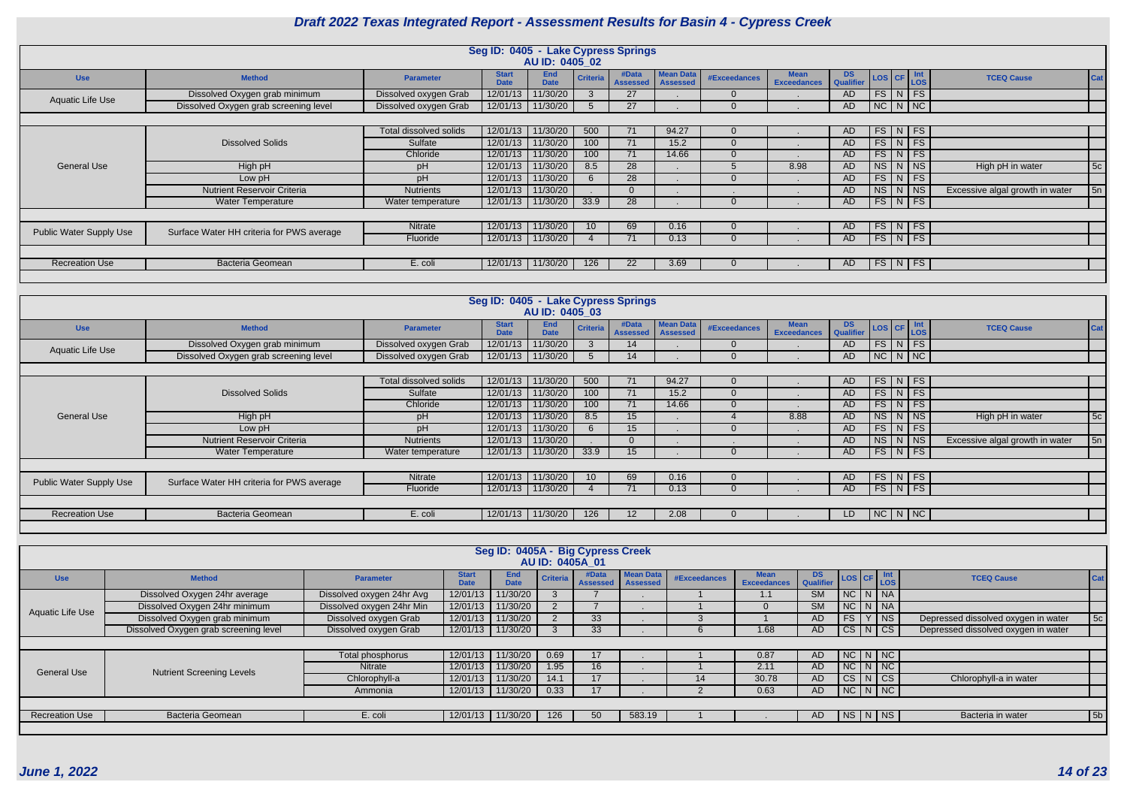|                                |                                           |                        | Seg ID: 0405 - Lake Cypress Springs | AU ID: 0405 02            |                 |                          |                                     |              |                                   |                        |  |                                                                               |                                 |     |
|--------------------------------|-------------------------------------------|------------------------|-------------------------------------|---------------------------|-----------------|--------------------------|-------------------------------------|--------------|-----------------------------------|------------------------|--|-------------------------------------------------------------------------------|---------------------------------|-----|
| <b>Use</b>                     | <b>Method</b>                             | <b>Parameter</b>       | <b>Start</b><br><b>Date</b>         | <b>End</b><br><b>Date</b> | <b>Criteria</b> | #Data<br><b>Assessed</b> | <b>Mean Data</b><br><b>Assessed</b> | #Exceedances | <b>Mean</b><br><b>Exceedances</b> | <b>DS</b><br>Qualifier |  | $\left  \text{LoS} \right $ CF $\left  \frac{\text{Int}}{\text{LoS}} \right $ | <b>TCEQ Cause</b>               | Cat |
| Aquatic Life Use               | Dissolved Oxygen grab minimum             | Dissolved oxygen Grab  | 12/01/13                            | 11/30/20                  | 3               | 27                       |                                     |              |                                   | AD.                    |  | $FS\mid N \mid FS \mid$                                                       |                                 |     |
|                                | Dissolved Oxygen grab screening level     | Dissolved oxygen Grab  | 12/01/13                            | 11/30/20                  | $\mathcal{D}$   | 27                       |                                     |              |                                   | AD                     |  | NC N NC                                                                       |                                 |     |
|                                |                                           |                        |                                     |                           |                 |                          |                                     |              |                                   |                        |  |                                                                               |                                 |     |
|                                |                                           | Total dissolved solids | 12/01/13                            | 11/30/20                  | 500             | 71                       | 94.27                               |              |                                   | AD                     |  | $FS\mid N \mid FS \mid$                                                       |                                 |     |
|                                | <b>Dissolved Solids</b>                   | Sulfate                | 12/01/13                            | 11/30/20                  | 100             | 71                       | 15.2                                |              |                                   | AD                     |  | $FS\mid N \mid FS \mid$                                                       |                                 |     |
|                                |                                           | Chloride               | 12/01/13                            | 11/30/20                  | 100             | 71                       | 14.66                               |              |                                   | AD.                    |  | $FS\mid N \mid FS$                                                            |                                 |     |
| General Use                    | High pH                                   | pH                     | 12/01/13                            | 11/30/20                  | 8.5             | 28                       |                                     |              | 8.98                              | AD                     |  | $NS$ $N$ $NS$                                                                 | High pH in water                | 5c  |
|                                | Low pH                                    | рH                     | 12/01/13                            | 11/30/20                  | 6               | 28                       |                                     |              |                                   | AD                     |  | $FS\mid N \mid FS \mid$                                                       |                                 |     |
|                                | <b>Nutrient Reservoir Criteria</b>        | <b>Nutrients</b>       | 12/01/13                            | 11/30/20                  |                 | $\Omega$                 |                                     |              |                                   | AD.                    |  | $NS$ $N$ $NS$                                                                 | Excessive algal growth in water | 5n  |
|                                | <b>Water Temperature</b>                  | Water temperature      |                                     | 12/01/13 11/30/20         | 33.9            | 28                       |                                     |              |                                   | AD                     |  | $FS\mid N\mid FS \mid$                                                        |                                 |     |
|                                |                                           |                        |                                     |                           |                 |                          |                                     |              |                                   |                        |  |                                                                               |                                 |     |
| <b>Public Water Supply Use</b> | Surface Water HH criteria for PWS average | Nitrate                | 12/01/13                            | 11/30/20                  | 10 <sup>1</sup> | 69                       | 0.16                                |              |                                   | AD.                    |  | $FS\mid N \mid FS \mid$                                                       |                                 |     |
|                                |                                           | Fluoride               | 12/01/13                            | 11/30/20                  |                 | 71                       | 0.13                                |              |                                   | AD.                    |  | $FS\mid N \mid FS \mid$                                                       |                                 |     |
|                                |                                           |                        |                                     |                           |                 |                          |                                     |              |                                   |                        |  |                                                                               |                                 |     |
| <b>Recreation Use</b>          | Bacteria Geomean                          | E. coli                | 12/01/13                            | 11/30/20                  | 126             | 22                       | 3.69                                |              |                                   | AD                     |  | $FS\mid N \mid FS \mid$                                                       |                                 |     |
|                                |                                           |                        |                                     |                           |                 |                          |                                     |              |                                   |                        |  |                                                                               |                                 |     |

|                                |                                           |                        | Seg ID: 0405 - Lake Cypress Springs |                    |                 |                              |                  |                     |                                   |                         |                         |  |                                 |     |
|--------------------------------|-------------------------------------------|------------------------|-------------------------------------|--------------------|-----------------|------------------------------|------------------|---------------------|-----------------------------------|-------------------------|-------------------------|--|---------------------------------|-----|
|                                |                                           |                        |                                     | AU ID: 0405 03     |                 |                              |                  |                     |                                   |                         |                         |  |                                 |     |
| <b>Use</b>                     | <b>Method</b>                             | <b>Parameter</b>       | <b>Start</b><br><b>Date</b>         | End<br><b>Date</b> | <b>Criteria</b> | #Data<br>Assessed   Assessed | <b>Mean Data</b> | <b>#Exceedances</b> | <b>Mean</b><br><b>Exceedances</b> | DS Qualifier LOS CF LOS |                         |  | <b>TCEQ Cause</b>               | Cat |
| Aquatic Life Use               | Dissolved Oxygen grab minimum             | Dissolved oxygen Grab  | 12/01/13                            | 11/30/20           |                 | 14                           |                  |                     |                                   | AD.                     | $FS\mid N \mid FS \mid$ |  |                                 |     |
|                                | Dissolved Oxygen grab screening level     | Dissolved oxygen Grab  |                                     | 12/01/13 11/30/20  |                 | 14                           |                  |                     |                                   | AD                      | NC N NC                 |  |                                 |     |
|                                |                                           |                        |                                     |                    |                 |                              |                  |                     |                                   |                         |                         |  |                                 |     |
|                                |                                           | Total dissolved solids |                                     | 12/01/13 11/30/20  | 500             | 71                           | 94.27            | 0                   |                                   | AD.                     | $FS\mid N \mid FS \mid$ |  |                                 |     |
|                                | <b>Dissolved Solids</b>                   | Sulfate                |                                     | 12/01/13 11/30/20  | 100             | 71                           | 15.2             |                     |                                   | AD.                     | $FS\mid N \mid FS \mid$ |  |                                 |     |
|                                |                                           | Chloride               | 12/01/13                            | 11/30/20           | 100             | 71                           | 14.66            |                     |                                   | AD.                     | $FS\mid N \mid FS \mid$ |  |                                 |     |
| <b>General Use</b>             | High pH                                   | pH                     | 12/01/13                            | 11/30/20           | 8.5             | 15                           |                  |                     | 8.88                              | AD                      | $NS$ $N$ $NS$           |  | High pH in water                | 5c  |
|                                | Low pH                                    | pH                     | 12/01/13                            | 11/30/20           |                 | 15                           |                  | $\Omega$            |                                   | AD                      | $FS\mid N \mid FS$      |  |                                 |     |
|                                | <b>Nutrient Reservoir Criteria</b>        | <b>Nutrients</b>       |                                     | 12/01/13 11/30/20  |                 | $\Omega$                     |                  |                     |                                   | AD                      | NS N NS                 |  | Excessive algal growth in water | 5n  |
|                                | <b>Water Temperature</b>                  | Water temperature      |                                     | 12/01/13 11/30/20  | 33.9            | 15                           |                  |                     |                                   | AD                      | FS   N   FS             |  |                                 |     |
|                                |                                           |                        |                                     |                    |                 |                              |                  |                     |                                   |                         |                         |  |                                 |     |
| <b>Public Water Supply Use</b> | Surface Water HH criteria for PWS average | Nitrate                | 12/01/13                            | 11/30/20           | 10 <sup>°</sup> | 69                           | 0.16             |                     |                                   | AD.                     | $FS\mid N \mid FS \mid$ |  |                                 |     |
|                                |                                           | Fluoride               |                                     | 12/01/13 11/30/20  |                 | 71                           | 0.13             | $\Omega$            |                                   | AD                      | FS   N   FS             |  |                                 |     |
|                                |                                           |                        |                                     |                    |                 |                              |                  |                     |                                   |                         |                         |  |                                 |     |
| <b>Recreation Use</b>          | Bacteria Geomean                          | E. coli                |                                     | 12/01/13 11/30/20  | 126             | $12 \overline{ }$            | 2.08             | 0                   |                                   | LD.                     | $NC$ $N$ $NC$           |  |                                 |     |
|                                |                                           |                        |                                     |                    |                 |                              |                  |                     |                                   |                         |                         |  |                                 |     |

|                         |                                       |                           |                             | Seg ID: 0405A - Big Cypress Creek |                 | AU ID: 0405A 01          |                                     |              |                                   |               |               |               |                                     |     |
|-------------------------|---------------------------------------|---------------------------|-----------------------------|-----------------------------------|-----------------|--------------------------|-------------------------------------|--------------|-----------------------------------|---------------|---------------|---------------|-------------------------------------|-----|
| <b>Use</b>              | <b>Method</b>                         | <b>Parameter</b>          | <b>Start</b><br><b>Date</b> | End<br><b>Date</b>                | <b>Criteria</b> | #Data<br><b>Assessed</b> | <b>Mean Data</b><br><b>Assessed</b> | #Exceedances | <b>Mean</b><br><b>Exceedances</b> | DS LOS CF Int |               |               | <b>TCEQ Cause</b>                   | Cat |
|                         | Dissolved Oxygen 24hr average         | Dissolved oxygen 24hr Avg | 12/01/13                    | 11/30/20                          |                 |                          |                                     |              | 1.1                               | <b>SM</b>     | $NC$ $N$ $N$  |               |                                     |     |
| <b>Aquatic Life Use</b> | Dissolved Oxygen 24hr minimum         | Dissolved oxygen 24hr Min | 12/01/13                    | 11/30/20                          |                 |                          |                                     |              |                                   | <b>SM</b>     | $NC$ $N$ $NR$ |               |                                     |     |
|                         | Dissolved Oxygen grab minimum         | Dissolved oxygen Grab     | 12/01/13                    | 11/30/20                          |                 | 33                       |                                     |              |                                   | AD.           | FS            | $Y$ NS        | Depressed dissolved oxygen in water | 5c  |
|                         | Dissolved Oxygen grab screening level | Dissolved oxygen Grab     | 12/01/13                    | 11/30/20                          |                 | 33                       |                                     |              | 1.68                              | AD.           | $CS$ $N$ $CS$ |               | Depressed dissolved oxygen in water |     |
|                         |                                       |                           |                             |                                   |                 |                          |                                     |              |                                   |               |               |               |                                     |     |
|                         |                                       | Total phosphorus          | 12/01/13                    | 11/30/20                          | 0.69            | 17                       |                                     |              | 0.87                              | AD.           |               | $NC$ $N$ $NC$ |                                     |     |
| <b>General Use</b>      | <b>Nutrient Screening Levels</b>      | Nitrate                   | 12/01/13                    | 11/30/20                          | 1.95            | 16                       |                                     |              | 2.11                              | AD.           |               | $NC$ $N$ $NC$ |                                     |     |
|                         |                                       | Chlorophyll-a             | 12/01/13                    | 11/30/20                          | 14.1            | 17                       |                                     |              | 30.78                             | AD.           | $CS$ $N$ $CS$ |               | Chlorophyll-a in water              |     |
|                         |                                       | Ammonia                   | 12/01/13                    | 11/30/20                          | 0.33            | 17                       |                                     |              | 0.63                              | AD.           |               | NC N NC       |                                     |     |
|                         |                                       |                           |                             |                                   |                 |                          |                                     |              |                                   |               |               |               |                                     |     |
| <b>Recreation Use</b>   | <b>Bacteria Geomean</b>               | E. coli                   | 12/01/13                    | 11/30/20                          | 126             | 50 <sub>l</sub>          | 583.19                              |              |                                   | AD.           |               | NS N NS       | Bacteria in water                   | 5b  |
|                         |                                       |                           |                             |                                   |                 |                          |                                     |              |                                   |               |               |               |                                     |     |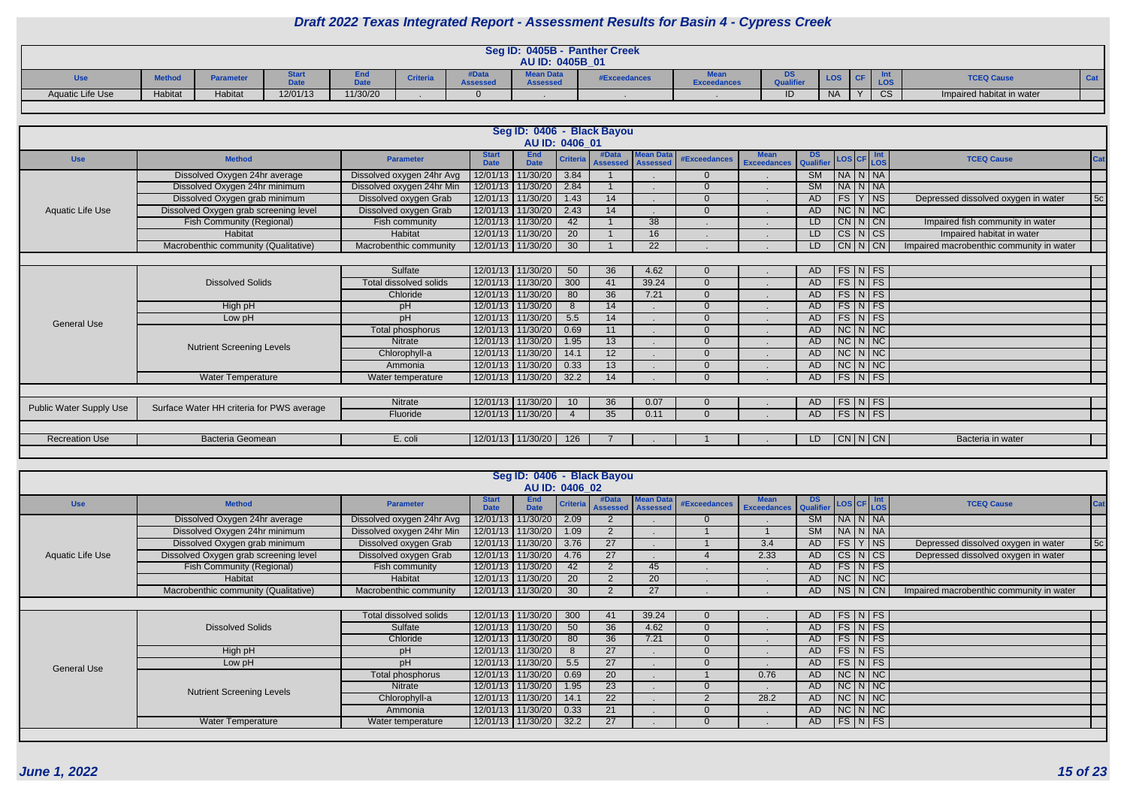|                         |               |           |               |                     |                |               | Seg ID: 0405B -                     | <b>Panther Creek</b> |                    |           |            |              |              |                           |  |
|-------------------------|---------------|-----------|---------------|---------------------|----------------|---------------|-------------------------------------|----------------------|--------------------|-----------|------------|--------------|--------------|---------------------------|--|
|                         |               |           |               |                     |                |               | AU ID: 0405B 01                     |                      |                    |           |            |              |              |                           |  |
| <b>Use</b>              | <b>Method</b> | Parameter | σιαι ι<br>Pau | <b>DALL</b><br>υaτε | <b>Criteri</b> | $\frac{1}{2}$ | <b>Mean Data</b><br><b>Assessed</b> | <b>#Exceedances</b>  | <b>Exceedances</b> | <b>DS</b> | <b>LOS</b> |              | LOS          | <b>TCEQ Cause</b>         |  |
| <b>Aquatic Life Use</b> | Habitat       | Habitat   | 12/01/13      | 11/30/20            |                |               |                                     |                      |                    | חו        | <b>NA</b>  | $\mathbf{v}$ | $\cap$<br>◡◡ | Impaired habitat in water |  |

|                                |                                           |                               |                             |                           |                 | Seg ID: 0406 - Black Bayou |                                     |                     |                                   |                        |                          |                          |                                           |
|--------------------------------|-------------------------------------------|-------------------------------|-----------------------------|---------------------------|-----------------|----------------------------|-------------------------------------|---------------------|-----------------------------------|------------------------|--------------------------|--------------------------|-------------------------------------------|
|                                |                                           |                               |                             |                           | AU ID: 0406_01  |                            |                                     |                     |                                   |                        |                          |                          |                                           |
| <b>Use</b>                     | <b>Method</b>                             | <b>Parameter</b>              | <b>Start</b><br><b>Date</b> | <b>End</b><br><b>Date</b> | <b>Criteria</b> | #Data<br><b>Assessed</b>   | <b>Mean Data</b><br><b>Assessed</b> | <b>#Exceedances</b> | <b>Mean</b><br><b>Exceedances</b> | DS<br><b>Qualifier</b> |                          | LOS CF LOS               | <b>TCEQ Cause</b><br>Cat                  |
|                                | Dissolved Oxygen 24hr average             | Dissolved oxygen 24hr Avg     | 12/01/13                    | 11/30/20                  | 3.84            |                            |                                     | $\Omega$            |                                   | SM                     | $N_A N_N$                |                          |                                           |
|                                | Dissolved Oxygen 24hr minimum             | Dissolved oxygen 24hr Min     | 12/01/13                    | 11/30/20                  | 2.84            |                            |                                     | $\Omega$            |                                   | SM                     | $N_A N_N$                |                          |                                           |
|                                | Dissolved Oxygen grab minimum             | Dissolved oxygen Grab         |                             | 12/01/13 11/30/20         | 1.43            | 14                         |                                     | $\Omega$            | $\mathbf{r}$                      | AD.                    | FS Y NS                  |                          | 5c<br>Depressed dissolved oxygen in water |
| <b>Aquatic Life Use</b>        | Dissolved Oxygen grab screening level     | Dissolved oxygen Grab         | 12/01/13                    | 11/30/20                  | 2.43            | 14                         |                                     | $\Omega$            |                                   | <b>AD</b>              | $NC\vert N\vert NC$      |                          |                                           |
|                                | <b>Fish Community (Regional)</b>          | Fish community                | 12/01/13                    | 11/30/20                  | 42              |                            | 38                                  |                     |                                   | LD                     | CN N CN                  |                          | Impaired fish community in water          |
|                                | Habitat                                   | Habitat                       |                             | 12/01/13 11/30/20         | 20              |                            | 16                                  |                     | $\blacksquare$                    | LD                     |                          | $CS\vert N\vert CS\vert$ | Impaired habitat in water                 |
|                                | Macrobenthic community (Qualitative)      | Macrobenthic community        |                             | 12/01/13 11/30/20         | 30              |                            | $\overline{22}$                     |                     |                                   | LD                     | $CN$ $N$ $CN$            |                          | Impaired macrobenthic community in water  |
|                                |                                           |                               |                             |                           |                 |                            |                                     |                     |                                   |                        |                          |                          |                                           |
|                                |                                           | Sulfate                       |                             | 12/01/13 11/30/20         | 50              | 36                         | 4.62                                |                     |                                   | AD.                    |                          | $FS\vert N \vert FS$     |                                           |
|                                | <b>Dissolved Solids</b>                   | <b>Total dissolved solids</b> |                             | 12/01/13 11/30/20         | 300             | 41                         | 39.24                               | $\Omega$            |                                   | AD                     |                          | $FS\mid N \mid FS$       |                                           |
|                                |                                           | Chloride                      |                             | 12/01/13 11/30/20         | 80              | 36                         | 7.21                                | $\overline{0}$      |                                   | AD                     |                          | $FS\vert N \vert FS$     |                                           |
|                                | High pH                                   | pH                            | 12/01/13                    | 11/30/20                  | 8               | 14                         |                                     | $\Omega$            |                                   | AD.                    |                          | $FS\vert N \vert FS$     |                                           |
| <b>General Use</b>             | Low pH                                    | pH                            | 12/01/13                    | 11/30/20                  | 5.5             | 14                         |                                     | 0                   |                                   | AD                     |                          | $FS\vert N \vert FS$     |                                           |
|                                |                                           | Total phosphorus              |                             | 12/01/13 11/30/20         | 0.69            | 11                         |                                     | $\Omega$            |                                   | AD                     | $NC\ N\$                 |                          |                                           |
|                                | <b>Nutrient Screening Levels</b>          | <b>Nitrate</b>                | 12/01/13                    | 11/30/20                  | 1.95            | 13                         |                                     | $\Omega$            |                                   | AD                     | $NC\vert N\vert NC\vert$ |                          |                                           |
|                                |                                           | Chlorophyll-a                 | 12/01/13                    | 11/30/20                  | 14.1            | 12                         |                                     | 0                   |                                   | AD                     | $NC\vert N\vert NC\vert$ |                          |                                           |
|                                |                                           | Ammonia                       |                             | 12/01/13 11/30/20         | 0.33            | 13                         |                                     | $\Omega$            |                                   | AD                     | $NC\vert N\vert NC\vert$ |                          |                                           |
|                                | Water Temperature                         | Water temperature             |                             | 12/01/13 11/30/20         | 32.2            | 14                         |                                     | $\Omega$            |                                   | AD.                    | $FS\vert N \vert FS$     |                          |                                           |
|                                |                                           |                               |                             |                           |                 |                            |                                     |                     |                                   |                        |                          |                          |                                           |
| <b>Public Water Supply Use</b> | Surface Water HH criteria for PWS average | Nitrate                       |                             | 12/01/13 11/30/20         | 10 <sup>°</sup> | 36                         | 0.07                                |                     |                                   | AD.                    |                          | $FS\vert N \vert FS$     |                                           |
|                                |                                           | Fluoride                      |                             | 12/01/13 11/30/20         |                 | 35                         | 0.11                                | $\Omega$            |                                   | AD                     | $FS\vert N \vert FS$     |                          |                                           |
|                                |                                           |                               |                             |                           |                 |                            |                                     |                     |                                   |                        |                          |                          |                                           |
| <b>Recreation Use</b>          | Bacteria Geomean                          | E. coli                       |                             | 12/01/13   11/30/20       | 126             |                            |                                     |                     |                                   | LD.                    | CN N CN                  |                          | Bacteria in water                         |
|                                |                                           |                               |                             |                           |                 |                            |                                     |                     |                                   |                        |                          |                          |                                           |

|                    |                                       |                           |                             |                           |                 | Seg ID: 0406 - Black Bayou |                                     |                |                                   |               |    |                            |                                          |     |
|--------------------|---------------------------------------|---------------------------|-----------------------------|---------------------------|-----------------|----------------------------|-------------------------------------|----------------|-----------------------------------|---------------|----|----------------------------|------------------------------------------|-----|
|                    |                                       |                           |                             |                           | AU ID: 0406_02  |                            |                                     |                |                                   |               |    |                            |                                          |     |
| <b>Use</b>         | <b>Method</b>                         | <b>Parameter</b>          | <b>Start</b><br><b>Date</b> | <b>End</b><br><b>Date</b> | <b>Criteria</b> | #Data<br><b>Assessed</b>   | <b>Mean Data</b><br><b>Assessed</b> | #Exceedances   | <b>Mean</b><br><b>Exceedances</b> | DS LOS CF Int |    |                            | <b>TCEQ Cause</b>                        | Cat |
|                    | Dissolved Oxygen 24hr average         | Dissolved oxygen 24hr Avg | 12/01/13                    | 11/30/20                  | 2.09            |                            |                                     |                |                                   | <b>SM</b>     |    | NA NNA                     |                                          |     |
|                    | Dissolved Oxygen 24hr minimum         | Dissolved oxygen 24hr Min |                             | 12/01/13 11/30/20         | 1.09            |                            |                                     |                |                                   | <b>SM</b>     |    | $N_A N_N$                  |                                          |     |
|                    | Dissolved Oxygen grab minimum         | Dissolved oxygen Grab     |                             | 12/01/13 11/30/20         | 3.76            | 27                         |                                     |                | 3.4                               | AD            | FS | $Y$ NS                     | Depressed dissolved oxygen in water      | 5c  |
| Aquatic Life Use   | Dissolved Oxygen grab screening level | Dissolved oxygen Grab     |                             | 12/01/13 11/30/20         | 4.76            | $\overline{27}$            |                                     |                | 2.33                              | AD            |    | $CS\vert N\vert CS$        | Depressed dissolved oxygen in water      |     |
|                    | Fish Community (Regional)             | Fish community            |                             | 12/01/13 11/30/20         | 42              |                            | 45                                  |                |                                   | AD            |    | $FS\vert N \vert FS \vert$ |                                          |     |
|                    | Habitat                               | Habitat                   |                             | 12/01/13 11/30/20         | <b>20</b>       |                            | 20                                  |                |                                   | AD            |    | $NC$ $N$ $NC$              |                                          |     |
|                    | Macrobenthic community (Qualitative)  | Macrobenthic community    |                             | 12/01/13 11/30/20         | 30 <sup>°</sup> |                            | 27                                  |                |                                   | AD            |    | NS N CN                    | Impaired macrobenthic community in water |     |
|                    |                                       |                           |                             |                           |                 |                            |                                     |                |                                   |               |    |                            |                                          |     |
|                    |                                       | Total dissolved solids    |                             | 12/01/13 11/30/20         | 300             | 41                         | 39.24                               |                |                                   | AD            |    | $FS\vert N \vert FS$       |                                          |     |
|                    | <b>Dissolved Solids</b>               | Sulfate                   |                             | 12/01/13 11/30/20         | 50              | 36                         | 4.62                                |                |                                   | AD            |    | $FS\vert N \vert FS \vert$ |                                          |     |
|                    |                                       | Chloride                  |                             | 12/01/13 11/30/20         | 80              | 36                         | 7.21                                |                |                                   | AD            |    | $FS\vert N \vert FS$       |                                          |     |
|                    | High pH                               | pH                        |                             | 12/01/13 11/30/20         |                 | 27                         |                                     |                |                                   | AD            |    | $FS\vert N \vert FS$       |                                          |     |
| <b>General Use</b> | Low pH                                | pH                        |                             | 12/01/13 11/30/20         | 5.5             | 27                         |                                     | $\Omega$       |                                   | AD            |    | $FS\vert N \vert FS$       |                                          |     |
|                    |                                       | Total phosphorus          |                             | 12/01/13 11/30/20         | 0.69            | 20 <sup>2</sup>            |                                     |                | 0.76                              | AD            |    | $NC\ N\N$                  |                                          |     |
|                    | <b>Nutrient Screening Levels</b>      | Nitrate                   |                             | 12/01/13   11/30/20       | 1.95            | 23                         |                                     |                |                                   | AD            |    | $NC\vert N\vert NC\vert$   |                                          |     |
|                    |                                       | Chlorophyll-a             |                             | 12/01/13 11/30/20         | 14.1            | 22                         |                                     | $\overline{2}$ | 28.2                              | <b>AD</b>     |    | $NC\vert N\vert NC\vert$   |                                          |     |
|                    |                                       | Ammonia                   |                             | 12/01/13 11/30/20         | 0.33            | 21                         |                                     |                |                                   | <b>AD</b>     |    | $NC$ $N$ $NC$              |                                          |     |
|                    | <b>Water Temperature</b>              | Water temperature         |                             | 12/01/13   11/30/20       | 32.2            | 27                         |                                     | $\Omega$       |                                   | AD.           |    | $FS\vert N \vert FS \vert$ |                                          |     |
|                    |                                       |                           |                             |                           |                 |                            |                                     |                |                                   |               |    |                            |                                          |     |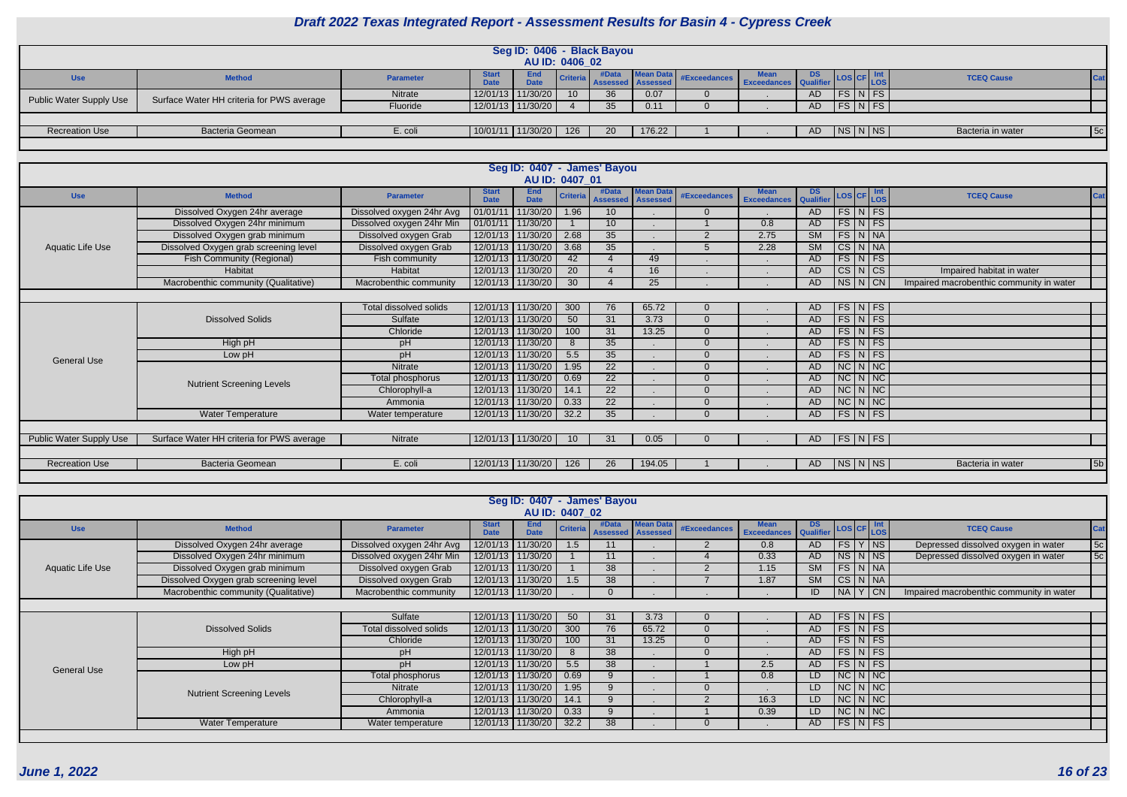| CF | Int<br>$\overline{\text{.OS}}$ | <b>TCEQ Cause</b> | Cat |
|----|--------------------------------|-------------------|-----|
|    | $\overline{\mathsf{FS}}$       |                   |     |
|    | FS                             |                   |     |
|    |                                |                   |     |
|    | ٩S                             | Bacteria in water | 5c  |

|                                |                                           |                  |                             |                       |                 | Seg ID: 0406 - Black Bayou |        |                                              |     |            |           |                   |            |
|--------------------------------|-------------------------------------------|------------------|-----------------------------|-----------------------|-----------------|----------------------------|--------|----------------------------------------------|-----|------------|-----------|-------------------|------------|
|                                |                                           |                  |                             | <b>AU ID: 0406 02</b> |                 |                            |        |                                              |     |            |           |                   |            |
| <b>Use</b>                     | <b>Method</b>                             | <b>Parameter</b> | <b>Start</b><br><b>Date</b> | End<br><b>Date</b>    | <b>Criteria</b> | <b>Assessed Assessed</b>   |        | Mean Data #Exceedances Exceedances Qualifier |     | <b>LOS</b> | LOS       | <b>TCEQ Cause</b> |            |
| <b>Public Water Supply Use</b> | Surface Water HH criteria for PWS average | Nitrate          |                             | 12/01/13 11/30/20     | 10 <sup>°</sup> | 36                         | 0.07   |                                              | AD  |            | $FS\ NFS$ |                   |            |
|                                |                                           | Fluoride         |                             | $12/01/13$ 11/30/20   |                 | 35                         | 0.11   |                                              | AD/ |            | FS N FS   |                   |            |
|                                |                                           |                  |                             |                       |                 |                            |        |                                              |     |            |           |                   |            |
| <b>Recreation Use</b>          | <b>Bacteria Geomean</b>                   | E. coli          |                             | $10/01/11$ 11/30/20   | 126             | 20                         | 176.22 |                                              | AD  |            | NS N NS   | Bacteria in water | $\vert$ 5c |
|                                |                                           |                  |                             |                       |                 |                            |        |                                              |     |            |           |                   |            |

|                                |                                           |                           |                             |                           |                 | Seg ID: 0407 - James' Bayou |                                     |                     |                                   |                 |                                  |                      |                                          |
|--------------------------------|-------------------------------------------|---------------------------|-----------------------------|---------------------------|-----------------|-----------------------------|-------------------------------------|---------------------|-----------------------------------|-----------------|----------------------------------|----------------------|------------------------------------------|
|                                |                                           |                           |                             |                           | AU ID: 0407 01  |                             |                                     |                     |                                   |                 |                                  |                      |                                          |
| <b>Use</b>                     | <b>Method</b>                             | <b>Parameter</b>          | <b>Start</b><br><b>Date</b> | <b>End</b><br><b>Date</b> | <b>Criteria</b> | #Data<br><b>Assessed</b>    | <b>Mean Data</b><br><b>Assessed</b> | <b>#Exceedances</b> | <b>Mean</b><br><b>Exceedances</b> | DS<br>Qualifier | $\textsf{LoS}$ CF $\textsf{Int}$ |                      | <b>TCEQ Cause</b><br><b>Cat</b>          |
|                                | Dissolved Oxygen 24hr average             | Dissolved oxygen 24hr Avg |                             | 01/01/11 11/30/20         | 1.96            | 10 <sup>°</sup>             |                                     | $\overline{0}$      |                                   | AD              | FS N FS                          |                      |                                          |
|                                | Dissolved Oxygen 24hr minimum             | Dissolved oxygen 24hr Min |                             | 01/01/11 11/30/20         |                 | 10 <sup>°</sup>             |                                     |                     | 0.8                               | AD              |                                  | $FS\vert N \vert FS$ |                                          |
|                                | Dissolved Oxygen grab minimum             | Dissolved oxygen Grab     |                             | 12/01/13 11/30/20         | 2.68            | 35                          |                                     | 2                   | 2.75                              | SM              |                                  | FS N NA              |                                          |
| Aquatic Life Use               | Dissolved Oxygen grab screening level     | Dissolved oxygen Grab     | 12/01/13                    | 11/30/20                  | 3.68            | 35                          |                                     | 5                   | 2.28                              | SM              | $CS\,N\,NA$                      |                      |                                          |
|                                | <b>Fish Community (Regional)</b>          | Fish community            |                             | 12/01/13 11/30/20         | 42              |                             | 49                                  |                     | $\bullet$                         | AD              | $FS\vert N \vert FS$             |                      |                                          |
|                                | Habitat                                   | Habitat                   |                             | 12/01/13 11/30/20         | 20              |                             | 16                                  |                     | $\sim$                            | AD              | $CS\overline{\vert N\vert CS}$   |                      | Impaired habitat in water                |
|                                | Macrobenthic community (Qualitative)      | Macrobenthic community    |                             | 12/01/13 11/30/20         | 30              |                             | 25                                  |                     |                                   | AD.             | $NS\ N\$ CN                      |                      | Impaired macrobenthic community in water |
|                                |                                           |                           |                             |                           |                 |                             |                                     |                     |                                   |                 |                                  |                      |                                          |
|                                |                                           | Total dissolved solids    |                             | 12/01/13 11/30/20         | 300             | 76                          | 65.72                               | $\Omega$            |                                   | AD              |                                  | FS N FS              |                                          |
|                                | <b>Dissolved Solids</b>                   | Sulfate                   |                             | 12/01/13 11/30/20         | 50              | 31                          | 3.73                                | $\Omega$            |                                   | <b>AD</b>       | $FS\vert N \vert FS$             |                      |                                          |
|                                |                                           | Chloride                  | 12/01/13                    | 11/30/20                  | 100             | 31                          | 13.25                               | $\Omega$            |                                   | <b>AD</b>       |                                  | $FS\vert N \vert FS$ |                                          |
|                                | High pH                                   | pH                        |                             | 12/01/13 11/30/20         | 8               | 35                          |                                     | $\Omega$            |                                   | AD.             |                                  | $FS\vert N \vert FS$ |                                          |
| <b>General Use</b>             | Low pH                                    | pH                        |                             | 12/01/13 11/30/20         | 5.5             | 35                          |                                     | $\Omega$            |                                   | AD              | $FS\vert N \vert FS$             |                      |                                          |
|                                |                                           | Nitrate                   | 12/01/13                    | 11/30/20                  | 1.95            | $\overline{22}$             |                                     | $\Omega$            |                                   | <b>AD</b>       | $NC\ N\$                         |                      |                                          |
|                                | <b>Nutrient Screening Levels</b>          | Total phosphorus          | 12/01/13                    | 11/30/20                  | 0.69            | 22                          |                                     | $\Omega$            |                                   | AD.             | $NC\ N\$                         |                      |                                          |
|                                |                                           | Chlorophyll-a             | 12/01/13                    | 11/30/20                  | 14.1            | 22                          |                                     | $\Omega$            |                                   | AD              | $NC\ N\$                         |                      |                                          |
|                                |                                           | Ammonia                   |                             | 12/01/13 11/30/20         | 0.33            | 22                          |                                     | $\Omega$            |                                   | <b>AD</b>       | $NC\ N\$                         |                      |                                          |
|                                | Water Temperature                         | Water temperature         |                             | 12/01/13 11/30/20         | 32.2            | 35                          |                                     | $\Omega$            |                                   | <b>AD</b>       |                                  | $FS\vert N \vert FS$ |                                          |
|                                |                                           |                           |                             |                           |                 |                             |                                     |                     |                                   |                 |                                  |                      |                                          |
| <b>Public Water Supply Use</b> | Surface Water HH criteria for PWS average | Nitrate                   |                             | 12/01/13 11/30/20         | <u>10</u>       | 31                          | 0.05                                | $\Omega$            |                                   | AD              | FS N FS                          |                      |                                          |
|                                |                                           |                           |                             |                           |                 |                             |                                     |                     |                                   |                 |                                  |                      |                                          |
| <b>Recreation Use</b>          | Bacteria Geomean                          | E. coli                   |                             | 12/01/13 11/30/20         | 126             | 26                          | 194.05                              |                     |                                   | AD              | NS N NS                          |                      | 5b <br>Bacteria in water                 |

|                    |                                       |                           |                             | AU ID: 0407 02            |      | Seg ID: 0407 - James' Bayou |                                         |                |                                   |                        |                            |  |                                          |                 |
|--------------------|---------------------------------------|---------------------------|-----------------------------|---------------------------|------|-----------------------------|-----------------------------------------|----------------|-----------------------------------|------------------------|----------------------------|--|------------------------------------------|-----------------|
| <b>Use</b>         | <b>Method</b>                         | <b>Parameter</b>          | <b>Start</b><br><b>Date</b> | <b>End</b><br><b>Date</b> |      | #Data                       | <b>Mean Data</b><br>Assessed   Assessed | #Exceedances   | <b>Mean</b><br><b>Exceedances</b> | DS LOS CF Int          |                            |  | <b>TCEQ Cause</b>                        | Ca              |
|                    | Dissolved Oxygen 24hr average         | Dissolved oxygen 24hr Avg | 12/01/13                    | 11/30/20                  | 1.5  | 11                          |                                         | $\overline{2}$ | 0.8                               | AD                     | FS Y NS                    |  | Depressed dissolved oxygen in water      | 5c              |
|                    | Dissolved Oxygen 24hr minimum         | Dissolved oxygen 24hr Min |                             | 12/01/13 11/30/20         |      | 11                          |                                         |                | 0.33                              | AD                     | NS N NS                    |  | Depressed dissolved oxygen in water      | $\overline{5c}$ |
| Aquatic Life Use   | Dissolved Oxygen grab minimum         | Dissolved oxygen Grab     | 12/01/13 11/30/20           |                           |      | 38                          |                                         |                | 1.15                              | $\overline{\text{SM}}$ | $FS\vert N\vert NA\vert$   |  |                                          |                 |
|                    | Dissolved Oxygen grab screening level | Dissolved oxygen Grab     | 12/01/13 11/30/20           |                           | 1.5  | 38                          |                                         |                | 1.87                              | $\overline{\text{SM}}$ | CS N NA                    |  |                                          |                 |
|                    | Macrobenthic community (Qualitative)  | Macrobenthic community    |                             | 12/01/13 11/30/20         |      | $\Omega$                    |                                         |                |                                   |                        | $N_A$ $Y$ $ CN$            |  | Impaired macrobenthic community in water |                 |
|                    |                                       |                           |                             |                           |      |                             |                                         |                |                                   |                        |                            |  |                                          |                 |
|                    |                                       | Sulfate                   | 12/01/13 11/30/20           |                           | 50   | 31                          | 3.73                                    | $\Omega$       |                                   | AD.                    | $FS\vert N \vert FS \vert$ |  |                                          |                 |
|                    | <b>Dissolved Solids</b>               | Total dissolved solids    |                             | 12/01/13 11/30/20         | 300  | 76                          | 65.72                                   | $\Omega$       |                                   | AD                     | $FS\vert N \vert FS \vert$ |  |                                          |                 |
|                    |                                       | Chloride                  | 12/01/13 11/30/20           |                           | 100  | 31                          | 13.25                                   |                |                                   | AD                     | $FS\vert N\vert FS\vert$   |  |                                          |                 |
|                    | High pH                               | pH                        | 12/01/13 11/30/20           |                           |      | 38                          |                                         |                |                                   | AD                     | $FS\vert N \vert FS \vert$ |  |                                          |                 |
| <b>General Use</b> | Low pH                                | pH                        | 12/01/13 11/30/20           |                           | 5.5  | 38                          |                                         |                | 2.5                               | AD                     | $FS\overline{N}$ FS        |  |                                          |                 |
|                    |                                       | Total phosphorus          | 12/01/13 11/30/20           |                           | 0.69 | 9                           |                                         |                | 0.8                               | <b>LD</b>              | NCIN/NC                    |  |                                          |                 |
|                    | <b>Nutrient Screening Levels</b>      | <b>Nitrate</b>            | 12/01/13 11/30/20           |                           | 1.95 | 9                           |                                         |                |                                   | LD                     | $NC\ N\nc$                 |  |                                          |                 |
|                    |                                       | Chlorophyll-a             |                             | 12/01/13 11/30/20         | 14.1 | 9                           |                                         |                | 16.3                              | LD                     | NCINNC                     |  |                                          |                 |
|                    |                                       | Ammonia                   | 12/01/13 11/30/20           |                           | 0.33 | 9                           |                                         |                | 0.39                              | LD                     | $NC\vert N\vert NC\vert$   |  |                                          |                 |
|                    | <b>Water Temperature</b>              | Water temperature         |                             | 12/01/13 11/30/20         | 32.2 | 38                          |                                         |                |                                   | AD                     | $FS\vert N \vert FS \vert$ |  |                                          |                 |
|                    |                                       |                           |                             |                           |      |                             |                                         |                |                                   |                        |                            |  |                                          |                 |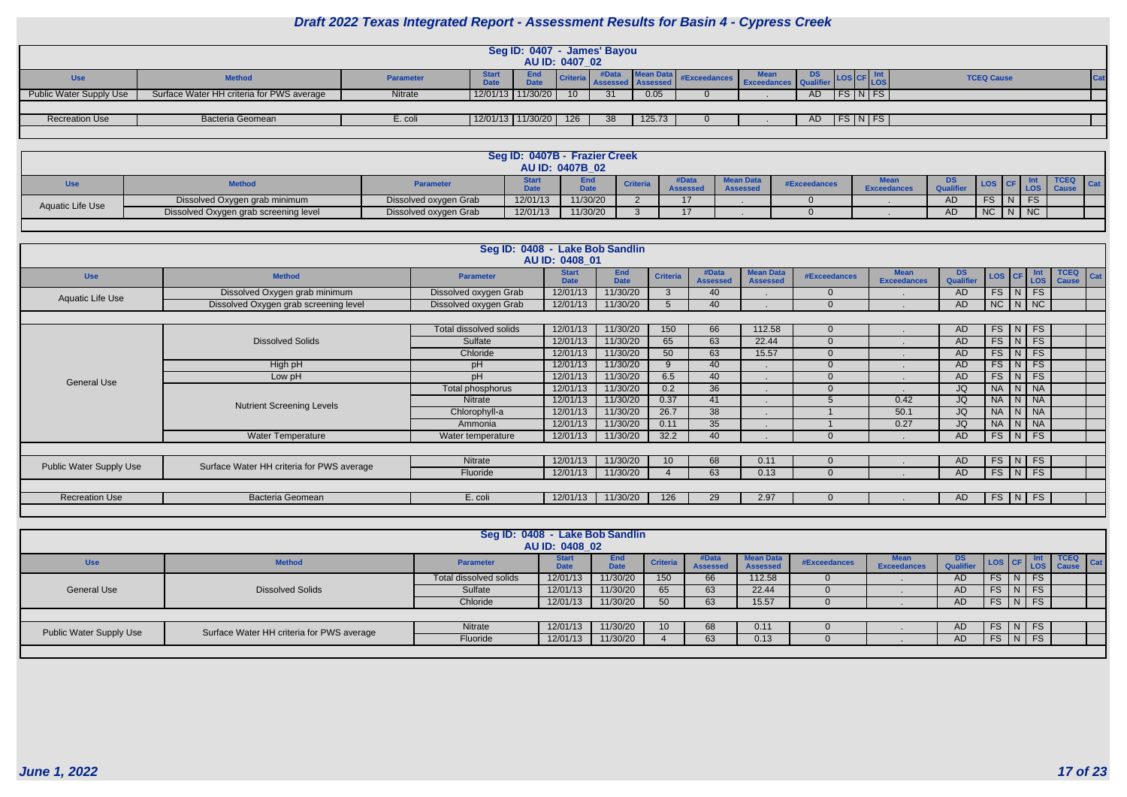| s cF                       | $\vert$ Int<br>LOS       | <b>TCEQ Cause</b> | Cat |
|----------------------------|--------------------------|-------------------|-----|
|                            | $\overline{\mathsf{FS}}$ |                   |     |
|                            |                          |                   |     |
| $\overline{\phantom{a}}$ N | FS.                      |                   |     |
|                            |                          |                   |     |

|                                |                                           |                  |                             | Seg ID: 0407 - James' Bayou |                 |    |                            |                                              |     |                      |                        |                           |
|--------------------------------|-------------------------------------------|------------------|-----------------------------|-----------------------------|-----------------|----|----------------------------|----------------------------------------------|-----|----------------------|------------------------|---------------------------|
|                                |                                           |                  |                             | AU ID: 0407 02              |                 |    |                            |                                              |     |                      |                        |                           |
| <b>Use</b>                     | <b>Method</b>                             | <b>Parameter</b> | <b>Start</b><br><b>Date</b> | End<br><b>Date</b>          |                 |    | Criteria Assessed Assessed | Mean Data #Exceedances Exceedances Qualifier |     |                      |                        | <b>Int</b><br><b>ILOS</b> |
| <b>Public Water Supply Use</b> | Surface Water HH criteria for PWS average | Nitrate          |                             | 12/01/13 11/30/20           | 10 <sup>°</sup> | 31 | 0.05                       |                                              | AD  | FS.                  | $\lfloor N \rfloor$ FS |                           |
|                                |                                           |                  |                             |                             |                 |    |                            |                                              |     |                      |                        |                           |
| <b>Recreation Use</b>          | Bacteria Geomean                          | E. coli          |                             | 12/01/13 11/30/20           | 126             | 38 | 125.73                     |                                              | AD. | $FS\vert N \vert FS$ |                        |                           |
|                                |                                           |                  |                             |                             |                 |    |                            |                                              |     |                      |                        |                           |

|                  |                                       |                       | Seg ID: 0407B - Frazier Creek | <b>AU ID: 0407B 02</b> |                 |                          |                                     |              |                   |                  |                |        |             |            |
|------------------|---------------------------------------|-----------------------|-------------------------------|------------------------|-----------------|--------------------------|-------------------------------------|--------------|-------------------|------------------|----------------|--------|-------------|------------|
| Use              | <b>Method</b>                         | <b>Parameter</b>      |                               | Enc<br>$\lambda$       | <b>Criteria</b> | #Data<br><b>Assessed</b> | <b>Mean Data</b><br><b>Assessed</b> | #Exceedances | <b>Exceedance</b> | <b>Qualifier</b> |                |        | <b>TCEQ</b> | <b>Cat</b> |
| Aquatic Life Use | Dissolved Oxygen grab minimum         | Dissolved oxygen Grab | 12/01/13                      | 11/30/20               |                 | $\rightarrow$            |                                     |              |                   | AD               |                |        |             |            |
|                  | Dissolved Oxygen grab screening level | Dissolved oxygen Grab | 12/01/13                      | 11/30/20               |                 | $\rightarrow$            |                                     |              |                   | AD               | $\overline{N}$ | $N$ NC |             |            |

|                                |                                           | Seg ID: 0408 - Lake Bob Sandlin | AU ID: 0408 01              |                           |                 |                          |                                     |                     |                                   |                        |                                |               |                       |                                    |
|--------------------------------|-------------------------------------------|---------------------------------|-----------------------------|---------------------------|-----------------|--------------------------|-------------------------------------|---------------------|-----------------------------------|------------------------|--------------------------------|---------------|-----------------------|------------------------------------|
| <b>Use</b>                     | <b>Method</b>                             | <b>Parameter</b>                | <b>Start</b><br><b>Date</b> | <b>End</b><br><b>Date</b> | <b>Criteria</b> | #Data<br><b>Assessed</b> | <b>Mean Data</b><br><b>Assessed</b> | <b>#Exceedances</b> | <b>Mean</b><br><b>Exceedances</b> | <b>DS</b><br>Qualifier | $\textsf{LOS}   \textsf{CF}  $ |               | Int<br>LOS            | <b>TCEQ</b><br>Cat<br><b>Cause</b> |
| Aquatic Life Use               | Dissolved Oxygen grab minimum             | Dissolved oxygen Grab           | 12/01/13                    | 11/30/20                  | ຼາ              | 40                       |                                     | $\Omega$            |                                   | AD                     |                                | $FS$ $N$ $FS$ |                       |                                    |
|                                | Dissolved Oxygen grab screening level     | Dissolved oxygen Grab           | 12/01/13                    | 11/30/20                  |                 | 40                       |                                     | $\Omega$            |                                   | AD                     | $NC$ $N$ $NC$                  |               |                       |                                    |
|                                |                                           |                                 |                             |                           |                 |                          |                                     |                     |                                   |                        |                                |               |                       |                                    |
|                                |                                           | Total dissolved solids          | 12/01/13                    | 11/30/20                  | 150             | 66                       | 112.58                              | $\Omega$            |                                   | AD.                    |                                | $FS$ $N$ $FS$ |                       |                                    |
|                                | <b>Dissolved Solids</b>                   | Sulfate                         | 12/01/13                    | 11/30/20                  | 65              | 63                       | 22.44                               | $\Omega$            |                                   | AD                     |                                | FS N          | FS                    |                                    |
|                                |                                           | Chloride                        | 12/01/13                    | 11/30/20                  | 50              | 63                       | 15.57                               | $\Omega$            |                                   | AD.                    |                                | $FS$ $N$      | FS                    |                                    |
|                                | High pH                                   | pH                              | 12/01/13                    | 11/30/20                  |                 | 40                       |                                     | $\Omega$            |                                   | AD.                    |                                | $FS$ $N$ $FS$ |                       |                                    |
| <b>General Use</b>             | Low pH                                    | pH                              | 12/01/13                    | 11/30/20                  | 6.5             | 40                       |                                     | $\Omega$            |                                   | AD.                    | FS                             | N             | FS                    |                                    |
|                                |                                           | Total phosphorus                | 12/01/13                    | 11/30/20                  | 0.2             | 36                       |                                     | $\Omega$            |                                   | JQ                     | <b>NA</b>                      | N             | $\overline{\big }$ NA |                                    |
|                                | <b>Nutrient Screening Levels</b>          | Nitrate                         | 12/01/13                    | 11/30/20                  | 0.37            | 41                       |                                     |                     | 0.42                              | JQ                     |                                | NA N NA       |                       |                                    |
|                                |                                           | Chlorophyll-a                   | 12/01/13                    | 11/30/20                  | 26.7            | 38                       |                                     |                     | 50.1                              | JQ                     |                                | NA N NA       |                       |                                    |
|                                |                                           | Ammonia                         | 12/01/13                    | 11/30/20                  | 0.11            | 35                       |                                     |                     | 0.27                              | JQ                     | NA                             | N   NA        |                       |                                    |
|                                | <b>Water Temperature</b>                  | Water temperature               | 12/01/13                    | 11/30/20                  | 32.2            | 40                       |                                     | $\Omega$            |                                   | AD.                    | $FS$ $N$                       |               | FS                    |                                    |
|                                |                                           |                                 |                             |                           |                 |                          |                                     |                     |                                   |                        |                                |               |                       |                                    |
| <b>Public Water Supply Use</b> | Surface Water HH criteria for PWS average | Nitrate                         | 12/01/13                    | 11/30/20                  | 10 <sup>1</sup> | 68                       | 0.11                                | $\Omega$            |                                   | AD                     | FS                             | N             | FS                    |                                    |
|                                |                                           | Fluoride                        | 12/01/13                    | 11/30/20                  |                 | 63                       | 0.13                                | $\Omega$            |                                   | AD.                    |                                | $FS$ $N$      | FS                    |                                    |
|                                |                                           |                                 |                             |                           |                 |                          |                                     |                     |                                   |                        |                                |               |                       |                                    |
| <b>Recreation Use</b>          | Bacteria Geomean                          | E. coli                         | 12/01/13                    | 11/30/20                  | 126             | 29                       | 2.97                                |                     |                                   | AD.                    | $FS$   N                       |               | <b>FS</b>             |                                    |
|                                |                                           |                                 |                             |                           |                 |                          |                                     |                     |                                   |                        |                                |               |                       |                                    |

|                         |                                           | Seg ID: 0408 - Lake Bob Sandlin | AU ID: 0408_02              |                    |                 |                          |                                     |              |                    |                         |          |           |                                        |     |
|-------------------------|-------------------------------------------|---------------------------------|-----------------------------|--------------------|-----------------|--------------------------|-------------------------------------|--------------|--------------------|-------------------------|----------|-----------|----------------------------------------|-----|
| <b>Use</b>              | <b>Method</b>                             | <b>Parameter</b>                | <b>Start</b><br><b>Date</b> | End<br><b>Date</b> | <b>Criteria</b> | #Data<br><b>Assessed</b> | <b>Mean Data</b><br><b>Assessed</b> | #Exceedances | <b>Exceedances</b> | DS.<br><b>Qualifier</b> |          |           | $\blacksquare$ CEQ<br>LOS CF LOS Cause | Cat |
|                         |                                           | Total dissolved solids          | 12/01/13                    | 11/30/20           | 150             | 66                       | 112.58                              |              |                    | AD                      | $FS$ $N$ | FS        |                                        |     |
| <b>General Use</b>      | <b>Dissolved Solids</b>                   | Sulfate                         | 12/01/13                    | 11/30/20           | 65              | 63                       | 22.44                               |              |                    | AD                      | FS   N   | <b>FS</b> |                                        |     |
|                         |                                           | Chloride                        | 12/01/13                    | 11/30/20           | 50              | 63                       | 15.57                               |              |                    | AD                      | $FS$ $N$ | FS        |                                        |     |
|                         |                                           |                                 |                             |                    |                 |                          |                                     |              |                    |                         |          |           |                                        |     |
| Public Water Supply Use | Surface Water HH criteria for PWS average | <b>Nitrate</b>                  | 12/01/13                    | 11/30/20           | 10 <sup>°</sup> | 68                       | 0.11                                |              |                    | AD                      | FS   N   | <b>FS</b> |                                        |     |
|                         |                                           | Fluoride                        | 12/01/13                    | 11/30/20           |                 | 63                       | 0.13                                |              |                    | AD.                     | $FS$ N   | FS        |                                        |     |
|                         |                                           |                                 |                             |                    |                 |                          |                                     |              |                    |                         |          |           |                                        |     |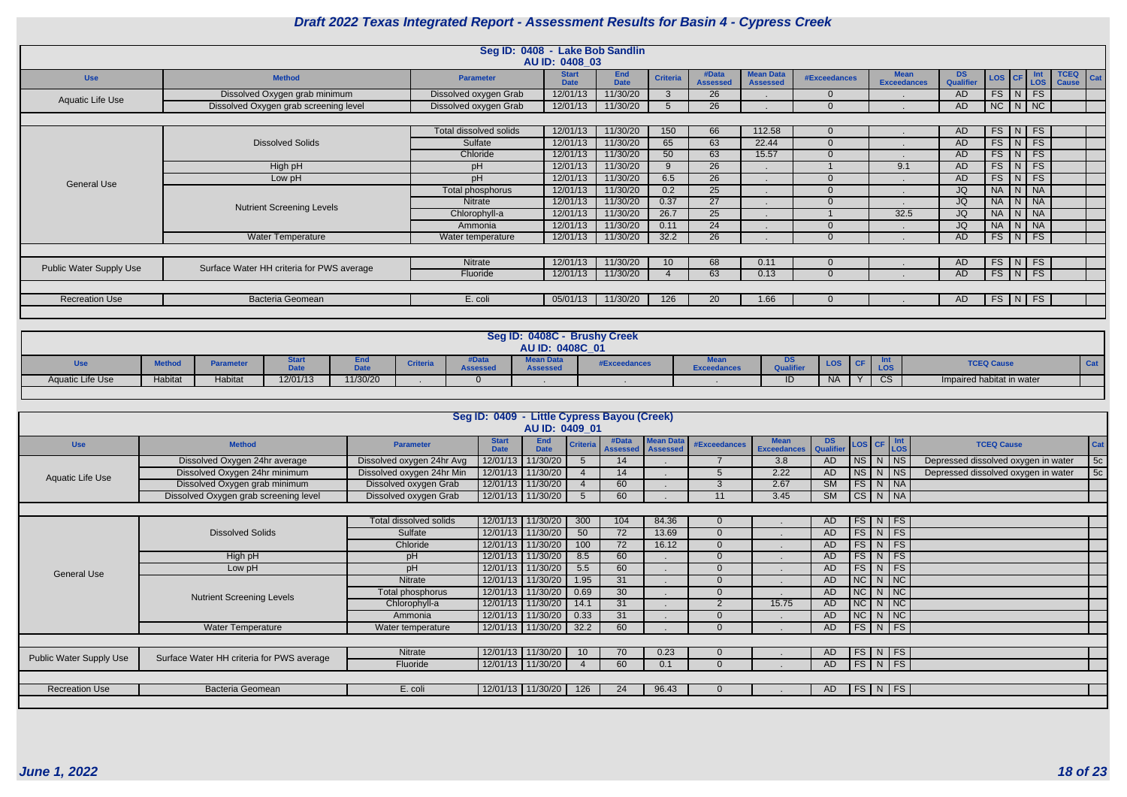|                                |                                           | Seg ID: 0408 - Lake Bob Sandlin | AU ID: 0408 03              |                           |                 |                          |                                     |              |                                   |                        |               |                 |                       |                                    |
|--------------------------------|-------------------------------------------|---------------------------------|-----------------------------|---------------------------|-----------------|--------------------------|-------------------------------------|--------------|-----------------------------------|------------------------|---------------|-----------------|-----------------------|------------------------------------|
| <b>Use</b>                     | <b>Method</b>                             | <b>Parameter</b>                | <b>Start</b><br><b>Date</b> | <b>End</b><br><b>Date</b> | <b>Criteria</b> | #Data<br><b>Assessed</b> | <b>Mean Data</b><br><b>Assessed</b> | #Exceedances | <b>Mean</b><br><b>Exceedances</b> | <b>DS</b><br>Qualifier | LOS CF        |                 | Int<br><b>LOS</b>     | <b>TCEQ</b><br>Cat<br><b>Cause</b> |
| Aquatic Life Use               | Dissolved Oxygen grab minimum             | Dissolved oxygen Grab           | 12/01/13                    | 11/30/20                  | 3               | 26                       |                                     |              |                                   | AD                     | $FS$ $N$      |                 | FS                    |                                    |
|                                | Dissolved Oxygen grab screening level     | Dissolved oxygen Grab           | 12/01/13                    | 11/30/20                  |                 | 26                       |                                     |              |                                   | AD                     | $NC$ $N$ $NC$ |                 |                       |                                    |
|                                |                                           |                                 |                             |                           |                 |                          |                                     |              |                                   |                        |               |                 |                       |                                    |
|                                |                                           | Total dissolved solids          | 12/01/13                    | 11/30/20                  | 150             | 66                       | 112.58                              | $\Omega$     |                                   | AD.                    | $FS$ N FS     |                 |                       |                                    |
|                                | <b>Dissolved Solids</b>                   | Sulfate                         | 12/01/13                    | 11/30/20                  | 65              | 63                       | 22.44                               | $\Omega$     |                                   | AD.                    | $FS$ $N$      |                 | FS                    |                                    |
|                                |                                           | Chloride                        | 12/01/13                    | 11/30/20                  | 50              | 63                       | 15.57                               | $\Omega$     |                                   | AD.                    | FS            | N               | <b>FS</b>             |                                    |
|                                | High pH                                   | pH                              | 12/01/13                    | 11/30/20                  | $\mathsf{Q}$    | 26                       |                                     |              | 9.1                               | AD                     | FS            | $\vert N \vert$ | FS                    |                                    |
| <b>General Use</b>             | Low pH                                    | pH                              | 12/01/13                    | 11/30/20                  | 6.5             | 26                       |                                     |              |                                   | AD.                    | $FS$ $N$      |                 | FS                    |                                    |
|                                |                                           | Total phosphorus                | 12/01/13                    | 11/30/20                  | 0.2             | 25                       |                                     |              |                                   | JQ                     | NA   N   NA   |                 |                       |                                    |
|                                | <b>Nutrient Screening Levels</b>          | Nitrate                         | 12/01/13                    | 11/30/20                  | 0.37            | 27                       |                                     | $\Omega$     |                                   | JQ                     | NA            |                 | N   NA                |                                    |
|                                |                                           | Chlorophyll-a                   | 12/01/13                    | 11/30/20                  | 26.7            | 25                       |                                     |              | 32.5                              | JQ                     | NA            | N               | $\overline{\big }$ NA |                                    |
|                                |                                           | Ammonia                         | 12/01/13                    | 11/30/20                  | 0.11            | 24                       |                                     |              |                                   | JQ                     | NA N NA       |                 |                       |                                    |
|                                | <b>Water Temperature</b>                  | Water temperature               | 12/01/13                    | 11/30/20                  | 32.2            | 26                       |                                     |              |                                   | AD                     | $FS$ $N$      |                 | FS                    |                                    |
|                                |                                           |                                 |                             |                           |                 |                          |                                     |              |                                   |                        |               |                 |                       |                                    |
| <b>Public Water Supply Use</b> | Surface Water HH criteria for PWS average | Nitrate                         | 12/01/13                    | 11/30/20                  | 10              | 68                       | 0.11                                |              |                                   | AD.                    | $FS$ $N$      |                 | FS                    |                                    |
|                                |                                           | Fluoride                        | 12/01/13                    | 11/30/20                  |                 | 63                       | 0.13                                | $\Omega$     |                                   | AD.                    | $FS$ $N$      |                 | FS                    |                                    |
|                                |                                           |                                 |                             |                           |                 |                          |                                     |              |                                   |                        |               |                 |                       |                                    |
| <b>Recreation Use</b>          | <b>Bacteria Geomean</b>                   | E. coli                         | 05/01/13                    | 11/30/20                  | 126             | 20                       | 1.66                                |              |                                   | AD.                    | FS N          |                 | <b>FS</b>             |                                    |
|                                |                                           |                                 |                             |                           |                 |                          |                                     |              |                                   |                        |               |                 |                       |                                    |

|                  |               |           |                              |          |                 |                 | Seg ID: 0408C - Brushy Creek<br>AU ID: 0408C 01 |              |                    |    |           |            |                           |     |
|------------------|---------------|-----------|------------------------------|----------|-----------------|-----------------|-------------------------------------------------|--------------|--------------------|----|-----------|------------|---------------------------|-----|
| Use              | <b>Method</b> | Parameter | <b>Oldi</b> l<br><b>Date</b> | .        | <b>Criteria</b> | <b>Assessed</b> | <b>Mean Data</b><br><b>Assessed</b>             | #Exceedances | <b>Exceedances</b> | טע | LOS.      | <b>LOS</b> | <b>TCEQ Cause</b>         | Cat |
| Aquatic Life Use | Habitat       | Habitat   | 12/01/13                     | 11/30/20 |                 |                 |                                                 |              |                    | ╍  | <b>NA</b> | $\cap$     | Impaired habitat in water |     |
|                  |               |           |                              |          |                 |                 |                                                 |              |                    |    |           |            |                           |     |

|                                |                                           |                           | Seg ID: 0409 - Little Cypress Bayou (Creek) |                    |                 |                              |                  |                     |                                   |                 |                                                       |          |                                     |     |
|--------------------------------|-------------------------------------------|---------------------------|---------------------------------------------|--------------------|-----------------|------------------------------|------------------|---------------------|-----------------------------------|-----------------|-------------------------------------------------------|----------|-------------------------------------|-----|
|                                |                                           |                           |                                             | AU ID: 0409 01     |                 |                              |                  |                     |                                   |                 |                                                       |          |                                     |     |
| <b>Use</b>                     | <b>Method</b>                             | <b>Parameter</b>          | <b>Start</b><br><b>Date</b>                 | End<br><b>Date</b> | <b>Criteria</b> | #Data<br>Assessed   Assessed | <b>Mean Data</b> | <b>#Exceedances</b> | <b>Mean</b><br><b>Exceedances</b> | DS<br>Qualifier | $\textsf{LOS}$ CF $\frac{\textsf{Int}}{\textsf{LOS}}$ |          | <b>TCEQ Cause</b>                   | Cat |
|                                | Dissolved Oxygen 24hr average             | Dissolved oxygen 24hr Avg |                                             | 12/01/13 11/30/20  |                 | 14                           |                  | $\overline{ }$      | 3.8                               | <b>AD</b>       | NS                                                    | $N$ NS   | Depressed dissolved oxygen in water | 5c  |
| Aquatic Life Use               | Dissolved Oxygen 24hr minimum             | Dissolved oxygen 24hr Min |                                             | 12/01/13 11/30/20  |                 | 14                           |                  | 5                   | 2.22                              | <b>AD</b>       | NS                                                    | $N$ NS   | Depressed dissolved oxygen in water | 5c  |
|                                | Dissolved Oxygen grab minimum             | Dissolved oxygen Grab     |                                             | 12/01/13 11/30/20  |                 | 60                           |                  | 3                   | 2.67                              | <b>SM</b>       | FS                                                    | $N$ $NA$ |                                     |     |
|                                | Dissolved Oxygen grab screening level     | Dissolved oxygen Grab     |                                             | 12/01/13 11/30/20  |                 | 60                           |                  | 11                  | 3.45                              | SM              | CS                                                    | N NA     |                                     |     |
|                                |                                           |                           |                                             |                    |                 |                              |                  |                     |                                   |                 |                                                       |          |                                     |     |
|                                |                                           | Total dissolved solids    |                                             | 12/01/13 11/30/20  | 300             | 104                          | 84.36            | $\overline{0}$      |                                   | AD.             | FS N FS                                               |          |                                     |     |
|                                | <b>Dissolved Solids</b>                   | Sulfate                   |                                             | 12/01/13 11/30/20  | 50              | 72                           | 13.69            | $\Omega$            |                                   | AD              | $FS\mid N \mid FS$                                    |          |                                     |     |
|                                |                                           | Chloride                  |                                             | 12/01/13 11/30/20  | 100             | 72                           | 16.12            | $\Omega$            |                                   | AD              | FS                                                    | $N$ FS   |                                     |     |
|                                | High pH                                   | pH                        |                                             | 12/01/13 11/30/20  | 8.5             | 60                           |                  | $\Omega$            |                                   | AD              | FS                                                    | $N$ FS   |                                     |     |
| <b>General Use</b>             | Low pH                                    | pH                        |                                             | 12/01/13 11/30/20  | 5.5             | 60                           |                  | $\Omega$            |                                   | AD              | FS                                                    | $N$ FS   |                                     |     |
|                                |                                           | Nitrate                   |                                             | 12/01/13 11/30/20  | 1.95            | $\overline{31}$              |                  | $\Omega$            |                                   | <b>AD</b>       | NC                                                    | $N$ NC   |                                     |     |
|                                | <b>Nutrient Screening Levels</b>          | Total phosphorus          |                                             | 12/01/13 11/30/20  | 0.69            | 30                           |                  | $\Omega$            |                                   | AD              | N <sub>C</sub>                                        | $N$ $NC$ |                                     |     |
|                                |                                           | Chlorophyll-a             |                                             | 12/01/13 11/30/20  | 14.1            | 31                           |                  | 2                   | 15.75                             | AD              | NC                                                    | $N$ NC   |                                     |     |
|                                |                                           | Ammonia                   |                                             | 12/01/13 11/30/20  | 0.33            | 31                           |                  | $\overline{0}$      |                                   | <b>AD</b>       | NC                                                    | $N$ NC   |                                     |     |
|                                | <b>Water Temperature</b>                  | Water temperature         |                                             | 12/01/13 11/30/20  | 32.2            | 60                           |                  | $\Omega$            |                                   | AD              | FS                                                    | $N$ FS   |                                     |     |
|                                |                                           |                           |                                             |                    |                 |                              |                  |                     |                                   |                 |                                                       |          |                                     |     |
| <b>Public Water Supply Use</b> | Surface Water HH criteria for PWS average | Nitrate                   |                                             | 12/01/13 11/30/20  | 10 <sup>°</sup> | 70                           | 0.23             | $\Omega$            |                                   | AD.             | $FS\mid N \mid FS$                                    |          |                                     |     |
|                                |                                           | Fluoride                  |                                             | 12/01/13 11/30/20  |                 | 60                           | 0.1              | $\Omega$            |                                   | AD.             | $FS$ N FS                                             |          |                                     |     |
|                                |                                           |                           |                                             |                    |                 |                              |                  |                     |                                   |                 |                                                       |          |                                     |     |
| <b>Recreation Use</b>          | Bacteria Geomean                          | E. coli                   |                                             | 12/01/13 11/30/20  | 126             | 24                           | 96.43            |                     |                                   | AD.             | FS                                                    | $N$ FS   |                                     |     |
|                                |                                           |                           |                                             |                    |                 |                              |                  |                     |                                   |                 |                                                       |          |                                     |     |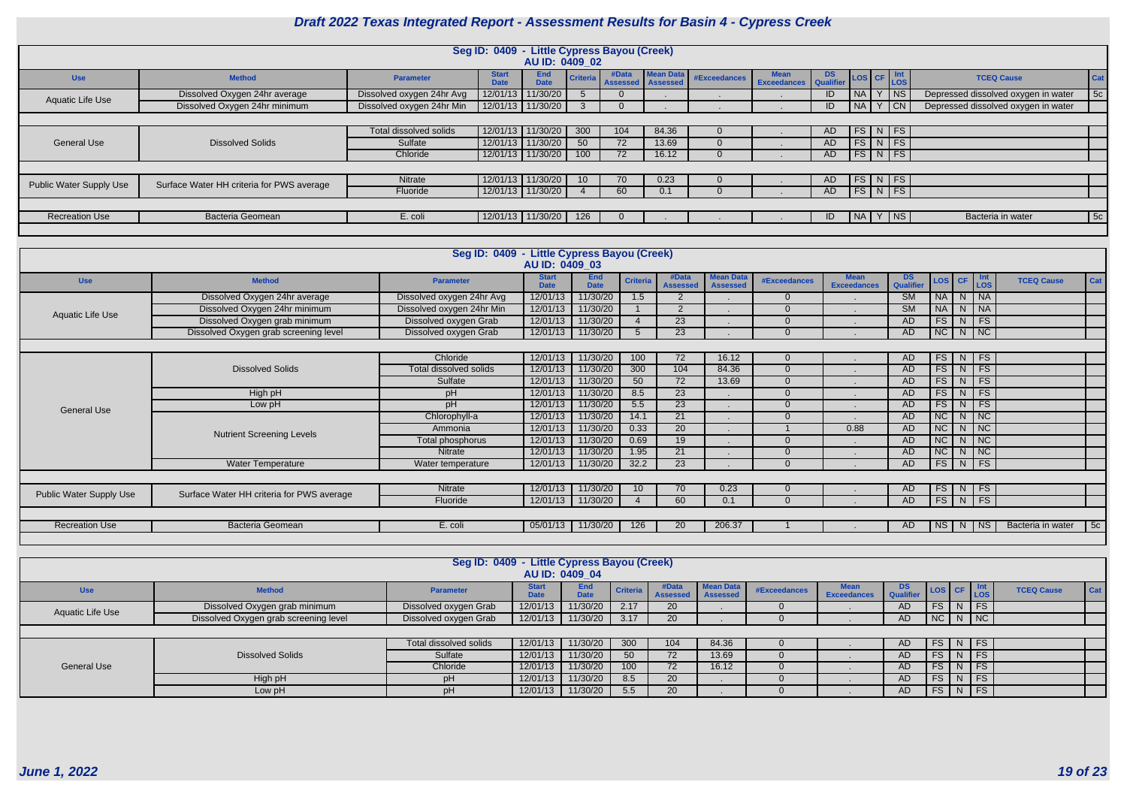|                                |                                           |                           |                             | Seg ID: 0409 - Little Cypress Bayou (Creek)<br>AU ID: 0409_02 |                 |                              |           |              |                                                                       |     |                         |          |                                     |     |
|--------------------------------|-------------------------------------------|---------------------------|-----------------------------|---------------------------------------------------------------|-----------------|------------------------------|-----------|--------------|-----------------------------------------------------------------------|-----|-------------------------|----------|-------------------------------------|-----|
| <b>Use</b>                     | <b>Method</b>                             | <b>Parameter</b>          | <b>Start</b><br><b>Date</b> | <b>End</b><br><b>Date</b>                                     | <b>Criteria</b> | #Data<br>Assessed   Assessed | Mean Data | #Exceedances | <b>Mean</b><br>Mean DS LOS CF Int<br>Exceedances Qualifier LOS CF LOS |     |                         |          | <b>TCEQ Cause</b>                   | Cat |
| <b>Aquatic Life Use</b>        | Dissolved Oxygen 24hr average             | Dissolved oxygen 24hr Avg |                             | 12/01/13 11/30/20                                             |                 |                              |           |              |                                                                       |     | NA I                    | $ $ NS   | Depressed dissolved oxygen in water | 5c  |
|                                | Dissolved Oxygen 24hr minimum             | Dissolved oxygen 24hr Min |                             | 12/01/13 11/30/20                                             |                 |                              |           |              |                                                                       |     | NA I                    | CN       | Depressed dissolved oxygen in water |     |
|                                |                                           |                           |                             |                                                               |                 |                              |           |              |                                                                       |     |                         |          |                                     |     |
|                                |                                           | Total dissolved solids    |                             | $12/01/13$   11/30/20                                         | 300             | 104                          | 84.36     |              |                                                                       | AD  | FS I                    | $N$ FS   |                                     |     |
| <b>General Use</b>             | <b>Dissolved Solids</b>                   | Sulfate                   |                             | 12/01/13 11/30/20                                             | 50              | 72                           | 13.69     |              |                                                                       | AD. | $FS$ N FS               |          |                                     |     |
|                                |                                           | Chloride                  |                             | $12/01/13$ 11/30/20                                           | 100             | 72                           | 16.12     |              |                                                                       | AD. | $FS\mid N \mid FS \mid$ |          |                                     |     |
|                                |                                           |                           |                             |                                                               |                 |                              |           |              |                                                                       |     |                         |          |                                     |     |
|                                | Surface Water HH criteria for PWS average | Nitrate                   |                             | 12/01/13 11/30/20                                             | 10 <sup>1</sup> | 70                           | 0.23      |              |                                                                       | AD. | $FS$ N FS               |          |                                     |     |
| <b>Public Water Supply Use</b> |                                           | Fluoride                  |                             | 12/01/13 11/30/20                                             |                 | 60                           | 0.1       |              |                                                                       | AD. | $FS$ N FS               |          |                                     |     |
|                                |                                           |                           |                             |                                                               |                 |                              |           |              |                                                                       |     |                         |          |                                     |     |
| <b>Recreation Use</b>          | Bacteria Geomean                          | E. coli                   |                             | 12/01/13 11/30/20                                             | 126             |                              |           |              |                                                                       | ID  | $\vert$ NA $\vert$      | $ Y $ NS | Bacteria in water                   | 5c  |
|                                |                                           |                           |                             |                                                               |                 |                              |           |              |                                                                       |     |                         |          |                                     |     |

|                                |                                           | Seg ID: 0409 - Little Cypress Bayou (Creek) |                             |                           |                 |                          |                                     |                     |                                   |                        |                        |   |            |                   |            |
|--------------------------------|-------------------------------------------|---------------------------------------------|-----------------------------|---------------------------|-----------------|--------------------------|-------------------------------------|---------------------|-----------------------------------|------------------------|------------------------|---|------------|-------------------|------------|
|                                |                                           |                                             | AU ID: 0409 03              |                           |                 |                          |                                     |                     |                                   |                        |                        |   |            |                   |            |
| <b>Use</b>                     | <b>Method</b>                             | <b>Parameter</b>                            | <b>Start</b><br><b>Date</b> | <b>End</b><br><b>Date</b> | <b>Criteria</b> | #Data<br><b>Assessed</b> | <b>Mean Data</b><br><b>Assessed</b> | <b>#Exceedances</b> | <b>Mean</b><br><b>Exceedances</b> | DS.<br>Qualifier       | LOS CF                 |   | Int<br>LOS | <b>TCEQ Cause</b> | Cat        |
|                                | Dissolved Oxygen 24hr average             | Dissolved oxygen 24hr Avg                   | 12/01/13                    | 11/30/20                  | 1.5             | $\overline{2}$           |                                     | $\Omega$            |                                   | <b>SM</b>              | <b>NA</b>              |   | $N$ NA     |                   |            |
| Aquatic Life Use               | Dissolved Oxygen 24hr minimum             | Dissolved oxygen 24hr Min                   | 12/01/13                    | 11/30/20                  |                 | $\overline{2}$           |                                     | $\Omega$            |                                   | $\overline{\text{SM}}$ | <b>NA</b>              |   | N NA       |                   |            |
|                                | Dissolved Oxygen grab minimum             | Dissolved oxygen Grab                       | 12/01/13                    | 11/30/20                  |                 | $\overline{23}$          |                                     | $\Omega$            |                                   | AD                     | FS                     |   | $N$ FS     |                   |            |
|                                | Dissolved Oxygen grab screening level     | Dissolved oxygen Grab                       | 12/01/13                    | 11/30/20                  | 5               | 23                       |                                     | $\Omega$            |                                   | AD                     | NC                     |   | $N$ NC     |                   |            |
|                                |                                           |                                             |                             |                           |                 |                          |                                     |                     |                                   |                        |                        |   |            |                   |            |
|                                |                                           | Chloride                                    | 12/01/13                    | 11/30/20                  | 100             | 72                       | 16.12                               | $\Omega$            |                                   | AD                     | FS                     |   | $N$ FS     |                   |            |
|                                | <b>Dissolved Solids</b>                   | Total dissolved solids                      | 12/01/13                    | 11/30/20                  | 300             | 104                      | 84.36                               | $\Omega$            |                                   | AD                     | FS                     |   | $N$   FS   |                   |            |
|                                |                                           | Sulfate                                     | 12/01/13                    | 11/30/20                  | 50              | 72                       | 13.69                               | $\Omega$            |                                   | AD                     | FS                     |   | $N$ FS     |                   |            |
|                                | High pH                                   | pH                                          | 12/01/13                    | 11/30/20                  | 8.5             | 23                       |                                     | $\Omega$            |                                   | AD                     | FS                     |   | $N$ FS     |                   |            |
| <b>General Use</b>             | Low pH                                    | pH                                          | 12/01/13                    | 11/30/20                  | 5.5             | 23                       |                                     | $\Omega$            |                                   | AD                     | FS                     |   | $N$ FS     |                   |            |
|                                |                                           | Chlorophyll-a                               | 12/01/13                    | 11/30/20                  | 14.1            | 21                       |                                     | $\Omega$            |                                   | AD                     | NC                     |   | $N$ NC     |                   |            |
|                                | <b>Nutrient Screening Levels</b>          | Ammonia                                     | 12/01/13                    | 11/30/20                  | 0.33            | 20                       |                                     |                     | 0.88                              | AD                     | NC                     |   | $N$   NC   |                   |            |
|                                |                                           | Total phosphorus                            | 12/01/13                    | 11/30/20                  | 0.69            | 19                       |                                     |                     |                                   | AD                     | NC                     |   | $N$ NC     |                   |            |
|                                |                                           | Nitrate                                     | 12/01/13                    | 11/30/20                  | 1.95            | 21                       |                                     |                     |                                   | AD                     | $\overline{\text{NC}}$ |   | $N$   NC   |                   |            |
|                                | <b>Water Temperature</b>                  | Water temperature                           | 12/01/13                    | 11/30/20                  | 32.2            | $\overline{23}$          |                                     |                     |                                   | <b>AD</b>              | FS                     |   | $N$ FS     |                   |            |
|                                |                                           |                                             |                             |                           |                 |                          |                                     |                     |                                   |                        |                        |   |            |                   |            |
|                                |                                           | Nitrate                                     | 12/01/13                    | 11/30/20                  | 10              | 70                       | 0.23                                | $\Omega$            |                                   | AD.                    | FS                     |   | $N$ FS     |                   |            |
| <b>Public Water Supply Use</b> | Surface Water HH criteria for PWS average | Fluoride                                    | 12/01/13                    | 11/30/20                  |                 | 60                       | 0.1                                 | $\Omega$            |                                   | AD                     | FS                     |   | $N$ FS     |                   |            |
|                                |                                           |                                             |                             |                           |                 |                          |                                     |                     |                                   |                        |                        |   |            |                   |            |
| <b>Recreation Use</b>          | Bacteria Geomean                          | E. coli                                     | 05/01/13                    | 11/30/20                  | 126             | 20                       | 206.37                              |                     |                                   | AD                     | <b>NS</b>              | N | <b>NS</b>  | Bacteria in water | $\vert$ 5c |
|                                |                                           |                                             |                             |                           |                 |                          |                                     |                     |                                   |                        |                        |   |            |                   |            |

|                    |                                       | Seg ID: 0409 - Little Cypress Bayou (Creek) |                      | AU ID: 0409 04            |                  |                          |                                     |              |                    |                        |                                                            |                             |                   |            |
|--------------------|---------------------------------------|---------------------------------------------|----------------------|---------------------------|------------------|--------------------------|-------------------------------------|--------------|--------------------|------------------------|------------------------------------------------------------|-----------------------------|-------------------|------------|
| <b>Use</b>         | <b>Method</b>                         | <b>Parameter</b>                            | <b>Start</b><br>Date | <b>End</b><br><b>Date</b> | Criteria         | #Data<br><b>Assessed</b> | <b>Mean Data</b><br><b>Assessed</b> | #Exceedances | <b>Exceedances</b> | <b>DS</b><br>Qualifier | $\left  \text{Los} \right $ CF $\left  \text{Int} \right $ |                             | <b>TCEQ Cause</b> | <b>Cat</b> |
| Aquatic Life Use   | Dissolved Oxygen grab minimum         | Dissolved oxygen Grab                       | 12/01/13             | 11/30/20                  | 2.17             | 20                       |                                     |              |                    | AD <sup>7</sup>        | $FS$ $N$                                                   | $\overline{\phantom{a}}$ FS |                   |            |
|                    | Dissolved Oxygen grab screening level | Dissolved oxygen Grab                       | 12/01/13             | 11/30/20                  | 3.17             | 20                       |                                     |              |                    | AD                     |                                                            | $NC$ $N$ $NC$               |                   |            |
|                    |                                       |                                             |                      |                           |                  |                          |                                     |              |                    |                        |                                                            |                             |                   |            |
|                    |                                       | Total dissolved solids                      | 12/01/13             | 11/30/20                  | 300              | 104                      | 84.36                               |              |                    | AD                     |                                                            | $FS \mid N \mid FS$         |                   |            |
|                    | <b>Dissolved Solids</b>               | Sulfate                                     | 12/01/13             | 11/30/20                  | 50 <sup>°</sup>  | $72^{\circ}$             | 13.69                               |              |                    | AD                     |                                                            | $FS$ N FS                   |                   |            |
| <b>General Use</b> |                                       | Chloride                                    | 12/01/13             | 11/30/20                  | 100 <sup>7</sup> | $72^{\circ}$             | 16.12                               |              |                    | AD                     | $FS$ $N$                                                   | $\overline{\phantom{a}}$ FS |                   |            |
|                    | High pH                               | рH                                          | 12/01/13             | 11/30/20                  | 8.5              | 20 <sub>1</sub>          |                                     |              |                    | AD                     | $FS$   N                                                   | $\overline{\phantom{a}}$ FS |                   |            |
|                    | Low pH                                | <b>DH</b>                                   | 12/01/13             | 11/30/20                  | 5.5              | 20 <sub>1</sub>          |                                     |              |                    | AD                     |                                                            | $FS$ $N$ $FS$               |                   |            |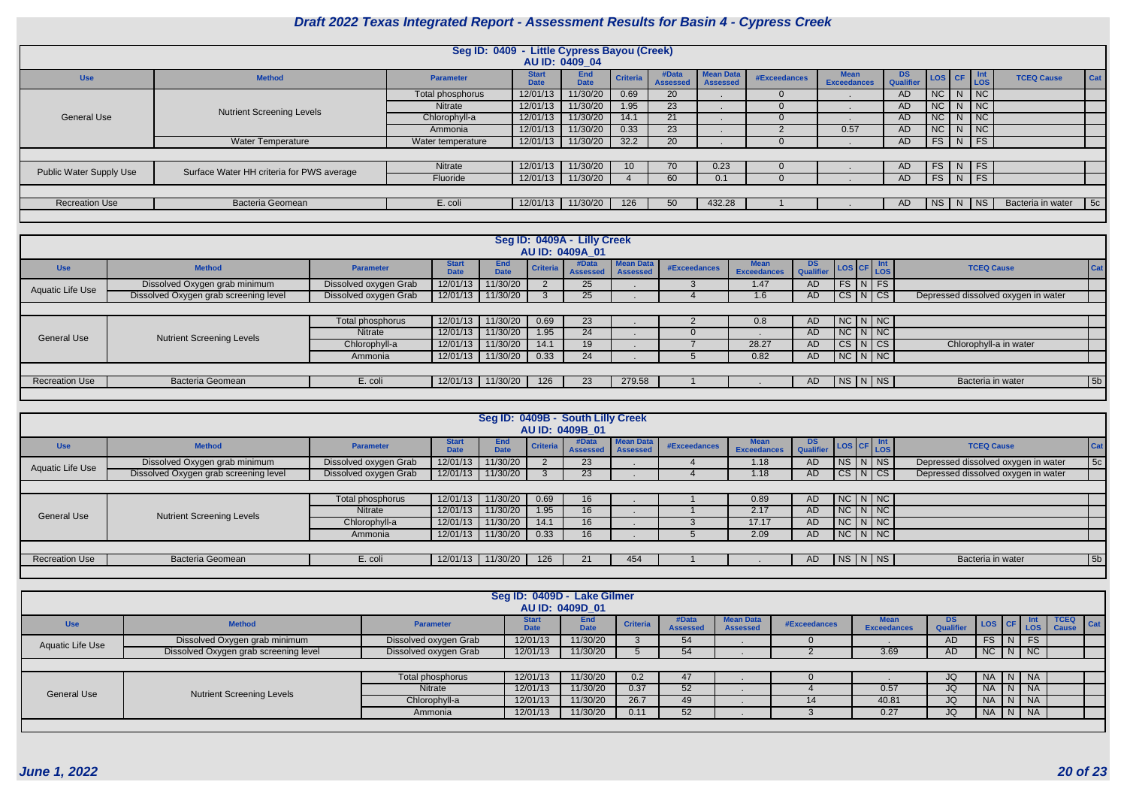|                                |                                           | Seg ID: 0409 - Little Cypress Bayou (Creek) |                             |                           |                 |                          |                                     |              |                                   |                 |            |              |                             |                   |            |
|--------------------------------|-------------------------------------------|---------------------------------------------|-----------------------------|---------------------------|-----------------|--------------------------|-------------------------------------|--------------|-----------------------------------|-----------------|------------|--------------|-----------------------------|-------------------|------------|
|                                |                                           |                                             |                             | AU ID: 0409 04            |                 |                          |                                     |              |                                   |                 |            |              |                             |                   |            |
| <b>Use</b>                     | <b>Method</b>                             | <b>Parameter</b>                            | <b>Start</b><br><b>Date</b> | <b>End</b><br><b>Date</b> | <b>Criteria</b> | #Data<br><b>Assessed</b> | <b>Mean Data</b><br><b>Assessed</b> | #Exceedances | <b>Mean</b><br><b>Exceedances</b> | DS<br>Qualifier | LOS CF     |              | Int<br>LOS                  | <b>TCEQ Cause</b> | Cat        |
|                                |                                           | Total phosphorus                            | 12/01/13                    | 11/30/20                  | 0.69            | <b>20</b>                |                                     |              |                                   | AD              | $NC$   $N$ |              | $\overline{\phantom{a}}$ NC |                   |            |
|                                | <b>Nutrient Screening Levels</b>          | <b>Nitrate</b>                              | 12/01/13                    | 11/30/20                  | 1.95            | 23                       |                                     |              |                                   | <b>AD</b>       | $NC$   $N$ |              | $\sqrt{NC}$                 |                   |            |
| <b>General Use</b>             |                                           | Chlorophyll-a                               | 12/01/13                    | 11/30/20                  | 14.1            | 21                       |                                     |              |                                   | AD.             | $NC$   $N$ |              | $\overline{\phantom{a}}$ NC |                   |            |
|                                |                                           | Ammonia                                     | 12/01/13                    | 11/30/20                  | 0.33            | 23                       |                                     |              | 0.57                              | AD              | NC         |              | $\overline{\phantom{a}}$ NC |                   |            |
|                                | Water Temperature                         | Water temperature                           | 12/01/13                    | 11/30/20                  | 32.2            | 20                       |                                     |              |                                   | AD              | $FS$   N   |              | $\overline{\phantom{a}}$ FS |                   |            |
|                                |                                           |                                             |                             |                           |                 |                          |                                     |              |                                   |                 |            |              |                             |                   |            |
| <b>Public Water Supply Use</b> | Surface Water HH criteria for PWS average | Nitrate                                     | 12/01/13                    | 11/30/20                  | $10-10$         | 70                       | 0.23                                |              |                                   | <b>AD</b>       | $FS$   N   |              | $\overline{\phantom{a}}$ FS |                   |            |
|                                |                                           | Fluoride                                    | 12/01/13                    | 11/30/20                  |                 | 60                       | 0.1                                 |              |                                   | AD              | FS         | $\mathsf{N}$ | $\overline{\phantom{a}}$ FS |                   |            |
|                                |                                           |                                             |                             |                           |                 |                          |                                     |              |                                   |                 |            |              |                             |                   |            |
| <b>Recreation Use</b>          | <b>Bacteria Geomean</b>                   | E. coli                                     | 12/01/13                    | 11/30/20                  | 126             | 50                       | 432.28                              |              |                                   | AD              | NS   N     |              | $ $ NS $ $                  | Bacteria in water | $\vert$ 5c |
|                                |                                           |                                             |                             |                           |                 |                          |                                     |              |                                   |                 |            |              |                             |                   |            |

|                         |                                       |                       |                             |                           |                 | Seg ID: 0409A - Lilly Creek<br>AU ID: 0409A 01 |                              |                     |                                   |                  |                                  |                                     |     |
|-------------------------|---------------------------------------|-----------------------|-----------------------------|---------------------------|-----------------|------------------------------------------------|------------------------------|---------------------|-----------------------------------|------------------|----------------------------------|-------------------------------------|-----|
| <b>Use</b>              | <b>Method</b>                         | <b>Parameter</b>      | <b>Start</b><br><b>Date</b> | <b>End</b><br><b>Date</b> | <b>Criteria</b> | #Data<br><b>Assessed</b>                       | Mean Data<br><b>Assessed</b> | <b>#Exceedances</b> | <b>Mean</b><br><b>Exceedances</b> | DS.<br>Qualifier | $\log$ $ CF $ $\frac{Int}{LOS} $ | <b>TCEQ Cause</b>                   | Cat |
| <b>Aquatic Life Use</b> | Dissolved Oxygen grab minimum         | Dissolved oxygen Grab | 12/01/13                    | 11/30/20                  |                 | 25 <sub>2</sub>                                |                              |                     | 1.47                              | AD.              | $FS\vert N \vert FS \vert$       |                                     |     |
|                         | Dissolved Oxygen grab screening level | Dissolved oxygen Grab | 12/01/13                    | 11/30/20                  |                 | 25                                             |                              |                     | $1.6\,$                           | AD               | CS N CS                          | Depressed dissolved oxygen in water |     |
|                         |                                       |                       |                             |                           |                 |                                                |                              |                     |                                   |                  |                                  |                                     |     |
|                         |                                       | Total phosphorus      | 12/01/13                    | 11/30/20                  | 0.69            | 23                                             |                              |                     | 0.8                               | AD.              | $NC\ N\ N$                       |                                     |     |
| <b>General Use</b>      | <b>Nutrient Screening Levels</b>      | Nitrate               | 12/01/13                    | 11/30/20                  | 1.95            | 24                                             |                              |                     |                                   | AD               | $NC\mid N\mid NC\mid$            |                                     |     |
|                         |                                       | Chlorophyll-a         | 12/01/13                    | 11/30/20                  | 14.1            | 19                                             |                              |                     | 28.27                             | AD               | CS N CS                          | Chlorophyll-a in water              |     |
|                         |                                       | Ammonia               | 12/01/13                    | 11/30/20                  | 0.33            | 24                                             |                              |                     | 0.82                              | AD.              | $N$ C $N$ $N$                    |                                     |     |
|                         |                                       |                       |                             |                           |                 |                                                |                              |                     |                                   |                  |                                  |                                     |     |
| <b>Recreation Use</b>   | <b>Bacteria Geomean</b>               | E. coli               | 12/01/13                    | 11/30/20                  | 126             | 23                                             | 279.58                       |                     |                                   | AD.              | NS N NS                          | Bacteria in water                   | 5b  |
|                         |                                       |                       |                             |                           |                 |                                                |                              |                     |                                   |                  |                                  |                                     |     |

|                         |                                       |                       |              | Seg ID: 0409B - South Lilly Creek |          | AU ID: 0409B 01          |                              |              |                            |                                       |                   |                       |                                     |                |
|-------------------------|---------------------------------------|-----------------------|--------------|-----------------------------------|----------|--------------------------|------------------------------|--------------|----------------------------|---------------------------------------|-------------------|-----------------------|-------------------------------------|----------------|
| <b>Use</b>              | <b>Method</b>                         | <b>Parameter</b>      | <b>Start</b> | End<br><b>Date</b>                | Criteria | #Data<br><b>Assessed</b> | <b>Mean Data</b><br>Assessed | #Exceedances | <b>Mean</b><br>Exceedances | DS LOS CF Int<br>Qualifier LOS CF LOS |                   |                       | <b>TCEQ Cause</b>                   | <b>Cat</b>     |
| <b>Aquatic Life Use</b> | Dissolved Oxygen grab minimum         | Dissolved oxygen Grab | 12/01/13     | 11/30/20                          |          | 23 <sup>°</sup>          |                              |              | 1.18                       | <b>AD</b>                             |                   | $N_S$ $N$ $N_S$       | Depressed dissolved oxygen in water | 5c             |
|                         | Dissolved Oxygen grab screening level | Dissolved oxygen Grab |              | 12/01/13 11/30/20                 |          | 23                       |                              |              | 1.18                       | <b>AD</b>                             |                   | CS N CS               | Depressed dissolved oxygen in water |                |
|                         |                                       |                       |              |                                   |          |                          |                              |              |                            |                                       |                   |                       |                                     |                |
|                         |                                       | Total phosphorus      | 12/01/13     | 11/30/20                          | 0.69     | 16                       |                              |              | 0.89                       | <b>AD</b>                             |                   | $NC\mid N\mid NC\mid$ |                                     |                |
| <b>General Use</b>      | <b>Nutrient Screening Levels</b>      | Nitrate               | 12/01/13     | 11/30/20                          | 1.95     | 16                       |                              |              | 2.17                       | <b>AD</b>                             |                   | $NC\ N\ N$            |                                     |                |
|                         |                                       | Chlorophyll-a         | 12/01/13     | 11/30/20                          | 14.1     | 16                       |                              |              | 17.17                      | <b>AD</b>                             | $NC\mid N\mid NC$ |                       |                                     |                |
|                         |                                       | Ammonia               | 12/01/13     | 11/30/20                          | 0.33     | 16                       |                              |              | 2.09                       | <b>AD</b>                             |                   | NCI N/NC              |                                     |                |
|                         |                                       |                       |              |                                   |          |                          |                              |              |                            |                                       |                   |                       |                                     |                |
| <b>Recreation Use</b>   | <b>Bacteria Geomean</b>               | E. coli               | 12/01/13     | 11/30/20                          | 126      | 21                       | 454                          |              |                            | AD                                    |                   | NS N NS               | Bacteria in water                   | 5 <sub>b</sub> |
|                         |                                       |                       |              |                                   |          |                          |                              |              |                            |                                       |                   |                       |                                     |                |

|                    |                                       |                       | Seg ID: 0409D - Lake Gilmer | AU ID: 0409D 01    |                 |                          |                                     |              |                                   |                  |           |      |               |                                        |
|--------------------|---------------------------------------|-----------------------|-----------------------------|--------------------|-----------------|--------------------------|-------------------------------------|--------------|-----------------------------------|------------------|-----------|------|---------------|----------------------------------------|
| <b>Use</b>         | <b>Method</b>                         | <b>Parameter</b>      | <b>Start</b><br><b>Date</b> | End<br><b>Date</b> | <b>Criteria</b> | #Data<br><b>Assessed</b> | <b>Mean Data</b><br><b>Assessed</b> | #Exceedances | <b>Mean</b><br><b>Exceedances</b> | DS.<br>Qualifier | LOS CF    |      | ∣ Int<br>∣LOS | <b>TCEQ</b><br>$ $ Cat<br><b>Cause</b> |
| Aquatic Life Use   | Dissolved Oxygen grab minimum         | Dissolved oxygen Grab | 12/01/13                    | 11/30/20           |                 | 54                       |                                     |              |                                   | AD               | FS        | N.   | <b>FS</b>     |                                        |
|                    | Dissolved Oxygen grab screening level | Dissolved oxygen Grab | 12/01/13                    | 11/30/20           |                 | 54                       |                                     |              | 3.69                              | AD               | NC        | N I  | NC            |                                        |
|                    |                                       |                       |                             |                    |                 |                          |                                     |              |                                   |                  |           |      |               |                                        |
|                    |                                       | Total phosphorus      | 12/01/13                    | 11/30/20           | 0.2             | 47                       |                                     |              |                                   | JQ               | NA -      | N NA |               |                                        |
| <b>General Use</b> | <b>Nutrient Screening Levels</b>      | Nitrate               | 12/01/13                    | 11/30/20           | 0.37            | 52                       |                                     |              | 0.57                              | JQ               | <b>NA</b> |      | <b>NA</b>     |                                        |
|                    |                                       | Chlorophyll-a         | 12/01/13                    | 11/30/20           | 26.7            | 49                       |                                     | 14           | 40.81                             | JQ               |           |      | <b>NA</b>     |                                        |
|                    |                                       | Ammonia               | 12/01/13                    | 11/30/20           | 0.11            | 52                       |                                     |              | 0.27                              | JQ               | <b>NA</b> | N    | NA            |                                        |
|                    |                                       |                       |                             |                    |                 |                          |                                     |              |                                   |                  |           |      |               |                                        |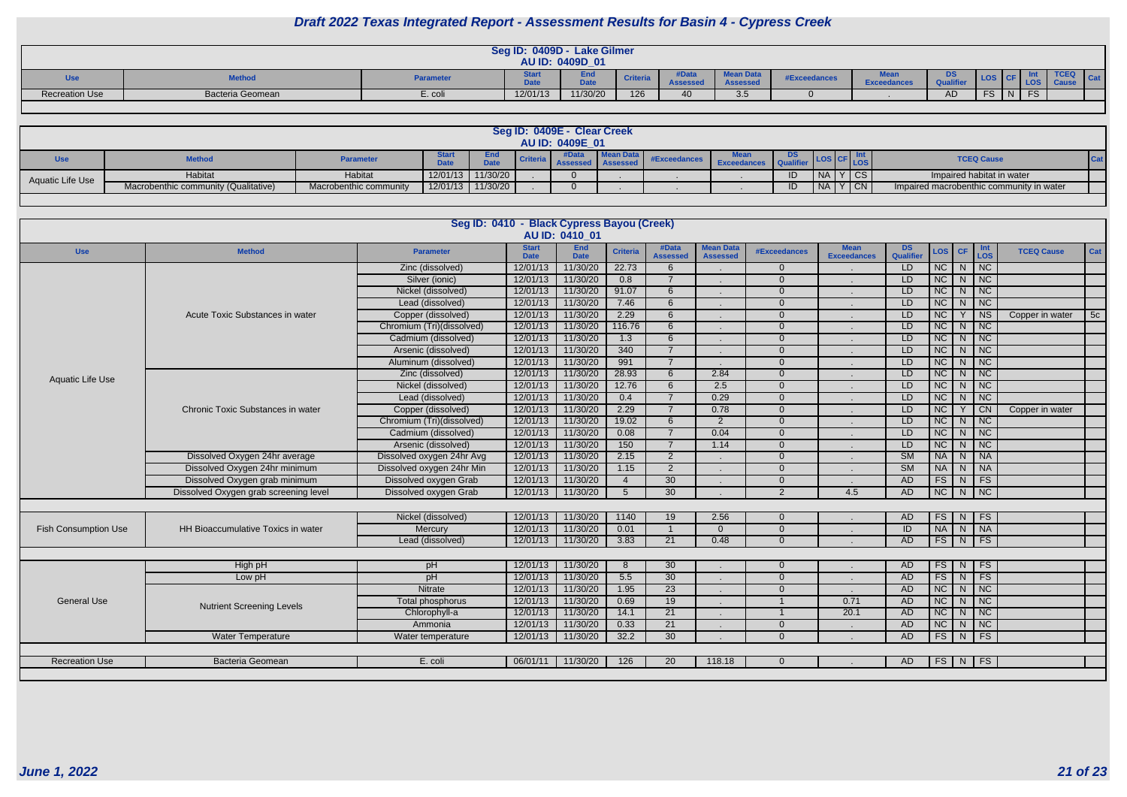|                |                      |                  | Seg ID: 0409D - Lake Gilmer | AU ID: 0409D_01            |                |                                |                              |              |                         |                                     |         |          |                     |  |
|----------------|----------------------|------------------|-----------------------------|----------------------------|----------------|--------------------------------|------------------------------|--------------|-------------------------|-------------------------------------|---------|----------|---------------------|--|
|                | <b><i>Mathan</i></b> | <b>Parameter</b> | <b>BALL</b><br>pau          | ---<br><b>Data</b><br>pale | <b>Criteri</b> | #Data<br>$A$ cccccc<br>noouoou | <b>Mean Data</b><br>Accocood | #Exceedances | .<br><b>Exceedances</b> | <b>DO</b><br><u>ט </u><br>Qualifier | LOS I ( |          | <b>TCEQ</b><br>l Ca |  |
| Recreation Use | Bacteria Geomean     | E. coli          | 12/01/13                    | 11/30/20                   | 126            | $\sim$                         | $\Omega$ $\Gamma$<br>ບ.ບ     |              |                         | AD                                  | re-     | $\Gamma$ |                     |  |
|                |                      |                  |                             |                            |                |                                |                              |              |                         |                                     |         |          |                     |  |

|                  |                                      |                        |             |                    |          | Seg ID: 0409E - Clear Creek<br>AU ID: 0409E 01 |              |                    |          |           |           |                                          |  |
|------------------|--------------------------------------|------------------------|-------------|--------------------|----------|------------------------------------------------|--------------|--------------------|----------|-----------|-----------|------------------------------------------|--|
| Use              | <b>Method</b>                        | <b>Parameter</b>       | <b>Data</b> | End<br><b>Date</b> | Criteria |                                                | #Exceedances | <b>Exceedances</b> | - I Qual |           |           | <b>TCEQ Cause</b>                        |  |
| Aquatic Life Use | Habitat                              | Habitat                | 12/01/13    | 11/30/20           |          |                                                |              |                    |          | <b>NA</b> | <b>CS</b> | Impaired habitat in water                |  |
|                  | Macrobenthic community (Qualitative) | Macrobenthic community |             | 12/01/13 11/30/20  |          | $\Omega$                                       |              |                    | ID       | NA I      | $ $ CN    | Impaired macrobenthic community in water |  |
|                  |                                      |                        |             |                    |          |                                                |              |                    |          |           |           |                                          |  |

|                             |                                       |                           | Seg ID: 0410 - Black Cypress Bayou (Creek) | AU ID: 0410 01            |                  |                          |                                     |                     |                                   |                        |                 |                |                                     |                   |     |
|-----------------------------|---------------------------------------|---------------------------|--------------------------------------------|---------------------------|------------------|--------------------------|-------------------------------------|---------------------|-----------------------------------|------------------------|-----------------|----------------|-------------------------------------|-------------------|-----|
| <b>Use</b>                  | <b>Method</b>                         | <b>Parameter</b>          | <b>Start</b><br><b>Date</b>                | <b>End</b><br><b>Date</b> | <b>Criteria</b>  | #Data<br><b>Assessed</b> | <b>Mean Data</b><br><b>Assessed</b> | <b>#Exceedances</b> | <b>Mean</b><br><b>Exceedances</b> | <b>DS</b><br>Qualifier | LOS             | <b>CF</b>      | Int<br>LOS                          | <b>TCEQ Cause</b> | Cat |
|                             |                                       | Zinc (dissolved)          | 12/01/13                                   | 11/30/20                  | 22.73            | 6                        |                                     | $\Omega$            |                                   | LD.                    | $\overline{NC}$ | N <sub>1</sub> | $\overline{\overline{\mathsf{NC}}}$ |                   |     |
|                             |                                       | Silver (ionic)            | 12/01/13                                   | 11/30/20                  | 0.8              | $\overline{7}$           |                                     | $\Omega$            |                                   | LD                     | NC              | N              | NC                                  |                   |     |
|                             |                                       | Nickel (dissolved)        | 12/01/13                                   | 11/30/20                  | 91.07            | $6 \overline{6}$         |                                     | $\overline{0}$      |                                   | LD                     | $\overline{NC}$ | N              | NC                                  |                   |     |
|                             |                                       | Lead (dissolved)          | 12/01/13                                   | 11/30/20                  | 7.46             | 6                        |                                     | $\overline{0}$      |                                   | LD                     | $\overline{NC}$ | N <sub>1</sub> | $\overline{NC}$                     |                   |     |
|                             | Acute Toxic Substances in water       | Copper (dissolved)        | 12/01/13                                   | 11/30/20                  | 2.29             | 6                        |                                     | $\overline{0}$      |                                   | LD                     | $\overline{NC}$ | Y              | $\overline{\mathsf{NS}}$            | Copper in water   | 5c  |
|                             |                                       | Chromium (Tri)(dissolved) | 12/01/13                                   | 11/30/20                  | 116.76           | 6                        |                                     | $\mathbf 0$         |                                   | LD                     | NC              | N              | NC                                  |                   |     |
|                             |                                       | Cadmium (dissolved)       | 12/01/13                                   | 11/30/20                  | $\overline{1.3}$ | 6                        |                                     | $\Omega$            |                                   | LD                     | NC              | $\mathsf{N}$   | NC                                  |                   |     |
|                             |                                       | Arsenic (dissolved)       | 12/01/13                                   | 11/30/20                  | $\overline{340}$ | $\overline{7}$           |                                     | $\Omega$            |                                   | $\overline{LD}$        | $\overline{NC}$ | $\overline{N}$ | $\overline{NC}$                     |                   |     |
|                             |                                       | Aluminum (dissolved)      | 12/01/13                                   | 11/30/20                  | 991              | $\overline{7}$           |                                     | $\Omega$            |                                   | LD                     | $\overline{NC}$ | $\overline{N}$ | NC                                  |                   |     |
| <b>Aquatic Life Use</b>     |                                       | Zinc (dissolved)          | 12/01/13                                   | 11/30/20                  | 28.93            | 6                        | 2.84                                | $\Omega$            |                                   | LD                     | $\overline{NC}$ | N              | $\overline{\phantom{1}}$ NC         |                   |     |
|                             |                                       | Nickel (dissolved)        | 12/01/13                                   | 11/30/20                  | 12.76            | 6                        | $\overline{2.5}$                    | $\Omega$            |                                   | $\overline{LD}$        | $\overline{NC}$ | N              | $\overline{\mathsf{N}\mathsf{C}}$   |                   |     |
|                             |                                       | Lead (dissolved)          | 12/01/13                                   | 11/30/20                  | 0.4              | $\overline{7}$           | 0.29                                | $\Omega$            |                                   | LD                     | NC              | N              | NC                                  |                   |     |
|                             | Chronic Toxic Substances in water     | Copper (dissolved)        | 12/01/13                                   | 11/30/20                  | 2.29             | $\overline{7}$           | 0.78                                | $\Omega$            |                                   | LD                     | NC              |                | $\overline{C}N$                     | Copper in water   |     |
|                             |                                       | Chromium (Tri)(dissolved) | 12/01/13                                   | 11/30/20                  | 19.02            | $6 \overline{6}$         | $\overline{2}$                      | $\overline{0}$      |                                   | LD                     | NC              | N              | $\overline{NC}$                     |                   |     |
|                             |                                       | Cadmium (dissolved)       | 12/01/13                                   | 11/30/20                  | 0.08             | $\overline{7}$           | 0.04                                | $\overline{0}$      |                                   | LD                     | $\overline{NC}$ | N              | $\overline{NC}$                     |                   |     |
|                             |                                       | Arsenic (dissolved)       | 12/01/13                                   | 11/30/20                  | 150              | $\overline{7}$           | 1.14                                | $\overline{0}$      |                                   | LD                     | NC              | N              | $\overline{\phantom{a}}$ NC         |                   |     |
|                             | Dissolved Oxygen 24hr average         | Dissolved oxygen 24hr Avg | 12/01/13                                   | 11/30/20                  | 2.15             | 2                        |                                     | $\overline{0}$      |                                   | $\overline{\text{SM}}$ | <b>NA</b>       | N              | <b>NA</b>                           |                   |     |
|                             | Dissolved Oxygen 24hr minimum         | Dissolved oxygen 24hr Min | 12/01/13                                   | 11/30/20                  | 1.15             | $\overline{2}$           |                                     | $\Omega$            |                                   | $\overline{\text{SM}}$ | <b>NA</b>       | $\overline{N}$ | $\overline{\mathsf{NA}}$            |                   |     |
|                             | Dissolved Oxygen grab minimum         | Dissolved oxygen Grab     | 12/01/13                                   | 11/30/20                  | $\overline{4}$   | 30                       |                                     | $\Omega$            |                                   | <b>AD</b>              | FS              | ${\sf N}$      | FS                                  |                   |     |
|                             | Dissolved Oxygen grab screening level | Dissolved oxygen Grab     | 12/01/13                                   | 11/30/20                  | $5\overline{5}$  | 30                       |                                     | 2                   | 4.5                               | <b>AD</b>              | $\overline{NC}$ | $\overline{N}$ | NC                                  |                   |     |
|                             |                                       |                           |                                            |                           |                  |                          |                                     |                     |                                   |                        |                 |                |                                     |                   |     |
|                             |                                       | Nickel (dissolved)        | 12/01/13                                   | 11/30/20                  | 1140             | 19                       | 2.56                                | $\Omega$            |                                   | AD                     | FS              | ${\sf N}$      | FS                                  |                   |     |
| <b>Fish Consumption Use</b> | HH Bioaccumulative Toxics in water    | Mercury                   | 12/01/13                                   | 11/30/20                  | 0.01             | $\overline{1}$           | $\Omega$                            | $\Omega$            |                                   | ID                     | NA              | $\overline{N}$ | $\overline{\big }$ NA               |                   |     |
|                             |                                       | Lead (dissolved)          | 12/01/13                                   | 11/30/20                  | 3.83             | 21                       | 0.48                                | $\Omega$            |                                   | <b>AD</b>              | FS              | N              | $\overline{\phantom{a}}$ FS         |                   |     |
|                             |                                       |                           |                                            |                           |                  |                          |                                     |                     |                                   |                        |                 |                |                                     |                   |     |
|                             | High pH                               | pH                        | 12/01/13                                   | 11/30/20                  | -8               | $\overline{30}$          |                                     | $\Omega$            |                                   | <b>AD</b>              | FS              | N              | FS                                  |                   |     |
|                             | Low pH                                | pH                        | 12/01/13                                   | 11/30/20                  | 5.5              | 30                       |                                     | $\Omega$            |                                   | <b>AD</b>              | $\overline{FS}$ | ${\sf N}$      | F <sub>S</sub>                      |                   |     |
|                             |                                       | <b>Nitrate</b>            | 12/01/13                                   | 11/30/20                  | 1.95             | $\overline{23}$          |                                     | $\Omega$            | $\sim$                            | <b>AD</b>              | NC              | $\mathsf{N}$   | NC                                  |                   |     |
| <b>General Use</b>          |                                       | <b>Total phosphorus</b>   | 12/01/13                                   | 11/30/20                  | 0.69             | 19                       |                                     |                     | 0.71                              | <b>AD</b>              | NC              | N              | NC                                  |                   |     |
|                             | <b>Nutrient Screening Levels</b>      | Chlorophyll-a             | 12/01/13                                   | 11/30/20                  | 14.1             | 21                       |                                     |                     | 20.1                              | A <sub>D</sub>         | $\overline{NC}$ | N              | $\overline{NC}$                     |                   |     |
|                             |                                       | Ammonia                   | 12/01/13                                   | 11/30/20                  | 0.33             | 21                       |                                     | $\overline{0}$      |                                   | <b>AD</b>              | NC              | $\mathsf{N}$   | NC                                  |                   |     |
|                             | <b>Water Temperature</b>              | Water temperature         | 12/01/13                                   | 11/30/20                  | 32.2             | 30                       |                                     | $\overline{0}$      |                                   | <b>AD</b>              | FS              | N              | FS                                  |                   |     |
|                             |                                       |                           |                                            |                           |                  |                          |                                     |                     |                                   |                        |                 |                |                                     |                   |     |
| <b>Recreation Use</b>       | <b>Bacteria Geomean</b>               | E. coli                   | 06/01/11                                   | 11/30/20                  | 126              | <b>20</b>                | 118.18                              | $\Omega$            |                                   | AD.                    |                 |                | $FS$ N FS                           |                   |     |
|                             |                                       |                           |                                            |                           |                  |                          |                                     |                     |                                   |                        |                 |                |                                     |                   |     |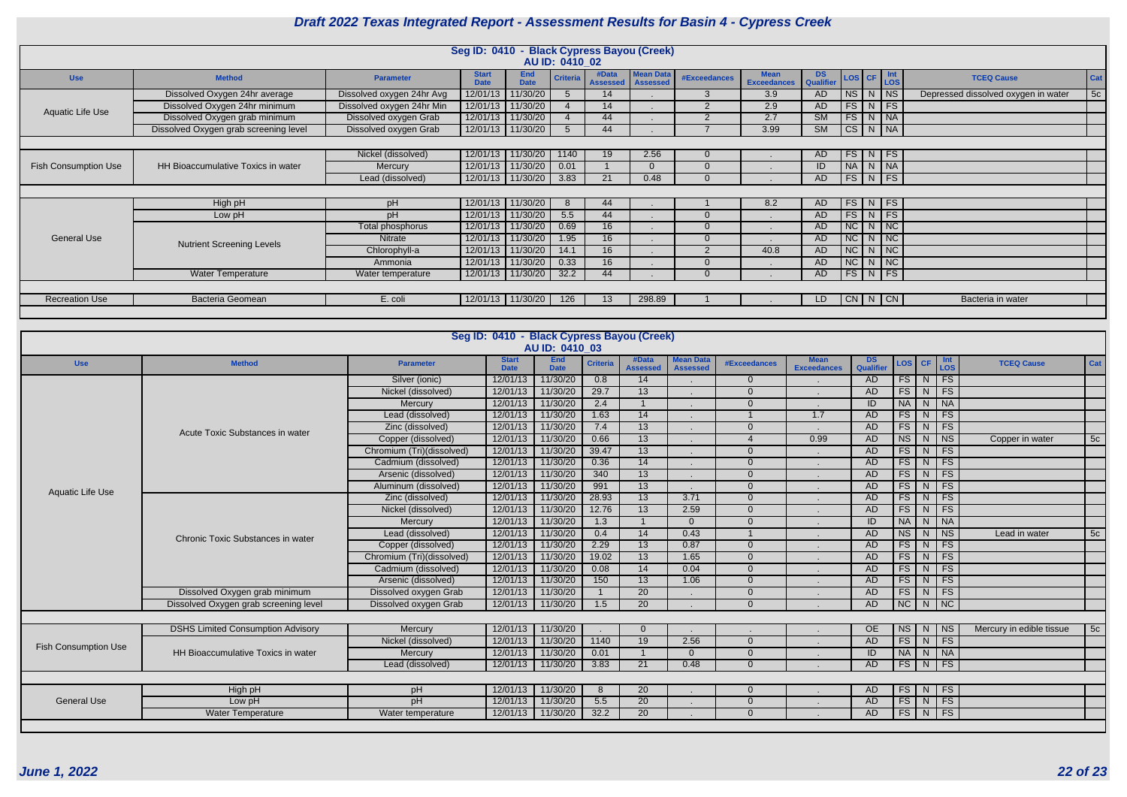|                                                                                     |                                                                |                           | Seg ID: 0410 - Black Cypress Bayou (Creek) |                           |                 |                          |                                     |              |                                   |                         |               |               |  |                                     |     |
|-------------------------------------------------------------------------------------|----------------------------------------------------------------|---------------------------|--------------------------------------------|---------------------------|-----------------|--------------------------|-------------------------------------|--------------|-----------------------------------|-------------------------|---------------|---------------|--|-------------------------------------|-----|
|                                                                                     |                                                                |                           |                                            |                           | AU ID: 0410 02  |                          |                                     |              |                                   |                         |               |               |  |                                     |     |
| <b>Use</b>                                                                          | <b>Method</b>                                                  | <b>Parameter</b>          | <b>Start</b><br><b>Date</b>                | <b>End</b><br><b>Date</b> | <b>Criteria</b> | #Data<br><b>Assessed</b> | <b>Mean Data</b><br><b>Assessed</b> | #Exceedances | <b>Mean</b><br><b>Exceedances</b> | DS Qualifier LOS CF LOS |               |               |  | <b>TCEQ Cause</b>                   | Cat |
|                                                                                     | Dissolved Oxygen 24hr average                                  | Dissolved oxygen 24hr Avg | 12/01/13                                   | 11/30/20                  |                 | 14                       |                                     | 3            | 3.9                               | AD                      | NS N NS       |               |  | Depressed dissolved oxygen in water | 5c  |
| Aquatic Life Use                                                                    | Dissolved Oxygen 24hr minimum                                  | Dissolved oxygen 24hr Min | 12/01/13                                   | 11/30/20                  |                 | 14                       |                                     |              | 2.9                               | AD.                     |               | $FS$ N FS     |  |                                     |     |
|                                                                                     | Dissolved Oxygen grab minimum                                  | Dissolved oxygen Grab     | 12/01/13                                   | 11/30/20                  |                 | 44                       |                                     | $\Omega$     | 2.7                               | SM                      |               | $FS$ $N$ $N$  |  |                                     |     |
|                                                                                     | Dissolved Oxygen grab screening level                          | Dissolved oxygen Grab     |                                            | 12/01/13 11/30/20         |                 | 44                       |                                     |              | 3.99                              | $\overline{\text{SM}}$  | $CS$ N $NA$   |               |  |                                     |     |
| Nickel (dissolved)<br>12/01/13<br>11/30/20<br>$FS$ N FS<br>2.56<br>1140<br>19<br>AD |                                                                |                           |                                            |                           |                 |                          |                                     |              |                                   |                         |               |               |  |                                     |     |
|                                                                                     |                                                                |                           |                                            |                           |                 |                          |                                     |              |                                   |                         |               |               |  |                                     |     |
| <b>Fish Consumption Use</b>                                                         | HH Bioaccumulative Toxics in water                             | Mercury                   |                                            |                           | 0.01            |                          |                                     | $\Omega$     |                                   | ID                      |               |               |  |                                     |     |
|                                                                                     |                                                                | Lead (dissolved)          |                                            |                           | 3.83            | 21                       | 0.48                                |              |                                   | AD.                     |               |               |  |                                     |     |
|                                                                                     | NA N NA<br>12/01/13 11/30/20<br>12/01/13   11/30/20<br>FS N FS |                           |                                            |                           |                 |                          |                                     |              |                                   |                         |               |               |  |                                     |     |
|                                                                                     | High pH                                                        | pH                        | 12/01/13                                   | 11/30/20                  | -8              | 44                       |                                     |              | 8.2                               | AD                      |               | FS N FS       |  |                                     |     |
|                                                                                     | Low pH                                                         | pН                        | 12/01/13                                   | 11/30/20                  | 5.5             | 44                       |                                     |              |                                   | AD                      |               | $FS$ N FS     |  |                                     |     |
|                                                                                     |                                                                | Total phosphorus          | 12/01/13                                   | 11/30/20                  | 0.69            | 16                       |                                     |              |                                   | AD                      | $NC$ $N$ $NC$ |               |  |                                     |     |
| <b>General Use</b>                                                                  | <b>Nutrient Screening Levels</b>                               | Nitrate                   | 12/01/13                                   | 11/30/20                  | 1.95            | 16                       |                                     | $\Omega$     |                                   | AD                      | $NC$ $N$ $NC$ |               |  |                                     |     |
|                                                                                     |                                                                | Chlorophyll-a             | 12/01/13                                   | 11/30/20                  | 14.1            | 16                       |                                     |              | 40.8                              | AD                      | NC N NC       |               |  |                                     |     |
|                                                                                     |                                                                | Ammonia                   | 12/01/13                                   | 11/30/20                  | 0.33            | 16                       |                                     |              |                                   | AD                      |               | $NC$ $N$ $NC$ |  |                                     |     |
|                                                                                     | <b>Water Temperature</b>                                       | Water temperature         | 12/01/13                                   | 11/30/20                  | 32.2            | 44                       |                                     |              |                                   | AD                      |               | $FS$ N FS     |  |                                     |     |
|                                                                                     |                                                                |                           |                                            |                           |                 |                          |                                     |              |                                   |                         |               |               |  |                                     |     |
| <b>Recreation Use</b>                                                               | <b>Bacteria Geomean</b>                                        | E. coli                   | 12/01/13                                   | 11/30/20                  | 126             | 13 <sup>°</sup>          | 298.89                              |              |                                   | LD.                     | $CN$ N $ CN$  |               |  | Bacteria in water                   |     |
|                                                                                     |                                                                |                           |                                            |                           |                 |                          |                                     |              |                                   |                         |               |               |  |                                     |     |

|                             |                                          |                           | Seg ID: 0410 - Black Cypress Bayou (Creek) | AU ID: 0410 03 |                 |                 |                  |                |                    |           |                              |                    |            |                          |     |
|-----------------------------|------------------------------------------|---------------------------|--------------------------------------------|----------------|-----------------|-----------------|------------------|----------------|--------------------|-----------|------------------------------|--------------------|------------|--------------------------|-----|
|                             |                                          |                           | <b>Start</b>                               | <b>End</b>     |                 | #Data           | <b>Mean Data</b> |                | <b>Mean</b>        | <b>DS</b> |                              |                    |            |                          |     |
| <b>Use</b>                  | <b>Method</b>                            | <b>Parameter</b>          | <b>Date</b>                                | <b>Date</b>    | <b>Criteria</b> | <b>Assessed</b> | <b>Assessed</b>  | #Exceedances   | <b>Exceedances</b> | Qualifier | $\textsf{LoS}$ $\textsf{CF}$ |                    | Int<br>LOS | <b>TCEQ Cause</b>        | Cat |
|                             |                                          | Silver (ionic)            | 12/01/13                                   | 11/30/20       | 0.8             | $\overline{14}$ |                  | $\Omega$       |                    | AD        | FS                           | $\vert N \vert$ FS |            |                          |     |
|                             |                                          | Nickel (dissolved)        | 12/01/13                                   | 11/30/20       | 29.7            | 13              |                  | $\overline{0}$ |                    | <b>AD</b> | FS                           | N                  | FS         |                          |     |
|                             |                                          | Mercury                   | 12/01/13                                   | 11/30/20       | 2.4             |                 |                  | $\overline{0}$ |                    | ID        | <b>NA</b>                    | N NA               |            |                          |     |
|                             |                                          | Lead (dissolved)          | 12/01/13                                   | 11/30/20       | 1.63            | 14              |                  | $\overline{1}$ | 1.7                | <b>AD</b> | FS                           | N                  | FS         |                          |     |
|                             | Acute Toxic Substances in water          | Zinc (dissolved)          | 12/01/13                                   | 11/30/20       | 7.4             | 13 <sup>°</sup> |                  | $\overline{0}$ |                    | AD        | FS                           | N                  | FS         |                          |     |
|                             |                                          | Copper (dissolved)        | 12/01/13                                   | 11/30/20       | 0.66            | 13              |                  | $\overline{4}$ | 0.99               | AD        | N <sub>S</sub>               | $N$ NS             |            | Copper in water          | 5c  |
|                             |                                          | Chromium (Tri)(dissolved) | 12/01/13                                   | 11/30/20       | 39.47           | 13              |                  | $\overline{0}$ |                    | AD        | $\overline{FS}$              | $N$ FS             |            |                          |     |
|                             |                                          | Cadmium (dissolved)       | 12/01/13                                   | 11/30/20       | 0.36            | 14              |                  | $\overline{0}$ |                    | AD        | FS                           | N                  | FS         |                          |     |
|                             |                                          | Arsenic (dissolved)       | 12/01/13                                   | 11/30/20       | 340             | 13              |                  | $\overline{0}$ |                    | AD        | FS                           | N                  | FS         |                          |     |
| <b>Aquatic Life Use</b>     |                                          | Aluminum (dissolved)      | 12/01/13                                   | 11/30/20       | 991             | $\overline{13}$ |                  | $\overline{0}$ |                    | <b>AD</b> | FS                           | N                  | FS         |                          |     |
|                             |                                          | Zinc (dissolved)          | 12/01/13                                   | 11/30/20       | 28.93           | 13              | 3.71             | $\overline{0}$ |                    | <b>AD</b> | FS                           | $N$ FS             |            |                          |     |
|                             |                                          | Nickel (dissolved)        | 12/01/13                                   | 11/30/20       | 12.76           | 13              | 2.59             | $\Omega$       |                    | <b>AD</b> | FS                           | $N$ FS             |            |                          |     |
|                             |                                          | Mercury                   | 12/01/13                                   | 11/30/20       | 1.3             |                 | $\Omega$         | $\overline{0}$ |                    | ID        | <b>NA</b>                    | N.                 | <b>NA</b>  |                          |     |
|                             | Chronic Toxic Substances in water        | Lead (dissolved)          | 12/01/13                                   | 11/30/20       | 0.4             | 14              | 0.43             | $\mathbf 1$    |                    | <b>AD</b> | NS                           | N                  | NS         | Lead in water            | 5c  |
|                             |                                          | Copper (dissolved)        | 12/01/13                                   | 11/30/20       | 2.29            | 13              | 0.87             | $\overline{0}$ |                    | AD        | FS                           | N                  | FS         |                          |     |
|                             |                                          | Chromium (Tri)(dissolved) | 12/01/13                                   | 11/30/20       | 19.02           | 13              | 1.65             | $\overline{0}$ |                    | <b>AD</b> | FS                           | $N$ FS             |            |                          |     |
|                             |                                          | Cadmium (dissolved)       | 12/01/13                                   | 11/30/20       | 0.08            | 14              | 0.04             | $\overline{0}$ |                    | <b>AD</b> | $\overline{FS}$              | $N$ FS             |            |                          |     |
|                             |                                          | Arsenic (dissolved)       | 12/01/13                                   | 11/30/20       | 150             | 13              | 1.06             | $\overline{0}$ |                    | AD        | FS                           | N                  | FS         |                          |     |
|                             | Dissolved Oxygen grab minimum            | Dissolved oxygen Grab     | 12/01/13                                   | 11/30/20       |                 | $\overline{20}$ |                  | $\overline{0}$ |                    | <b>AD</b> | FS                           | N                  | FS         |                          |     |
|                             | Dissolved Oxygen grab screening level    | Dissolved oxygen Grab     | 12/01/13                                   | 11/30/20       | 1.5             | 20              |                  | $\Omega$       |                    | <b>AD</b> | $\overline{NC}$              | $N$ NC             |            |                          |     |
|                             |                                          |                           |                                            |                |                 |                 |                  |                |                    |           |                              |                    |            |                          |     |
|                             | <b>DSHS Limited Consumption Advisory</b> | Mercury                   | 12/01/13                                   | 11/30/20       |                 |                 |                  |                |                    | <b>OE</b> | NS                           | N                  | <b>NS</b>  | Mercury in edible tissue | 5c  |
|                             |                                          | Nickel (dissolved)        | 12/01/13                                   | 11/30/20       | 1140            | 19              | 2.56             | $\overline{0}$ |                    | AD        | FS                           | $N$ FS             |            |                          |     |
| <b>Fish Consumption Use</b> | HH Bioaccumulative Toxics in water       | Mercury                   | 12/01/13                                   | 11/30/20       | 0.01            |                 | $\Omega$         | $\overline{0}$ |                    | ID        | <b>NA</b>                    | $\overline{N}$     | NA         |                          |     |
|                             |                                          | Lead (dissolved)          | 12/01/13                                   | 11/30/20       | 3.83            | 21              | 0.48             | $\Omega$       |                    | <b>AD</b> | FS                           | $N$ FS             |            |                          |     |
|                             |                                          |                           |                                            |                |                 |                 |                  |                |                    |           |                              |                    |            |                          |     |
|                             | High pH                                  | pH                        | 12/01/13                                   | 11/30/20       | 8               | 20              |                  | $\overline{0}$ |                    | AD        | FS                           | $N$ FS             |            |                          |     |
| <b>General Use</b>          | Low pH                                   | pH                        | 12/01/13                                   | 11/30/20       | 5.5             | 20              | $\blacksquare$   | $\overline{0}$ |                    | AD        | FS                           | $\overline{N}$     | FS         |                          |     |
|                             | Water Temperature                        | Water temperature         | 12/01/13                                   | 11/30/20       | 32.2            | $\overline{20}$ |                  | $\overline{0}$ |                    | <b>AD</b> | FS                           | $\vert N \vert$ FS |            |                          |     |
|                             |                                          |                           |                                            |                |                 |                 |                  |                |                    |           |                              |                    |            |                          |     |